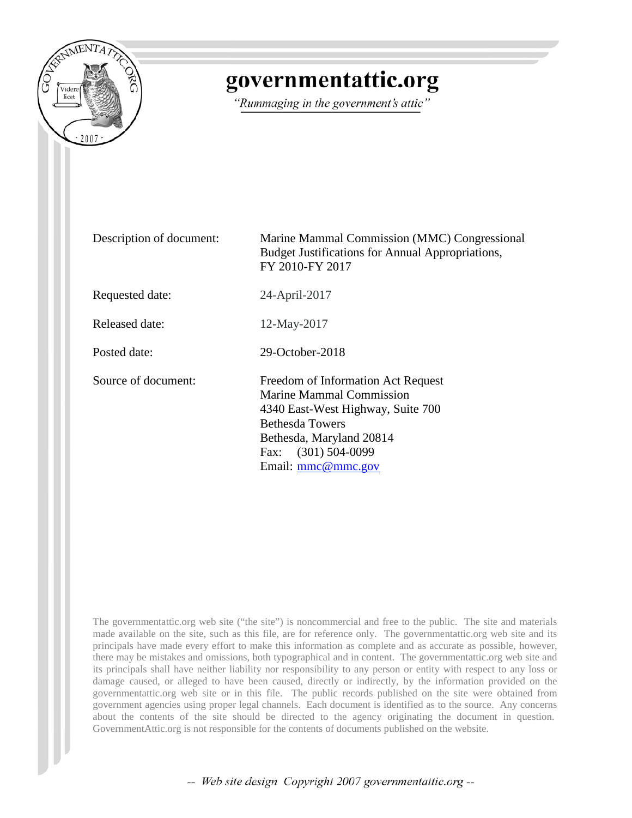

# governmentattic.org

"Rummaging in the government's attic"

Description of document: Marine Mammal Commission (MMC) Congressional Budget Justifications for Annual Appropriations, FY 2010-FY 2017 Requested date: 24-April-2017 Released date: 12-May-2017 Posted date: 29-October-2018 Source of document: Freedom of Information Act Request Marine Mammal Commission 4340 East-West Highway, Suite 700 Bethesda Towers Bethesda, Maryland 20814 Fax: (301) 504-0099 Email: [mmc@mmc.gov](mailto:mmc@mmc.gov?subject=FOIA%20Request)

The governmentattic.org web site ("the site") is noncommercial and free to the public. The site and materials made available on the site, such as this file, are for reference only. The governmentattic.org web site and its principals have made every effort to make this information as complete and as accurate as possible, however, there may be mistakes and omissions, both typographical and in content. The governmentattic.org web site and its principals shall have neither liability nor responsibility to any person or entity with respect to any loss or damage caused, or alleged to have been caused, directly or indirectly, by the information provided on the governmentattic.org web site or in this file. The public records published on the site were obtained from government agencies using proper legal channels. Each document is identified as to the source. Any concerns about the contents of the site should be directed to the agency originating the document in question. GovernmentAttic.org is not responsible for the contents of documents published on the website.

-- Web site design Copyright 2007 governmentattic.org --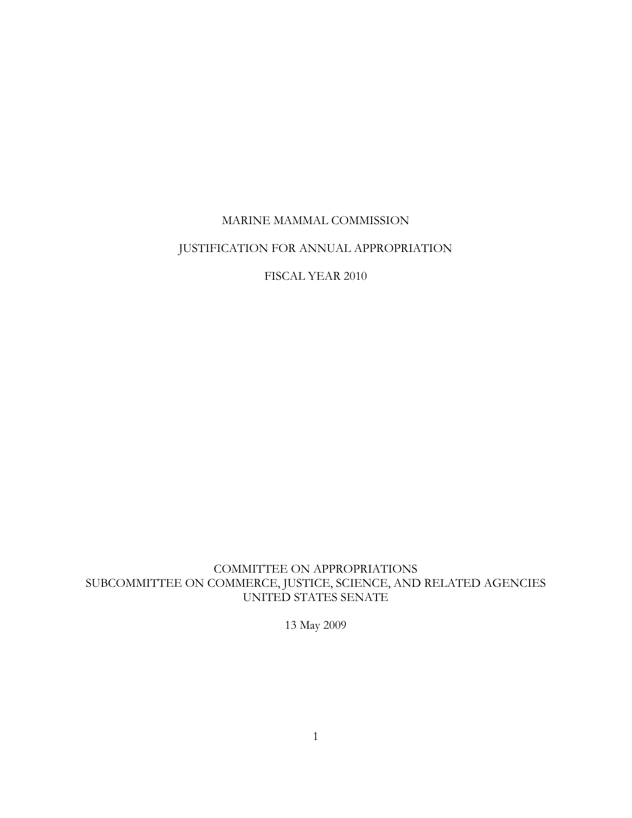### MARINE MAMMAL COMMISSION

### JUSTIFICATION FOR ANNUAL APPROPRIATION

FISCAL YEAR 2010

COMMITTEE ON APPROPRIATIONS SUBCOMMITTEE ON COMMERCE, JUSTICE, SCIENCE, AND RELATED AGENCIES UNITED STATES SENATE

13 May 2009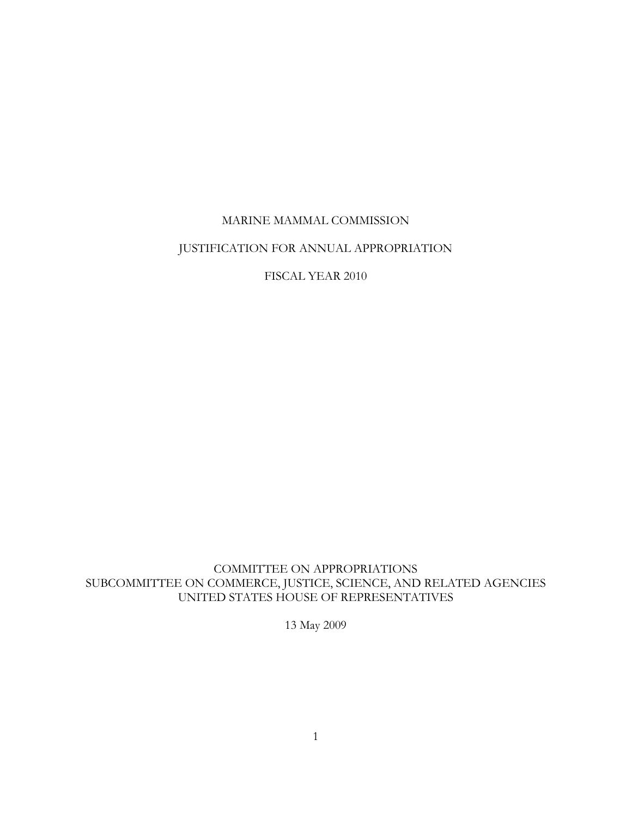### MARINE MAMMAL COMMISSION

### JUSTIFICATION FOR ANNUAL APPROPRIATION

FISCAL YEAR 2010

COMMITTEE ON APPROPRIATIONS SUBCOMMITTEE ON COMMERCE, JUSTICE, SCIENCE, AND RELATED AGENCIES UNITED STATES HOUSE OF REPRESENTATIVES

13 May 2009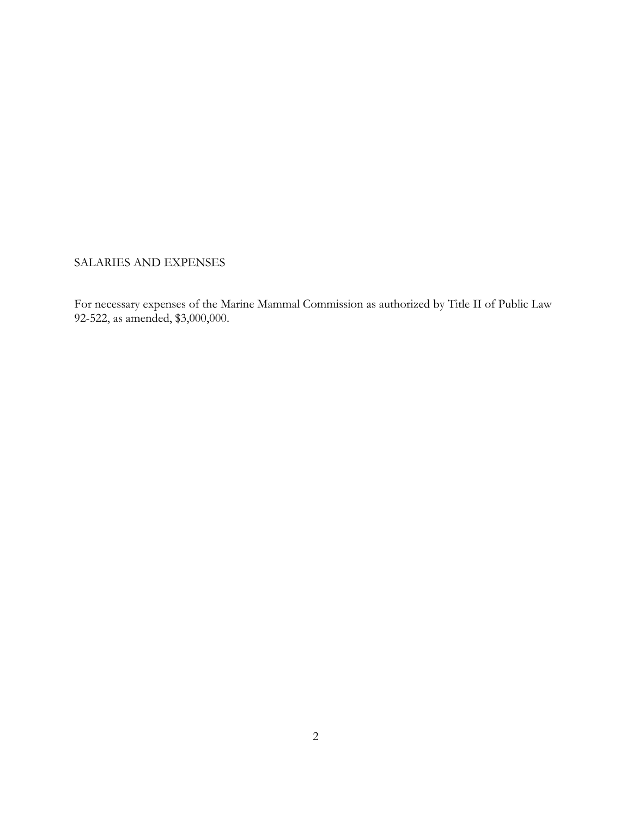SALARIES AND EXPENSES

For necessary expenses of the Marine Mammal Commission as authorized by Title II of Public Law 92-522, as amended, \$3,000,000.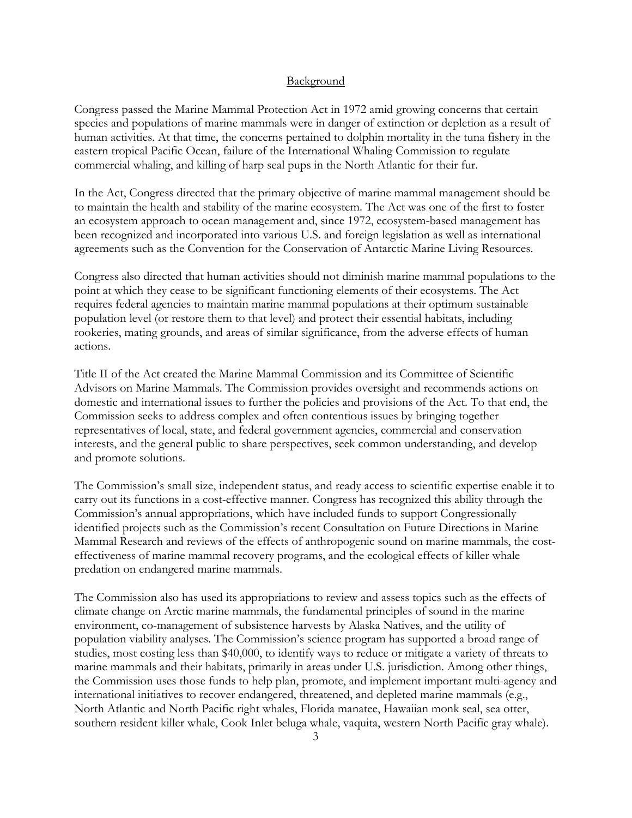#### **Background**

Congress passed the Marine Mammal Protection Act in 1972 amid growing concerns that certain species and populations of marine mammals were in danger of extinction or depletion as a result of human activities. At that time, the concerns pertained to dolphin mortality in the tuna fishery in the eastern tropical Pacific Ocean, failure of the International Whaling Commission to regulate commercial whaling, and killing of harp seal pups in the North Atlantic for their fur.

In the Act, Congress directed that the primary objective of marine mammal management should be to maintain the health and stability of the marine ecosystem. The Act was one of the first to foster an ecosystem approach to ocean management and, since 1972, ecosystem-based management has been recognized and incorporated into various U.S. and foreign legislation as well as international agreements such as the Convention for the Conservation of Antarctic Marine Living Resources.

Congress also directed that human activities should not diminish marine mammal populations to the point at which they cease to be significant functioning elements of their ecosystems. The Act requires federal agencies to maintain marine mammal populations at their optimum sustainable population level (or restore them to that level) and protect their essential habitats, including rookeries, mating grounds, and areas of similar significance, from the adverse effects of human actions.

Title II of the Act created the Marine Mammal Commission and its Committee of Scientific Advisors on Marine Mammals. The Commission provides oversight and recommends actions on domestic and international issues to further the policies and provisions of the Act. To that end, the Commission seeks to address complex and often contentious issues by bringing together representatives of local, state, and federal government agencies, commercial and conservation interests, and the general public to share perspectives, seek common understanding, and develop and promote solutions.

The Commission's small size, independent status, and ready access to scientific expertise enable it to carry out its functions in a cost-effective manner. Congress has recognized this ability through the Commission's annual appropriations, which have included funds to support Congressionally identified projects such as the Commission's recent Consultation on Future Directions in Marine Mammal Research and reviews of the effects of anthropogenic sound on marine mammals, the costeffectiveness of marine mammal recovery programs, and the ecological effects of killer whale predation on endangered marine mammals.

The Commission also has used its appropriations to review and assess topics such as the effects of climate change on Arctic marine mammals, the fundamental principles of sound in the marine environment, co-management of subsistence harvests by Alaska Natives, and the utility of population viability analyses. The Commission's science program has supported a broad range of studies, most costing less than \$40,000, to identify ways to reduce or mitigate a variety of threats to marine mammals and their habitats, primarily in areas under U.S. jurisdiction. Among other things, the Commission uses those funds to help plan, promote, and implement important multi-agency and international initiatives to recover endangered, threatened, and depleted marine mammals (e.g., North Atlantic and North Pacific right whales, Florida manatee, Hawaiian monk seal, sea otter, southern resident killer whale, Cook Inlet beluga whale, vaquita, western North Pacific gray whale).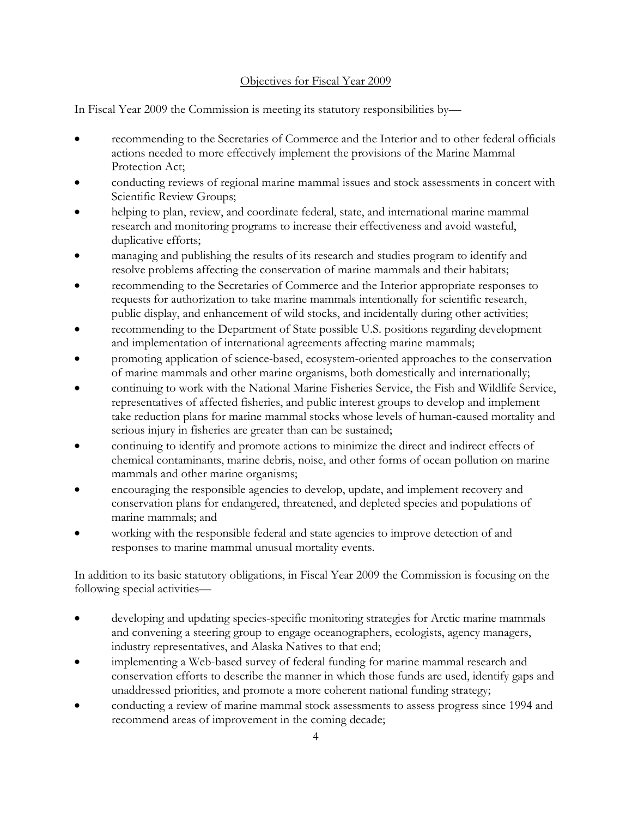#### Objectives for Fiscal Year 2009

In Fiscal Year 2009 the Commission is meeting its statutory responsibilities by—

- recommending to the Secretaries of Commerce and the Interior and to other federal officials actions needed to more effectively implement the provisions of the Marine Mammal Protection Act:
- conducting reviews of regional marine mammal issues and stock assessments in concert with Scientific Review Groups;
- helping to plan, review, and coordinate federal, state, and international marine mammal research and monitoring programs to increase their effectiveness and avoid wasteful, duplicative efforts;
- managing and publishing the results of its research and studies program to identify and resolve problems affecting the conservation of marine mammals and their habitats;
- recommending to the Secretaries of Commerce and the Interior appropriate responses to requests for authorization to take marine mammals intentionally for scientific research, public display, and enhancement of wild stocks, and incidentally during other activities;
- recommending to the Department of State possible U.S. positions regarding development and implementation of international agreements affecting marine mammals;
- promoting application of science-based, ecosystem-oriented approaches to the conservation of marine mammals and other marine organisms, both domestically and internationally;
- continuing to work with the National Marine Fisheries Service, the Fish and Wildlife Service, representatives of affected fisheries, and public interest groups to develop and implement take reduction plans for marine mammal stocks whose levels of human-caused mortality and serious injury in fisheries are greater than can be sustained;
- continuing to identify and promote actions to minimize the direct and indirect effects of chemical contaminants, marine debris, noise, and other forms of ocean pollution on marine mammals and other marine organisms;
- encouraging the responsible agencies to develop, update, and implement recovery and conservation plans for endangered, threatened, and depleted species and populations of marine mammals; and
- working with the responsible federal and state agencies to improve detection of and responses to marine mammal unusual mortality events.

In addition to its basic statutory obligations, in Fiscal Year 2009 the Commission is focusing on the following special activities—

- developing and updating species-specific monitoring strategies for Arctic marine mammals and convening a steering group to engage oceanographers, ecologists, agency managers, industry representatives, and Alaska Natives to that end;
- implementing a Web-based survey of federal funding for marine mammal research and conservation efforts to describe the manner in which those funds are used, identify gaps and unaddressed priorities, and promote a more coherent national funding strategy;
- conducting a review of marine mammal stock assessments to assess progress since 1994 and recommend areas of improvement in the coming decade;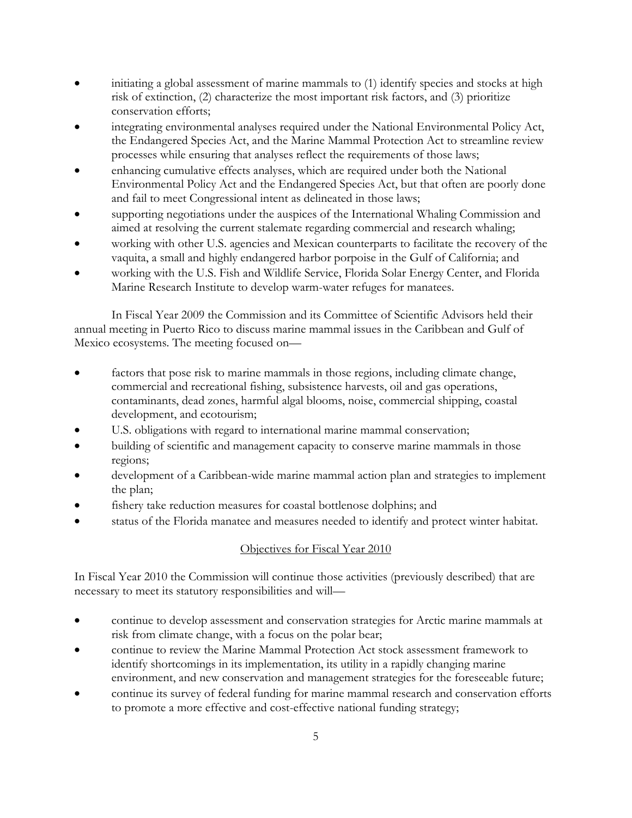- initiating a global assessment of marine mammals to (1) identify species and stocks at high risk of extinction, (2) characterize the most important risk factors, and (3) prioritize conservation efforts;
- integrating environmental analyses required under the National Environmental Policy Act, the Endangered Species Act, and the Marine Mammal Protection Act to streamline review processes while ensuring that analyses reflect the requirements of those laws;
- enhancing cumulative effects analyses, which are required under both the National Environmental Policy Act and the Endangered Species Act, but that often are poorly done and fail to meet Congressional intent as delineated in those laws;
- supporting negotiations under the auspices of the International Whaling Commission and aimed at resolving the current stalemate regarding commercial and research whaling;
- working with other U.S. agencies and Mexican counterparts to facilitate the recovery of the vaquita, a small and highly endangered harbor porpoise in the Gulf of California; and
- working with the U.S. Fish and Wildlife Service, Florida Solar Energy Center, and Florida Marine Research Institute to develop warm-water refuges for manatees.

In Fiscal Year 2009 the Commission and its Committee of Scientific Advisors held their annual meeting in Puerto Rico to discuss marine mammal issues in the Caribbean and Gulf of Mexico ecosystems. The meeting focused on—

- factors that pose risk to marine mammals in those regions, including climate change, commercial and recreational fishing, subsistence harvests, oil and gas operations, contaminants, dead zones, harmful algal blooms, noise, commercial shipping, coastal development, and ecotourism;
- U.S. obligations with regard to international marine mammal conservation;
- building of scientific and management capacity to conserve marine mammals in those regions;
- development of a Caribbean-wide marine mammal action plan and strategies to implement the plan;
- fishery take reduction measures for coastal bottlenose dolphins; and
- status of the Florida manatee and measures needed to identify and protect winter habitat.

#### Objectives for Fiscal Year 2010

In Fiscal Year 2010 the Commission will continue those activities (previously described) that are necessary to meet its statutory responsibilities and will—

- continue to develop assessment and conservation strategies for Arctic marine mammals at risk from climate change, with a focus on the polar bear;
- continue to review the Marine Mammal Protection Act stock assessment framework to identify shortcomings in its implementation, its utility in a rapidly changing marine environment, and new conservation and management strategies for the foreseeable future;
- continue its survey of federal funding for marine mammal research and conservation efforts to promote a more effective and cost-effective national funding strategy;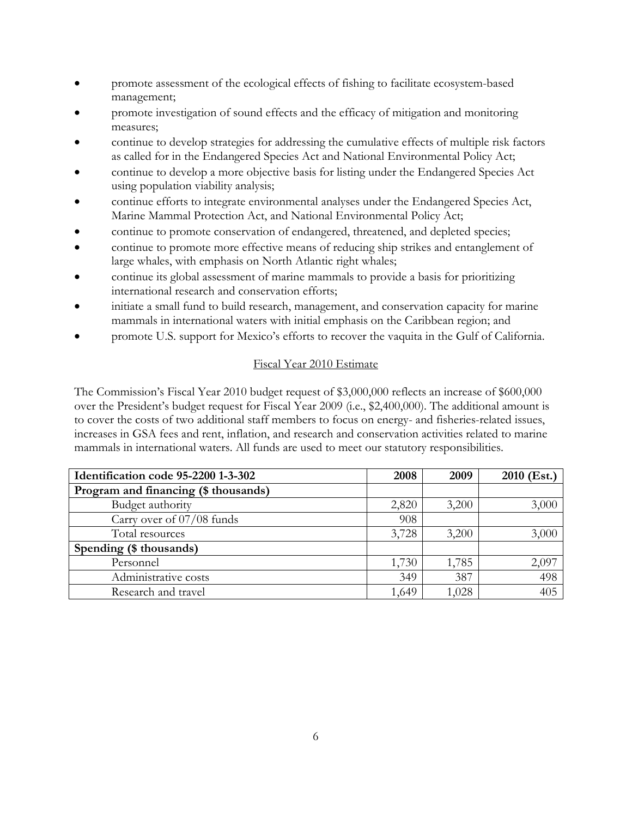- promote assessment of the ecological effects of fishing to facilitate ecosystem-based management;
- promote investigation of sound effects and the efficacy of mitigation and monitoring measures;
- continue to develop strategies for addressing the cumulative effects of multiple risk factors as called for in the Endangered Species Act and National Environmental Policy Act;
- continue to develop a more objective basis for listing under the Endangered Species Act using population viability analysis;
- continue efforts to integrate environmental analyses under the Endangered Species Act, Marine Mammal Protection Act, and National Environmental Policy Act;
- continue to promote conservation of endangered, threatened, and depleted species;
- continue to promote more effective means of reducing ship strikes and entanglement of large whales, with emphasis on North Atlantic right whales;
- continue its global assessment of marine mammals to provide a basis for prioritizing international research and conservation efforts;
- initiate a small fund to build research, management, and conservation capacity for marine mammals in international waters with initial emphasis on the Caribbean region; and
- promote U.S. support for Mexico's efforts to recover the vaquita in the Gulf of California.

#### Fiscal Year 2010 Estimate

The Commission's Fiscal Year 2010 budget request of \$3,000,000 reflects an increase of \$600,000 over the President's budget request for Fiscal Year 2009 (i.e., \$2,400,000). The additional amount is to cover the costs of two additional staff members to focus on energy- and fisheries-related issues, increases in GSA fees and rent, inflation, and research and conservation activities related to marine mammals in international waters. All funds are used to meet our statutory responsibilities.

| Identification code 95-2200 1-3-302  | 2008  | 2009  | $2010$ (Est.) |
|--------------------------------------|-------|-------|---------------|
| Program and financing (\$ thousands) |       |       |               |
| Budget authority                     | 2,820 | 3,200 | 3,000         |
| Carry over of 07/08 funds            | 908   |       |               |
| Total resources                      | 3,728 | 3,200 | 3,000         |
| Spending (\$ thousands)              |       |       |               |
| Personnel                            | 1,730 | 1,785 | 2,097         |
| Administrative costs                 | 349   | 387   | 498           |
| Research and travel                  | 1,649 | 1,028 | 405           |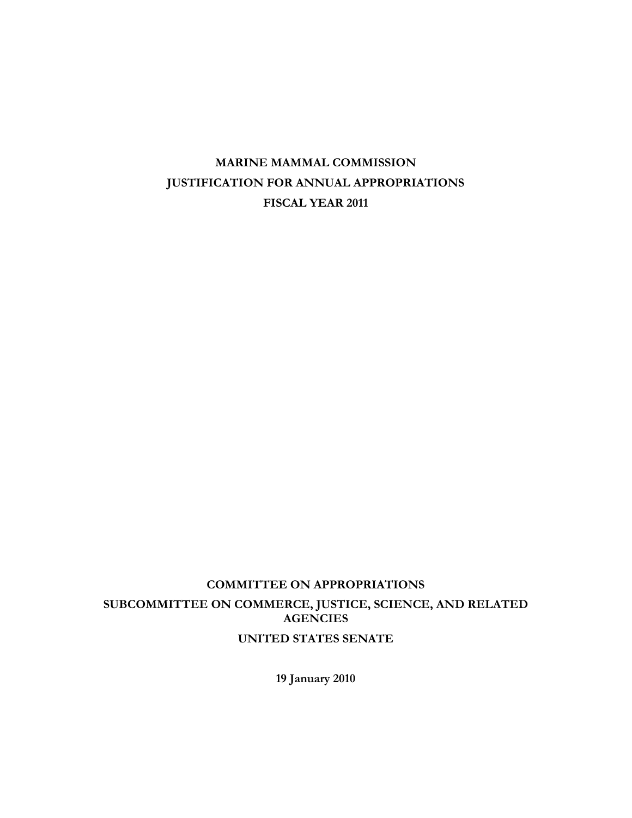# **COMMITTEE ON APPROPRIATIONS SUBCOMMITTEE ON COMMERCE, JUSTICE, SCIENCE, AND RELATED AGENCIES UNITED STATES SENATE**

**19 January 2010**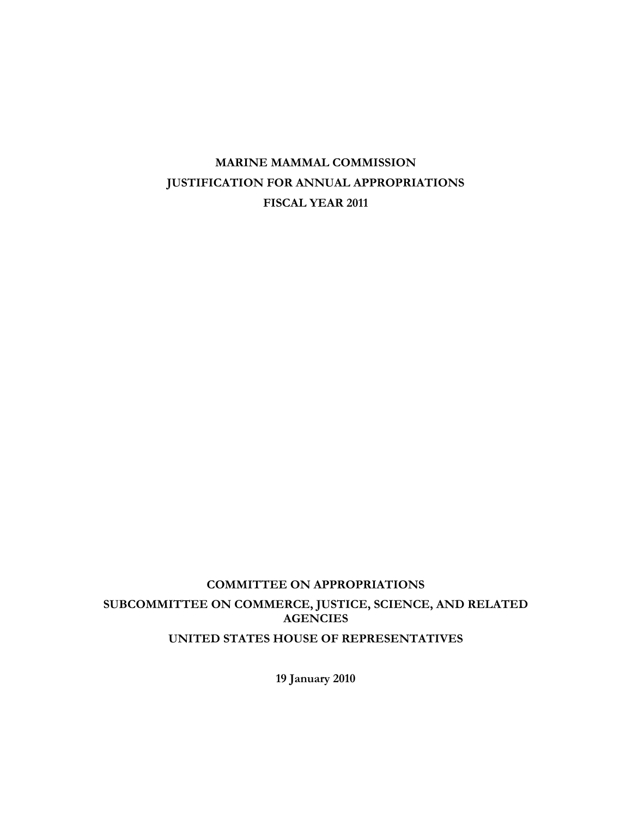# **COMMITTEE ON APPROPRIATIONS SUBCOMMITTEE ON COMMERCE, JUSTICE, SCIENCE, AND RELATED AGENCIES UNITED STATES HOUSE OF REPRESENTATIVES**

**19 January 2010**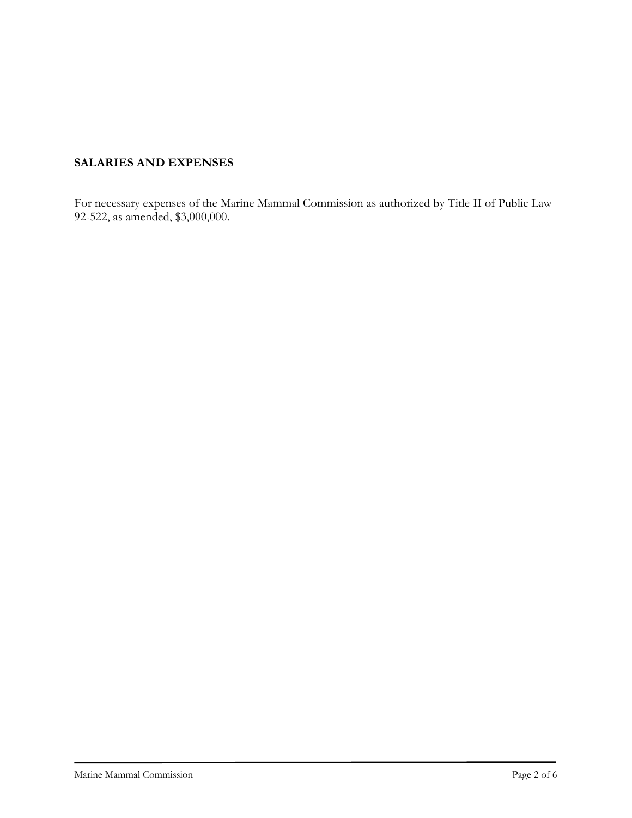# **SALARIES AND EXPENSES**

For necessary expenses of the Marine Mammal Commission as authorized by Title II of Public Law 92-522, as amended, \$3,000,000.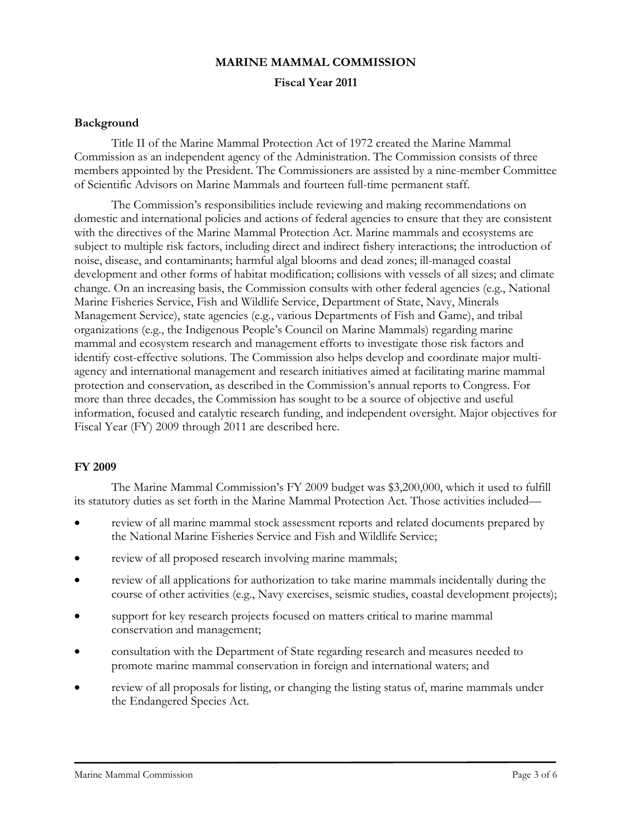### **MARINE MAMMAL COMMISSION**

**Fiscal Year 2011**

#### **Background**

Title II of the Marine Mammal Protection Act of 1972 created the Marine Mammal Commission as an independent agency of the Administration. The Commission consists of three members appointed by the President. The Commissioners are assisted by a nine-member Committee of Scientific Advisors on Marine Mammals and fourteen full-time permanent staff.

The Commission's responsibilities include reviewing and making recommendations on domestic and international policies and actions of federal agencies to ensure that they are consistent with the directives of the Marine Mammal Protection Act. Marine mammals and ecosystems are subject to multiple risk factors, including direct and indirect fishery interactions; the introduction of noise, disease, and contaminants; harmful algal blooms and dead zones; ill-managed coastal development and other forms of habitat modification; collisions with vessels of all sizes; and climate change. On an increasing basis, the Commission consults with other federal agencies (e.g., National Marine Fisheries Service, Fish and Wildlife Service, Department of State, Navy, Minerals Management Service), state agencies (e.g., various Departments of Fish and Game), and tribal organizations (e.g., the Indigenous People's Council on Marine Mammals) regarding marine mammal and ecosystem research and management efforts to investigate those risk factors and identify cost-effective solutions. The Commission also helps develop and coordinate major multiagency and international management and research initiatives aimed at facilitating marine mammal protection and conservation, as described in the Commission's annual reports to Congress. For more than three decades, the Commission has sought to be a source of objective and useful information, focused and catalytic research funding, and independent oversight. Major objectives for Fiscal Year (FY) 2009 through 2011 are described here.

#### **FY 2009**

The Marine Mammal Commission's FY 2009 budget was \$3,200,000, which it used to fulfill its statutory duties as set forth in the Marine Mammal Protection Act. Those activities included—

- review of all marine mammal stock assessment reports and related documents prepared by the National Marine Fisheries Service and Fish and Wildlife Service;
- review of all proposed research involving marine mammals;
- review of all applications for authorization to take marine mammals incidentally during the course of other activities (e.g., Navy exercises, seismic studies, coastal development projects);
- support for key research projects focused on matters critical to marine mammal conservation and management;
- consultation with the Department of State regarding research and measures needed to promote marine mammal conservation in foreign and international waters; and
- review of all proposals for listing, or changing the listing status of, marine mammals under the Endangered Species Act.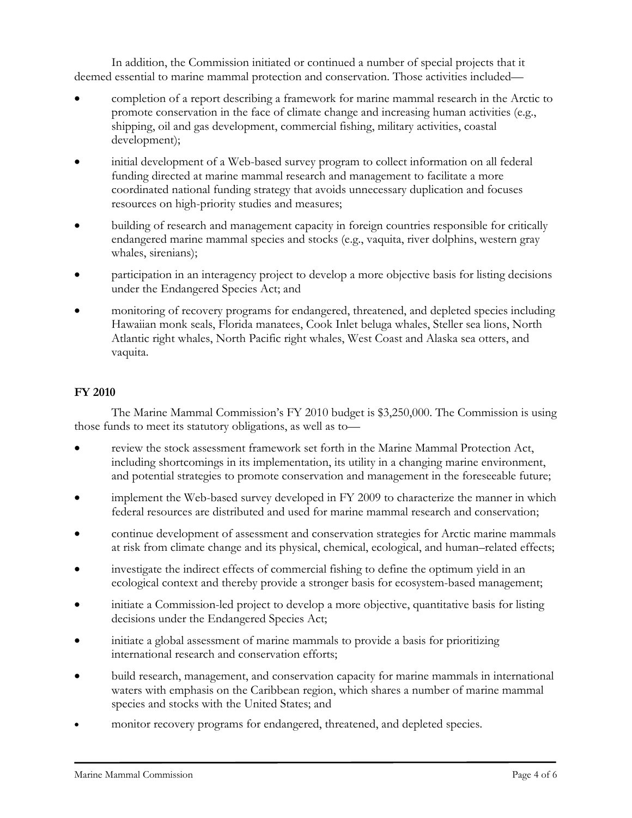In addition, the Commission initiated or continued a number of special projects that it deemed essential to marine mammal protection and conservation. Those activities included—

- completion of a report describing a framework for marine mammal research in the Arctic to promote conservation in the face of climate change and increasing human activities (e.g., shipping, oil and gas development, commercial fishing, military activities, coastal development);
- initial development of a Web-based survey program to collect information on all federal funding directed at marine mammal research and management to facilitate a more coordinated national funding strategy that avoids unnecessary duplication and focuses resources on high-priority studies and measures;
- building of research and management capacity in foreign countries responsible for critically endangered marine mammal species and stocks (e.g., vaquita, river dolphins, western gray whales, sirenians);
- participation in an interagency project to develop a more objective basis for listing decisions under the Endangered Species Act; and
- monitoring of recovery programs for endangered, threatened, and depleted species including Hawaiian monk seals, Florida manatees, Cook Inlet beluga whales, Steller sea lions, North Atlantic right whales, North Pacific right whales, West Coast and Alaska sea otters, and vaquita.

### **FY 2010**

The Marine Mammal Commission's FY 2010 budget is \$3,250,000. The Commission is using those funds to meet its statutory obligations, as well as to—

- review the stock assessment framework set forth in the Marine Mammal Protection Act, including shortcomings in its implementation, its utility in a changing marine environment, and potential strategies to promote conservation and management in the foreseeable future;
- implement the Web-based survey developed in FY 2009 to characterize the manner in which federal resources are distributed and used for marine mammal research and conservation;
- continue development of assessment and conservation strategies for Arctic marine mammals at risk from climate change and its physical, chemical, ecological, and human–related effects;
- investigate the indirect effects of commercial fishing to define the optimum yield in an ecological context and thereby provide a stronger basis for ecosystem-based management;
- initiate a Commission-led project to develop a more objective, quantitative basis for listing decisions under the Endangered Species Act;
- initiate a global assessment of marine mammals to provide a basis for prioritizing international research and conservation efforts;
- build research, management, and conservation capacity for marine mammals in international waters with emphasis on the Caribbean region, which shares a number of marine mammal species and stocks with the United States; and
- monitor recovery programs for endangered, threatened, and depleted species.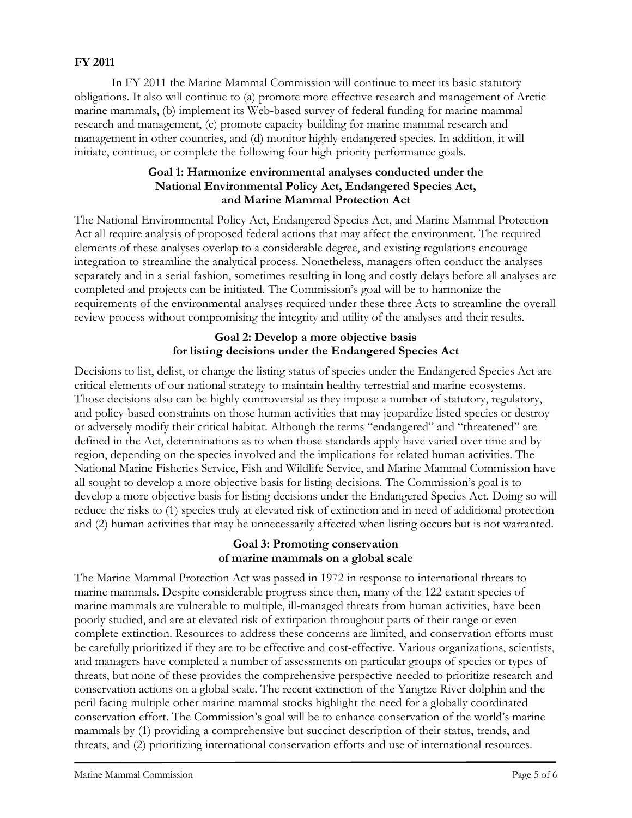### **FY 2011**

In FY 2011 the Marine Mammal Commission will continue to meet its basic statutory obligations. It also will continue to (a) promote more effective research and management of Arctic marine mammals, (b) implement its Web-based survey of federal funding for marine mammal research and management, (c) promote capacity-building for marine mammal research and management in other countries, and (d) monitor highly endangered species. In addition, it will initiate, continue, or complete the following four high-priority performance goals.

#### **Goal 1: Harmonize environmental analyses conducted under the National Environmental Policy Act, Endangered Species Act, and Marine Mammal Protection Act**

The National Environmental Policy Act, Endangered Species Act, and Marine Mammal Protection Act all require analysis of proposed federal actions that may affect the environment. The required elements of these analyses overlap to a considerable degree, and existing regulations encourage integration to streamline the analytical process. Nonetheless, managers often conduct the analyses separately and in a serial fashion, sometimes resulting in long and costly delays before all analyses are completed and projects can be initiated. The Commission's goal will be to harmonize the requirements of the environmental analyses required under these three Acts to streamline the overall review process without compromising the integrity and utility of the analyses and their results.

#### **Goal 2: Develop a more objective basis for listing decisions under the Endangered Species Act**

Decisions to list, delist, or change the listing status of species under the Endangered Species Act are critical elements of our national strategy to maintain healthy terrestrial and marine ecosystems. Those decisions also can be highly controversial as they impose a number of statutory, regulatory, and policy-based constraints on those human activities that may jeopardize listed species or destroy or adversely modify their critical habitat. Although the terms "endangered" and "threatened" are defined in the Act, determinations as to when those standards apply have varied over time and by region, depending on the species involved and the implications for related human activities. The National Marine Fisheries Service, Fish and Wildlife Service, and Marine Mammal Commission have all sought to develop a more objective basis for listing decisions. The Commission's goal is to develop a more objective basis for listing decisions under the Endangered Species Act. Doing so will reduce the risks to (1) species truly at elevated risk of extinction and in need of additional protection and (2) human activities that may be unnecessarily affected when listing occurs but is not warranted.

### **Goal 3: Promoting conservation of marine mammals on a global scale**

The Marine Mammal Protection Act was passed in 1972 in response to international threats to marine mammals. Despite considerable progress since then, many of the 122 extant species of marine mammals are vulnerable to multiple, ill-managed threats from human activities, have been poorly studied, and are at elevated risk of extirpation throughout parts of their range or even complete extinction. Resources to address these concerns are limited, and conservation efforts must be carefully prioritized if they are to be effective and cost-effective. Various organizations, scientists, and managers have completed a number of assessments on particular groups of species or types of threats, but none of these provides the comprehensive perspective needed to prioritize research and conservation actions on a global scale. The recent extinction of the Yangtze River dolphin and the peril facing multiple other marine mammal stocks highlight the need for a globally coordinated conservation effort. The Commission's goal will be to enhance conservation of the world's marine mammals by (1) providing a comprehensive but succinct description of their status, trends, and threats, and (2) prioritizing international conservation efforts and use of international resources.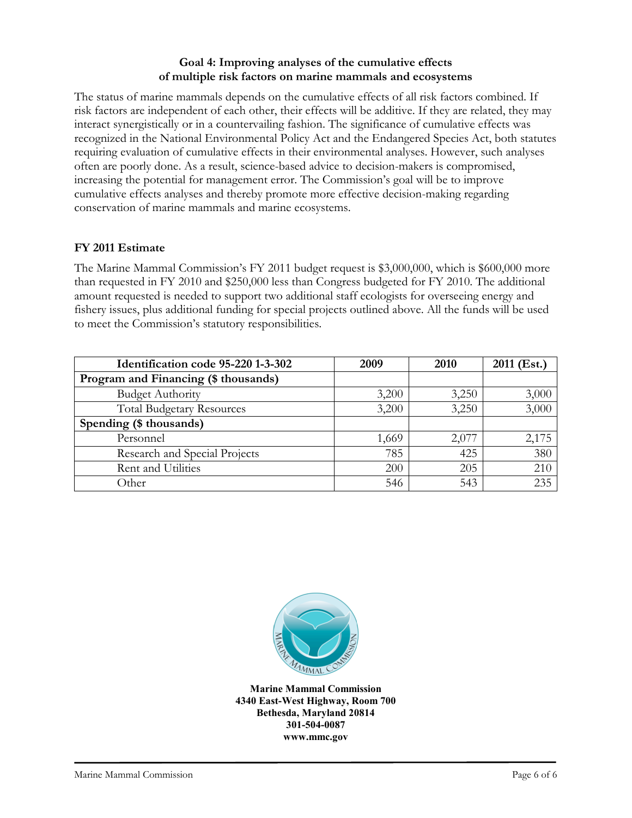#### **Goal 4: Improving analyses of the cumulative effects of multiple risk factors on marine mammals and ecosystems**

The status of marine mammals depends on the cumulative effects of all risk factors combined. If risk factors are independent of each other, their effects will be additive. If they are related, they may interact synergistically or in a countervailing fashion. The significance of cumulative effects was recognized in the National Environmental Policy Act and the Endangered Species Act, both statutes requiring evaluation of cumulative effects in their environmental analyses. However, such analyses often are poorly done. As a result, science-based advice to decision-makers is compromised, increasing the potential for management error. The Commission's goal will be to improve cumulative effects analyses and thereby promote more effective decision-making regarding conservation of marine mammals and marine ecosystems.

### **FY 2011 Estimate**

The Marine Mammal Commission's FY 2011 budget request is \$3,000,000, which is \$600,000 more than requested in FY 2010 and \$250,000 less than Congress budgeted for FY 2010. The additional amount requested is needed to support two additional staff ecologists for overseeing energy and fishery issues, plus additional funding for special projects outlined above. All the funds will be used to meet the Commission's statutory responsibilities.

| Identification code 95-220 1-3-302   | 2009  | 2010  | 2011 (Est.) |
|--------------------------------------|-------|-------|-------------|
| Program and Financing (\$ thousands) |       |       |             |
| <b>Budget Authority</b>              | 3,200 | 3,250 | 3,000       |
| <b>Total Budgetary Resources</b>     | 3,200 | 3,250 | 3,000       |
| Spending (\$ thousands)              |       |       |             |
| Personnel                            | 1,669 | 2,077 | 2,175       |
| Research and Special Projects        | 785   | 425   | 380         |
| Rent and Utilities                   | 200   | 205   | 210         |
| Other                                | 546   | 543   | 235         |



**Marine Mammal Commission 4340 East-West Highway, Room 700 Bethesda, Maryland 20814 301-504-0087 www.mmc.gov**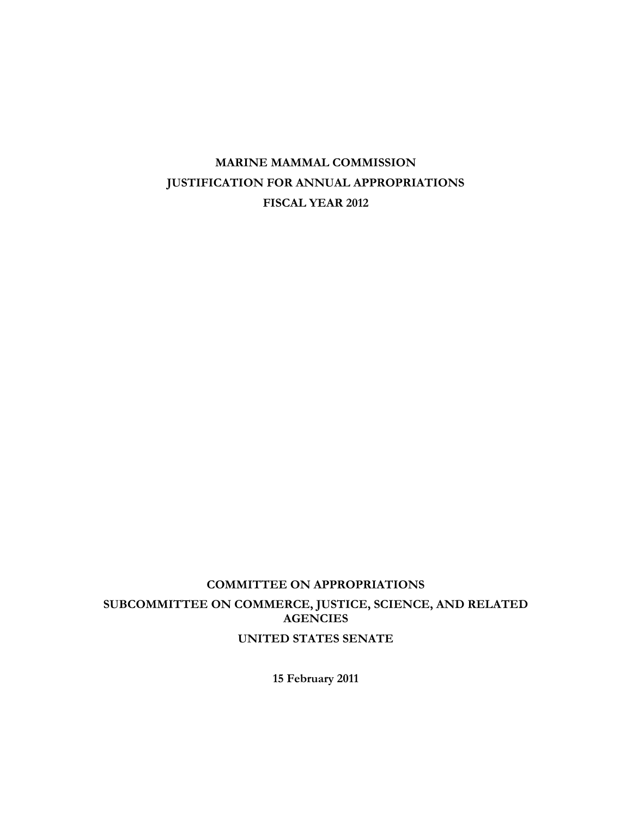# **COMMITTEE ON APPROPRIATIONS SUBCOMMITTEE ON COMMERCE, JUSTICE, SCIENCE, AND RELATED AGENCIES UNITED STATES SENATE**

**15 February 2011**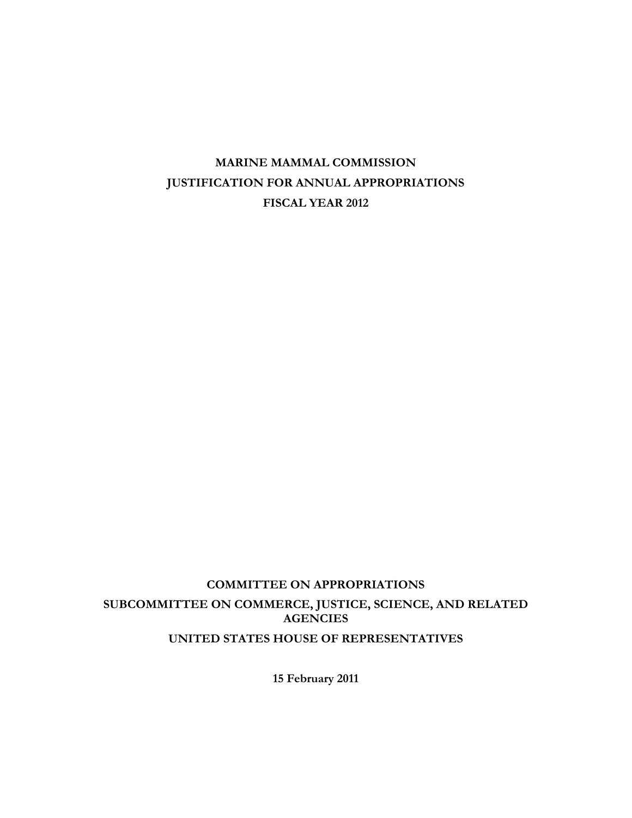# **COMMITTEE ON APPROPRIATIONS SUBCOMMITTEE ON COMMERCE, JUSTICE, SCIENCE, AND RELATED AGENCIES UNITED STATES HOUSE OF REPRESENTATIVES**

**15 February 2011**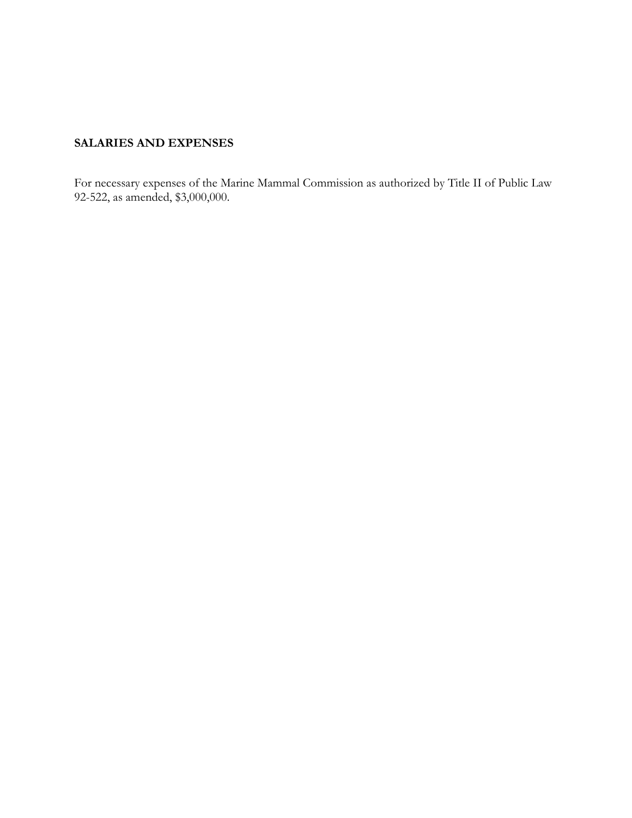# **SALARIES AND EXPENSES**

For necessary expenses of the Marine Mammal Commission as authorized by Title II of Public Law 92-522, as amended, \$3,000,000.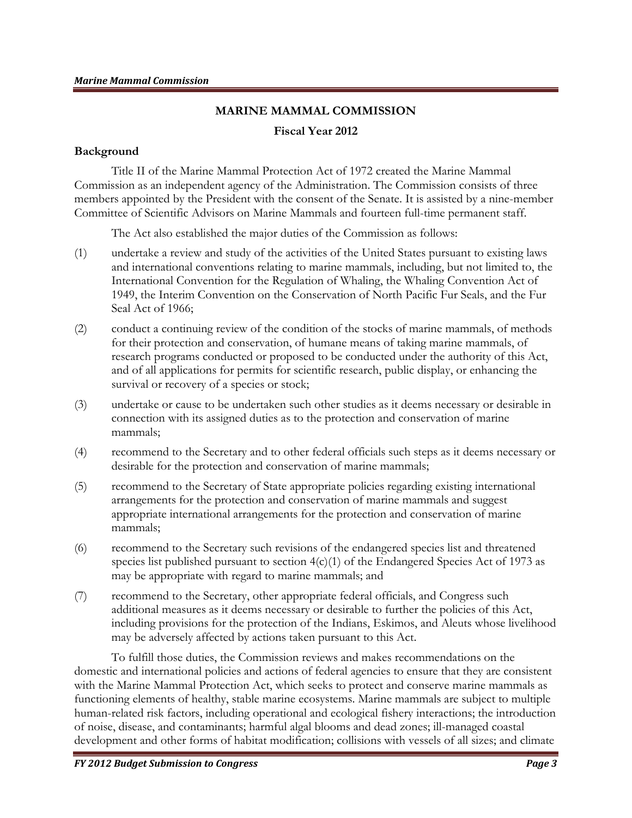# **MARINE MAMMAL COMMISSION Fiscal Year 2012**

#### **Background**

Title II of the Marine Mammal Protection Act of 1972 created the Marine Mammal Commission as an independent agency of the Administration. The Commission consists of three members appointed by the President with the consent of the Senate. It is assisted by a nine-member Committee of Scientific Advisors on Marine Mammals and fourteen full-time permanent staff.

The Act also established the major duties of the Commission as follows:

- (1) undertake a review and study of the activities of the United States pursuant to existing laws and international conventions relating to marine mammals, including, but not limited to, the International Convention for the Regulation of Whaling, the Whaling Convention Act of 1949, the Interim Convention on the Conservation of North Pacific Fur Seals, and the Fur Seal Act of 1966;
- (2) conduct a continuing review of the condition of the stocks of marine mammals, of methods for their protection and conservation, of humane means of taking marine mammals, of research programs conducted or proposed to be conducted under the authority of this Act, and of all applications for permits for scientific research, public display, or enhancing the survival or recovery of a species or stock;
- (3) undertake or cause to be undertaken such other studies as it deems necessary or desirable in connection with its assigned duties as to the protection and conservation of marine mammals;
- (4) recommend to the Secretary and to other federal officials such steps as it deems necessary or desirable for the protection and conservation of marine mammals;
- (5) recommend to the Secretary of State appropriate policies regarding existing international arrangements for the protection and conservation of marine mammals and suggest appropriate international arrangements for the protection and conservation of marine mammals;
- (6) recommend to the Secretary such revisions of the endangered species list and threatened species list published pursuant to section  $4(c)(1)$  of the Endangered Species Act of 1973 as may be appropriate with regard to marine mammals; and
- (7) recommend to the Secretary, other appropriate federal officials, and Congress such additional measures as it deems necessary or desirable to further the policies of this Act, including provisions for the protection of the Indians, Eskimos, and Aleuts whose livelihood may be adversely affected by actions taken pursuant to this Act.

To fulfill those duties, the Commission reviews and makes recommendations on the domestic and international policies and actions of federal agencies to ensure that they are consistent with the Marine Mammal Protection Act, which seeks to protect and conserve marine mammals as functioning elements of healthy, stable marine ecosystems. Marine mammals are subject to multiple human-related risk factors, including operational and ecological fishery interactions; the introduction of noise, disease, and contaminants; harmful algal blooms and dead zones; ill-managed coastal development and other forms of habitat modification; collisions with vessels of all sizes; and climate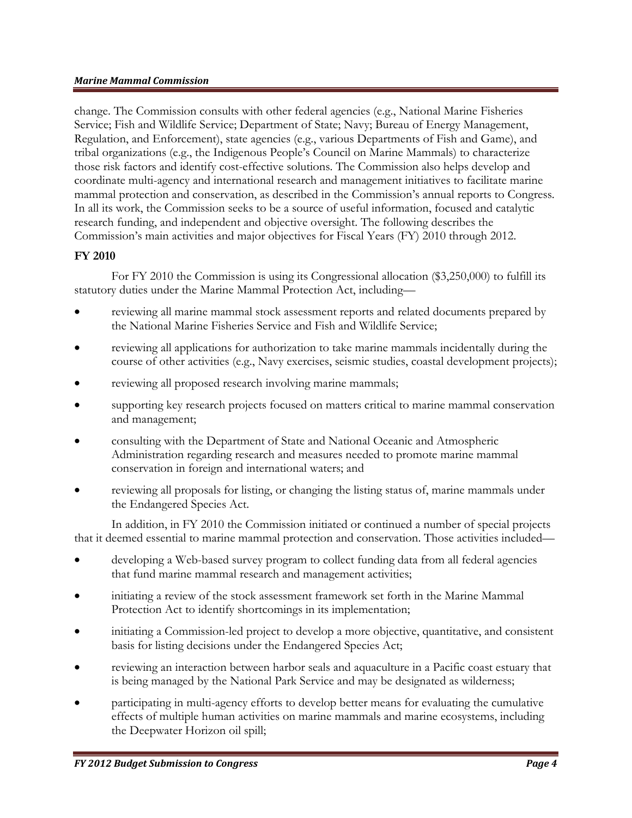change. The Commission consults with other federal agencies (e.g., National Marine Fisheries Service; Fish and Wildlife Service; Department of State; Navy; Bureau of Energy Management, Regulation, and Enforcement), state agencies (e.g., various Departments of Fish and Game), and tribal organizations (e.g., the Indigenous People's Council on Marine Mammals) to characterize those risk factors and identify cost-effective solutions. The Commission also helps develop and coordinate multi-agency and international research and management initiatives to facilitate marine mammal protection and conservation, as described in the Commission's annual reports to Congress. In all its work, the Commission seeks to be a source of useful information, focused and catalytic research funding, and independent and objective oversight. The following describes the Commission's main activities and major objectives for Fiscal Years (FY) 2010 through 2012.

### **FY 2010**

For FY 2010 the Commission is using its Congressional allocation (\$3,250,000) to fulfill its statutory duties under the Marine Mammal Protection Act, including—

- reviewing all marine mammal stock assessment reports and related documents prepared by the National Marine Fisheries Service and Fish and Wildlife Service;
- reviewing all applications for authorization to take marine mammals incidentally during the course of other activities (e.g., Navy exercises, seismic studies, coastal development projects);
- reviewing all proposed research involving marine mammals;
- supporting key research projects focused on matters critical to marine mammal conservation and management;
- consulting with the Department of State and National Oceanic and Atmospheric Administration regarding research and measures needed to promote marine mammal conservation in foreign and international waters; and
- reviewing all proposals for listing, or changing the listing status of, marine mammals under the Endangered Species Act.

In addition, in FY 2010 the Commission initiated or continued a number of special projects that it deemed essential to marine mammal protection and conservation. Those activities included—

- developing a Web-based survey program to collect funding data from all federal agencies that fund marine mammal research and management activities;
- initiating a review of the stock assessment framework set forth in the Marine Mammal Protection Act to identify shortcomings in its implementation;
- initiating a Commission-led project to develop a more objective, quantitative, and consistent basis for listing decisions under the Endangered Species Act;
- reviewing an interaction between harbor seals and aquaculture in a Pacific coast estuary that is being managed by the National Park Service and may be designated as wilderness;
- participating in multi-agency efforts to develop better means for evaluating the cumulative effects of multiple human activities on marine mammals and marine ecosystems, including the Deepwater Horizon oil spill;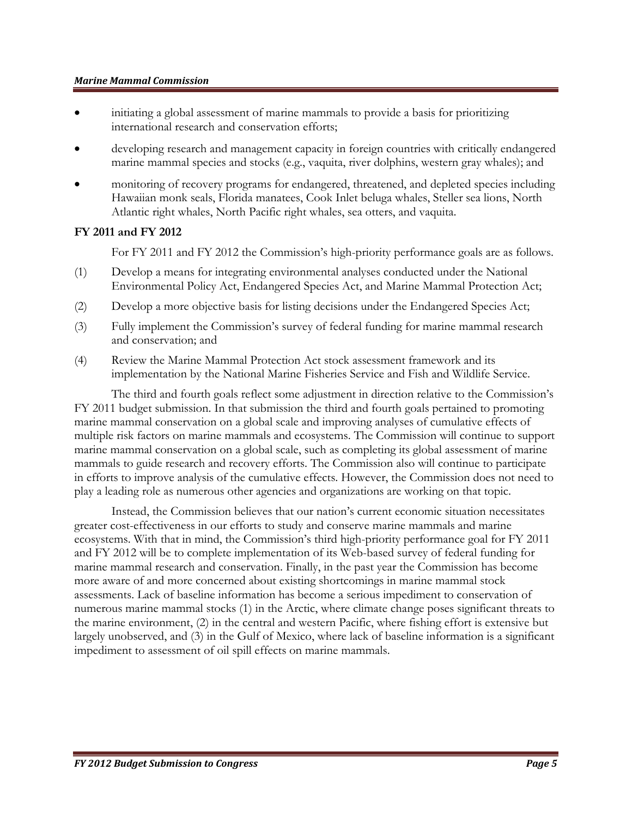- initiating a global assessment of marine mammals to provide a basis for prioritizing international research and conservation efforts;
- developing research and management capacity in foreign countries with critically endangered marine mammal species and stocks (e.g., vaquita, river dolphins, western gray whales); and
- monitoring of recovery programs for endangered, threatened, and depleted species including Hawaiian monk seals, Florida manatees, Cook Inlet beluga whales, Steller sea lions, North Atlantic right whales, North Pacific right whales, sea otters, and vaquita.

### **FY 2011 and FY 2012**

For FY 2011 and FY 2012 the Commission's high-priority performance goals are as follows.

- (1) Develop a means for integrating environmental analyses conducted under the National Environmental Policy Act, Endangered Species Act, and Marine Mammal Protection Act;
- (2) Develop a more objective basis for listing decisions under the Endangered Species Act;
- (3) Fully implement the Commission's survey of federal funding for marine mammal research and conservation; and
- (4) Review the Marine Mammal Protection Act stock assessment framework and its implementation by the National Marine Fisheries Service and Fish and Wildlife Service.

The third and fourth goals reflect some adjustment in direction relative to the Commission's FY 2011 budget submission. In that submission the third and fourth goals pertained to promoting marine mammal conservation on a global scale and improving analyses of cumulative effects of multiple risk factors on marine mammals and ecosystems. The Commission will continue to support marine mammal conservation on a global scale, such as completing its global assessment of marine mammals to guide research and recovery efforts. The Commission also will continue to participate in efforts to improve analysis of the cumulative effects. However, the Commission does not need to play a leading role as numerous other agencies and organizations are working on that topic.

Instead, the Commission believes that our nation's current economic situation necessitates greater cost-effectiveness in our efforts to study and conserve marine mammals and marine ecosystems. With that in mind, the Commission's third high-priority performance goal for FY 2011 and FY 2012 will be to complete implementation of its Web-based survey of federal funding for marine mammal research and conservation. Finally, in the past year the Commission has become more aware of and more concerned about existing shortcomings in marine mammal stock assessments. Lack of baseline information has become a serious impediment to conservation of numerous marine mammal stocks (1) in the Arctic, where climate change poses significant threats to the marine environment, (2) in the central and western Pacific, where fishing effort is extensive but largely unobserved, and (3) in the Gulf of Mexico, where lack of baseline information is a significant impediment to assessment of oil spill effects on marine mammals.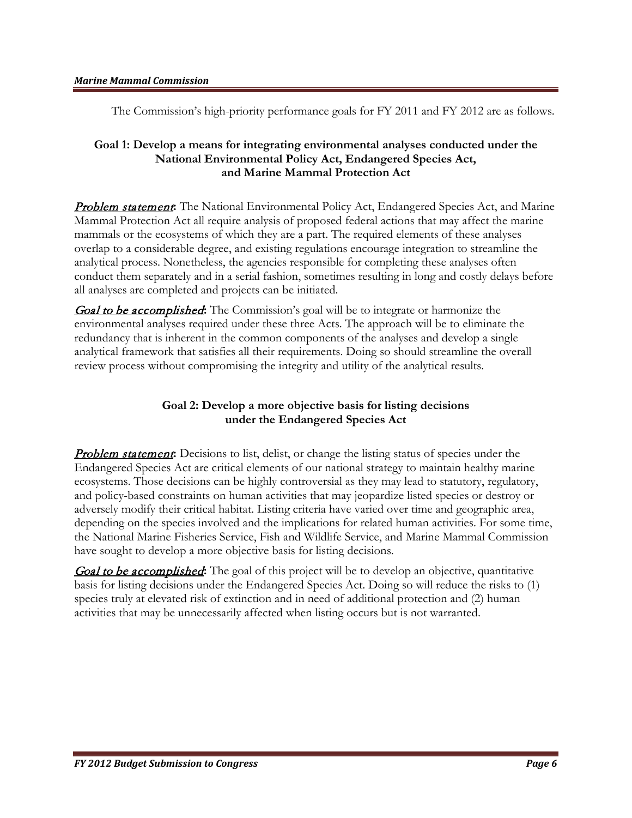The Commission's high-priority performance goals for FY 2011 and FY 2012 are as follows.

### **Goal 1: Develop a means for integrating environmental analyses conducted under the National Environmental Policy Act, Endangered Species Act, and Marine Mammal Protection Act**

**Problem statement:** The National Environmental Policy Act, Endangered Species Act, and Marine Mammal Protection Act all require analysis of proposed federal actions that may affect the marine mammals or the ecosystems of which they are a part. The required elements of these analyses overlap to a considerable degree, and existing regulations encourage integration to streamline the analytical process. Nonetheless, the agencies responsible for completing these analyses often conduct them separately and in a serial fashion, sometimes resulting in long and costly delays before all analyses are completed and projects can be initiated.

Goal to be accomplished**:** The Commission's goal will be to integrate or harmonize the environmental analyses required under these three Acts. The approach will be to eliminate the redundancy that is inherent in the common components of the analyses and develop a single analytical framework that satisfies all their requirements. Doing so should streamline the overall review process without compromising the integrity and utility of the analytical results.

### **Goal 2: Develop a more objective basis for listing decisions under the Endangered Species Act**

**Problem statement:** Decisions to list, delist, or change the listing status of species under the Endangered Species Act are critical elements of our national strategy to maintain healthy marine ecosystems. Those decisions can be highly controversial as they may lead to statutory, regulatory, and policy-based constraints on human activities that may jeopardize listed species or destroy or adversely modify their critical habitat. Listing criteria have varied over time and geographic area, depending on the species involved and the implications for related human activities. For some time, the National Marine Fisheries Service, Fish and Wildlife Service, and Marine Mammal Commission have sought to develop a more objective basis for listing decisions.

Goal to be accomplished**:** The goal of this project will be to develop an objective, quantitative basis for listing decisions under the Endangered Species Act. Doing so will reduce the risks to (1) species truly at elevated risk of extinction and in need of additional protection and (2) human activities that may be unnecessarily affected when listing occurs but is not warranted.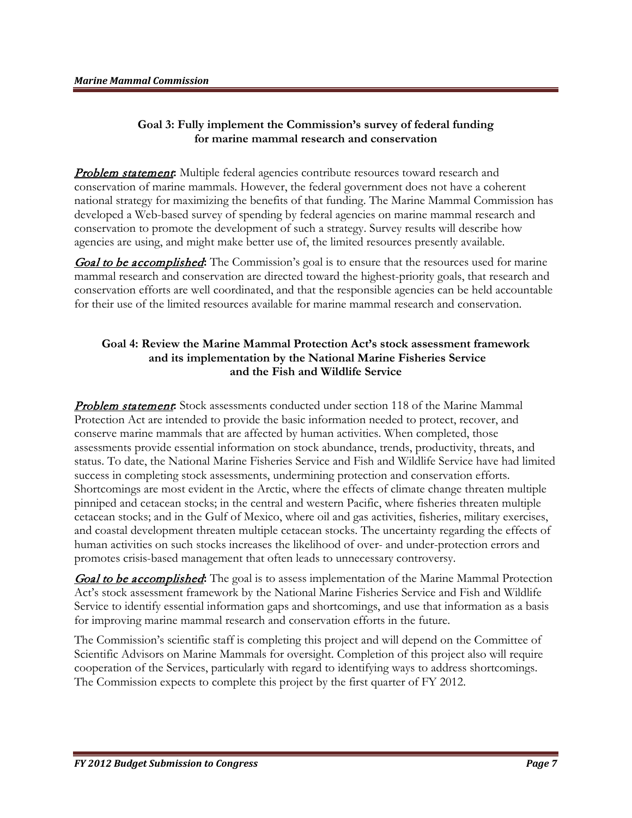### **Goal 3: Fully implement the Commission's survey of federal funding for marine mammal research and conservation**

**Problem statement:** Multiple federal agencies contribute resources toward research and conservation of marine mammals. However, the federal government does not have a coherent national strategy for maximizing the benefits of that funding. The Marine Mammal Commission has developed a Web-based survey of spending by federal agencies on marine mammal research and conservation to promote the development of such a strategy. Survey results will describe how agencies are using, and might make better use of, the limited resources presently available.

**Goal to be accomplished:** The Commission's goal is to ensure that the resources used for marine mammal research and conservation are directed toward the highest-priority goals, that research and conservation efforts are well coordinated, and that the responsible agencies can be held accountable for their use of the limited resources available for marine mammal research and conservation.

### **Goal 4: Review the Marine Mammal Protection Act's stock assessment framework and its implementation by the National Marine Fisheries Service and the Fish and Wildlife Service**

**Problem statement:** Stock assessments conducted under section 118 of the Marine Mammal Protection Act are intended to provide the basic information needed to protect, recover, and conserve marine mammals that are affected by human activities. When completed, those assessments provide essential information on stock abundance, trends, productivity, threats, and status. To date, the National Marine Fisheries Service and Fish and Wildlife Service have had limited success in completing stock assessments, undermining protection and conservation efforts. Shortcomings are most evident in the Arctic, where the effects of climate change threaten multiple pinniped and cetacean stocks; in the central and western Pacific, where fisheries threaten multiple cetacean stocks; and in the Gulf of Mexico, where oil and gas activities, fisheries, military exercises, and coastal development threaten multiple cetacean stocks. The uncertainty regarding the effects of human activities on such stocks increases the likelihood of over- and under-protection errors and promotes crisis-based management that often leads to unnecessary controversy.

**Goal to be accomplished:** The goal is to assess implementation of the Marine Mammal Protection Act's stock assessment framework by the National Marine Fisheries Service and Fish and Wildlife Service to identify essential information gaps and shortcomings, and use that information as a basis for improving marine mammal research and conservation efforts in the future.

The Commission's scientific staff is completing this project and will depend on the Committee of Scientific Advisors on Marine Mammals for oversight. Completion of this project also will require cooperation of the Services, particularly with regard to identifying ways to address shortcomings. The Commission expects to complete this project by the first quarter of FY 2012.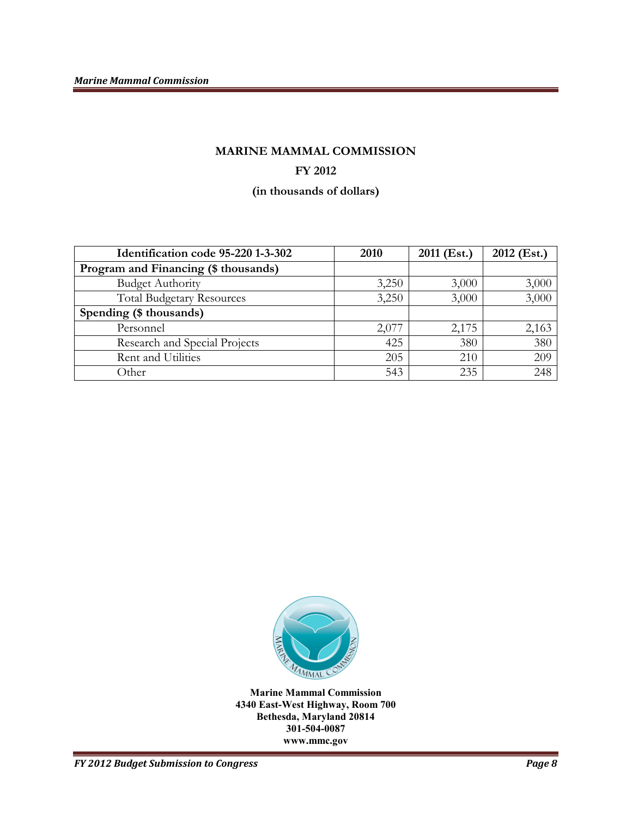# **MARINE MAMMAL COMMISSION FY 2012**

**(in thousands of dollars)**

| Identification code 95-220 1-3-302   | 2010  | 2011 (Est.) | 2012 (Est.) |
|--------------------------------------|-------|-------------|-------------|
| Program and Financing (\$ thousands) |       |             |             |
| <b>Budget Authority</b>              | 3,250 | 3,000       | 3,000       |
| <b>Total Budgetary Resources</b>     | 3,250 | 3,000       | 3,000       |
| Spending (\$ thousands)              |       |             |             |
| Personnel                            | 2,077 | 2,175       | 2,163       |
| Research and Special Projects        | 425   | 380         | 380         |
| Rent and Utilities                   | 205   | 210         | 209         |
| Other                                | 543   | 235         | 248         |



**Marine Mammal Commission 4340 East-West Highway, Room 700 Bethesda, Maryland 20814 301-504-0087 www.mmc.gov**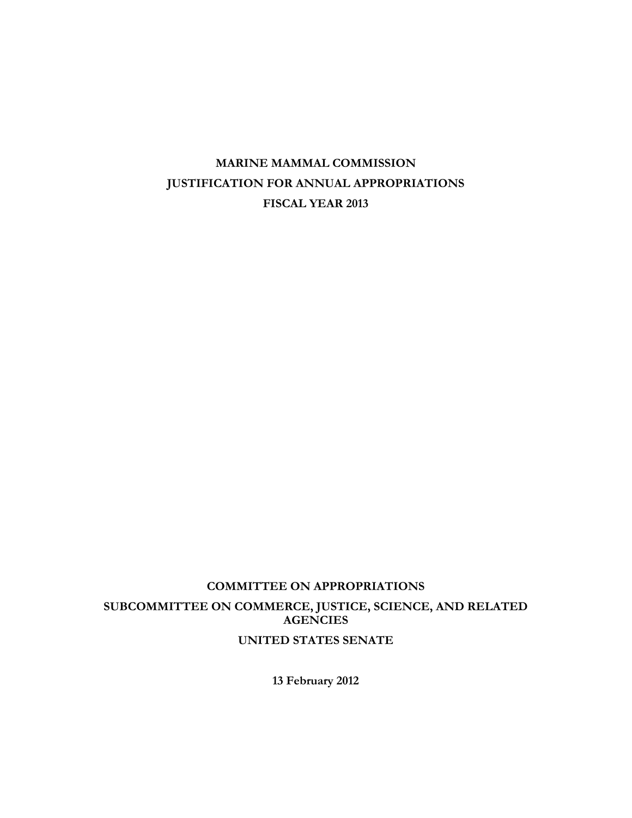# **COMMITTEE ON APPROPRIATIONS SUBCOMMITTEE ON COMMERCE, JUSTICE, SCIENCE, AND RELATED AGENCIES UNITED STATES SENATE**

**13 February 2012**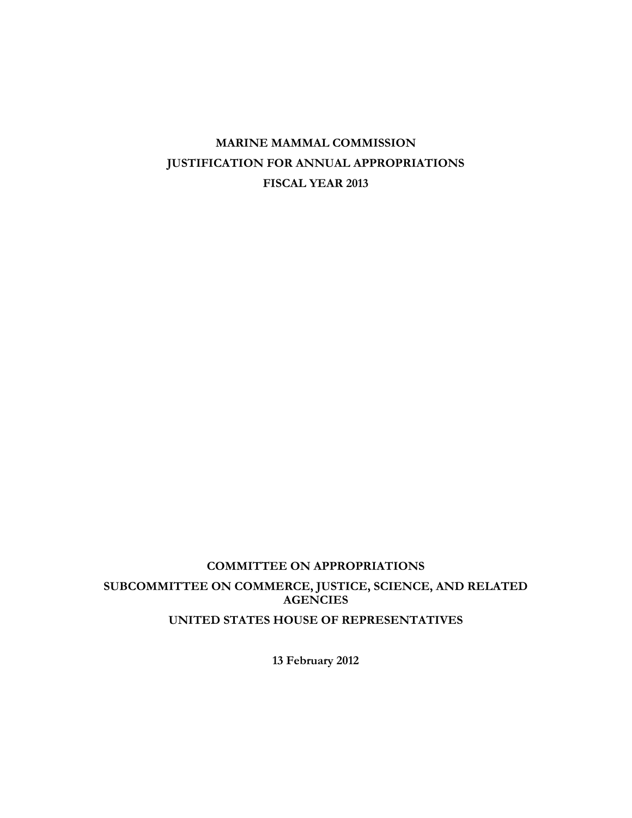# **COMMITTEE ON APPROPRIATIONS SUBCOMMITTEE ON COMMERCE, JUSTICE, SCIENCE, AND RELATED AGENCIES UNITED STATES HOUSE OF REPRESENTATIVES**

**13 February 2012**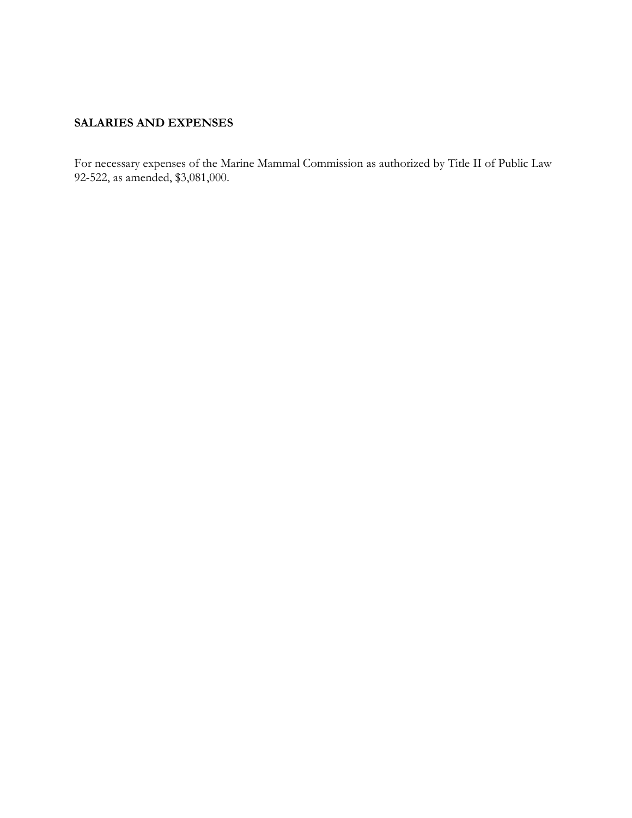# **SALARIES AND EXPENSES**

For necessary expenses of the Marine Mammal Commission as authorized by Title II of Public Law 92-522, as amended, \$3,081,000.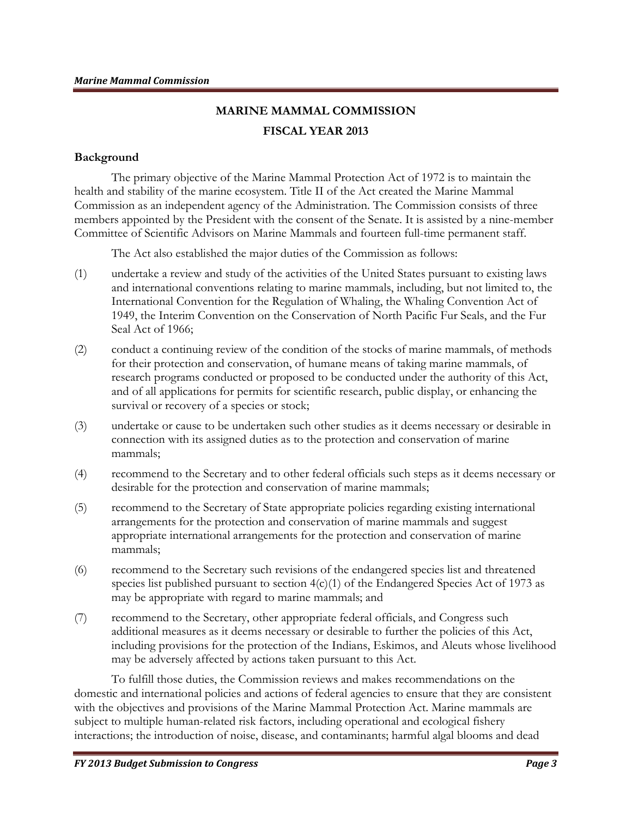# **MARINE MAMMAL COMMISSION FISCAL YEAR 2013**

#### **Background**

The primary objective of the Marine Mammal Protection Act of 1972 is to maintain the health and stability of the marine ecosystem. Title II of the Act created the Marine Mammal Commission as an independent agency of the Administration. The Commission consists of three members appointed by the President with the consent of the Senate. It is assisted by a nine-member Committee of Scientific Advisors on Marine Mammals and fourteen full-time permanent staff.

The Act also established the major duties of the Commission as follows:

- (1) undertake a review and study of the activities of the United States pursuant to existing laws and international conventions relating to marine mammals, including, but not limited to, the International Convention for the Regulation of Whaling, the Whaling Convention Act of 1949, the Interim Convention on the Conservation of North Pacific Fur Seals, and the Fur Seal Act of 1966;
- (2) conduct a continuing review of the condition of the stocks of marine mammals, of methods for their protection and conservation, of humane means of taking marine mammals, of research programs conducted or proposed to be conducted under the authority of this Act, and of all applications for permits for scientific research, public display, or enhancing the survival or recovery of a species or stock;
- (3) undertake or cause to be undertaken such other studies as it deems necessary or desirable in connection with its assigned duties as to the protection and conservation of marine mammals;
- (4) recommend to the Secretary and to other federal officials such steps as it deems necessary or desirable for the protection and conservation of marine mammals;
- (5) recommend to the Secretary of State appropriate policies regarding existing international arrangements for the protection and conservation of marine mammals and suggest appropriate international arrangements for the protection and conservation of marine mammals;
- (6) recommend to the Secretary such revisions of the endangered species list and threatened species list published pursuant to section  $4(c)(1)$  of the Endangered Species Act of 1973 as may be appropriate with regard to marine mammals; and
- (7) recommend to the Secretary, other appropriate federal officials, and Congress such additional measures as it deems necessary or desirable to further the policies of this Act, including provisions for the protection of the Indians, Eskimos, and Aleuts whose livelihood may be adversely affected by actions taken pursuant to this Act.

To fulfill those duties, the Commission reviews and makes recommendations on the domestic and international policies and actions of federal agencies to ensure that they are consistent with the objectives and provisions of the Marine Mammal Protection Act. Marine mammals are subject to multiple human-related risk factors, including operational and ecological fishery interactions; the introduction of noise, disease, and contaminants; harmful algal blooms and dead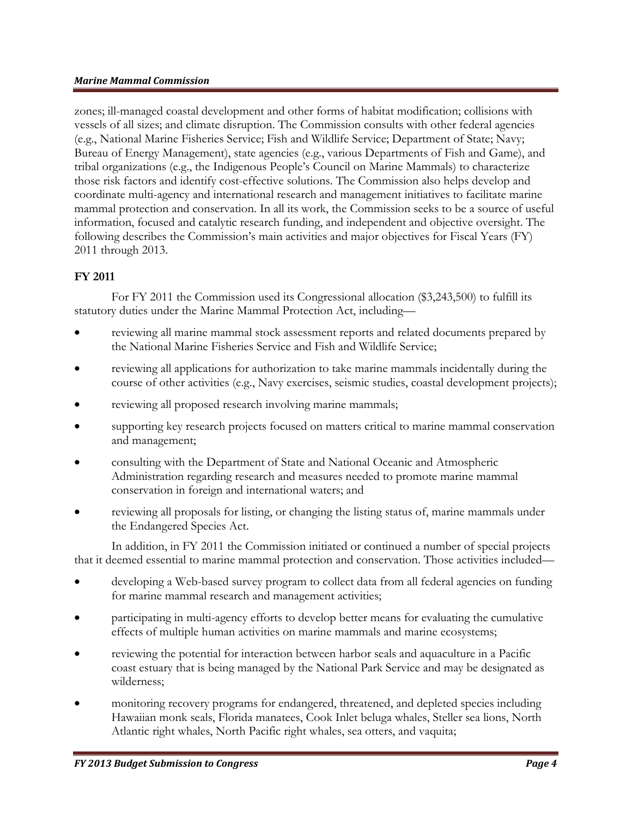zones; ill-managed coastal development and other forms of habitat modification; collisions with vessels of all sizes; and climate disruption. The Commission consults with other federal agencies (e.g., National Marine Fisheries Service; Fish and Wildlife Service; Department of State; Navy; Bureau of Energy Management), state agencies (e.g., various Departments of Fish and Game), and tribal organizations (e.g., the Indigenous People's Council on Marine Mammals) to characterize those risk factors and identify cost-effective solutions. The Commission also helps develop and coordinate multi-agency and international research and management initiatives to facilitate marine mammal protection and conservation. In all its work, the Commission seeks to be a source of useful information, focused and catalytic research funding, and independent and objective oversight. The following describes the Commission's main activities and major objectives for Fiscal Years (FY) 2011 through 2013.

### **FY 2011**

For FY 2011 the Commission used its Congressional allocation (\$3,243,500) to fulfill its statutory duties under the Marine Mammal Protection Act, including—

- reviewing all marine mammal stock assessment reports and related documents prepared by the National Marine Fisheries Service and Fish and Wildlife Service;
- reviewing all applications for authorization to take marine mammals incidentally during the course of other activities (e.g., Navy exercises, seismic studies, coastal development projects);
- reviewing all proposed research involving marine mammals;
- supporting key research projects focused on matters critical to marine mammal conservation and management;
- consulting with the Department of State and National Oceanic and Atmospheric Administration regarding research and measures needed to promote marine mammal conservation in foreign and international waters; and
- reviewing all proposals for listing, or changing the listing status of, marine mammals under the Endangered Species Act.

In addition, in FY 2011 the Commission initiated or continued a number of special projects that it deemed essential to marine mammal protection and conservation. Those activities included—

- developing a Web-based survey program to collect data from all federal agencies on funding for marine mammal research and management activities;
- participating in multi-agency efforts to develop better means for evaluating the cumulative effects of multiple human activities on marine mammals and marine ecosystems;
- reviewing the potential for interaction between harbor seals and aquaculture in a Pacific coast estuary that is being managed by the National Park Service and may be designated as wilderness;
- monitoring recovery programs for endangered, threatened, and depleted species including Hawaiian monk seals, Florida manatees, Cook Inlet beluga whales, Steller sea lions, North Atlantic right whales, North Pacific right whales, sea otters, and vaquita;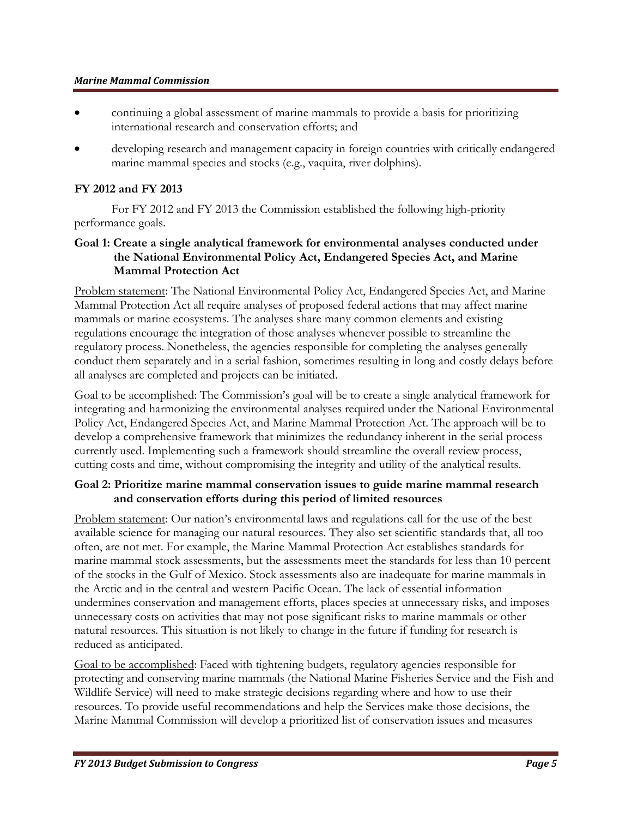- continuing a global assessment of marine mammals to provide a basis for prioritizing international research and conservation efforts; and
- developing research and management capacity in foreign countries with critically endangered marine mammal species and stocks (e.g., vaquita, river dolphins).

#### **FY 2012 and FY 2013**

For FY 2012 and FY 2013 the Commission established the following high-priority performance goals.

### **Goal 1: Create a single analytical framework for environmental analyses conducted under the National Environmental Policy Act, Endangered Species Act, and Marine Mammal Protection Act**

Problem statement: The National Environmental Policy Act, Endangered Species Act, and Marine Mammal Protection Act all require analyses of proposed federal actions that may affect marine mammals or marine ecosystems. The analyses share many common elements and existing regulations encourage the integration of those analyses whenever possible to streamline the regulatory process. Nonetheless, the agencies responsible for completing the analyses generally conduct them separately and in a serial fashion, sometimes resulting in long and costly delays before all analyses are completed and projects can be initiated.

Goal to be accomplished: The Commission's goal will be to create a single analytical framework for integrating and harmonizing the environmental analyses required under the National Environmental Policy Act, Endangered Species Act, and Marine Mammal Protection Act. The approach will be to develop a comprehensive framework that minimizes the redundancy inherent in the serial process currently used. Implementing such a framework should streamline the overall review process, cutting costs and time, without compromising the integrity and utility of the analytical results.

### **Goal 2: Prioritize marine mammal conservation issues to guide marine mammal research and conservation efforts during this period of limited resources**

Problem statement: Our nation's environmental laws and regulations call for the use of the best available science for managing our natural resources. They also set scientific standards that, all too often, are not met. For example, the Marine Mammal Protection Act establishes standards for marine mammal stock assessments, but the assessments meet the standards for less than 10 percent of the stocks in the Gulf of Mexico. Stock assessments also are inadequate for marine mammals in the Arctic and in the central and western Pacific Ocean. The lack of essential information undermines conservation and management efforts, places species at unnecessary risks, and imposes unnecessary costs on activities that may not pose significant risks to marine mammals or other natural resources. This situation is not likely to change in the future if funding for research is reduced as anticipated.

Goal to be accomplished: Faced with tightening budgets, regulatory agencies responsible for protecting and conserving marine mammals (the National Marine Fisheries Service and the Fish and Wildlife Service) will need to make strategic decisions regarding where and how to use their resources. To provide useful recommendations and help the Services make those decisions, the Marine Mammal Commission will develop a prioritized list of conservation issues and measures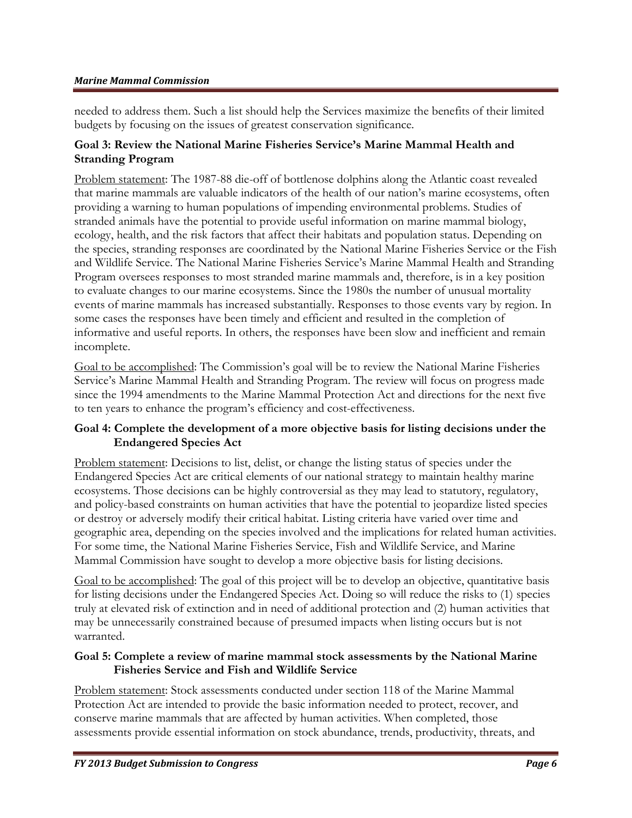needed to address them. Such a list should help the Services maximize the benefits of their limited budgets by focusing on the issues of greatest conservation significance.

### **Goal 3: Review the National Marine Fisheries Service's Marine Mammal Health and Stranding Program**

Problem statement: The 1987-88 die-off of bottlenose dolphins along the Atlantic coast revealed that marine mammals are valuable indicators of the health of our nation's marine ecosystems, often providing a warning to human populations of impending environmental problems. Studies of stranded animals have the potential to provide useful information on marine mammal biology, ecology, health, and the risk factors that affect their habitats and population status. Depending on the species, stranding responses are coordinated by the National Marine Fisheries Service or the Fish and Wildlife Service. The National Marine Fisheries Service's Marine Mammal Health and Stranding Program oversees responses to most stranded marine mammals and, therefore, is in a key position to evaluate changes to our marine ecosystems. Since the 1980s the number of unusual mortality events of marine mammals has increased substantially. Responses to those events vary by region. In some cases the responses have been timely and efficient and resulted in the completion of informative and useful reports. In others, the responses have been slow and inefficient and remain incomplete.

Goal to be accomplished: The Commission's goal will be to review the National Marine Fisheries Service's Marine Mammal Health and Stranding Program. The review will focus on progress made since the 1994 amendments to the Marine Mammal Protection Act and directions for the next five to ten years to enhance the program's efficiency and cost-effectiveness.

### **Goal 4: Complete the development of a more objective basis for listing decisions under the Endangered Species Act**

Problem statement: Decisions to list, delist, or change the listing status of species under the Endangered Species Act are critical elements of our national strategy to maintain healthy marine ecosystems. Those decisions can be highly controversial as they may lead to statutory, regulatory, and policy-based constraints on human activities that have the potential to jeopardize listed species or destroy or adversely modify their critical habitat. Listing criteria have varied over time and geographic area, depending on the species involved and the implications for related human activities. For some time, the National Marine Fisheries Service, Fish and Wildlife Service, and Marine Mammal Commission have sought to develop a more objective basis for listing decisions.

Goal to be accomplished: The goal of this project will be to develop an objective, quantitative basis for listing decisions under the Endangered Species Act. Doing so will reduce the risks to (1) species truly at elevated risk of extinction and in need of additional protection and (2) human activities that may be unnecessarily constrained because of presumed impacts when listing occurs but is not warranted.

### **Goal 5: Complete a review of marine mammal stock assessments by the National Marine Fisheries Service and Fish and Wildlife Service**

Problem statement: Stock assessments conducted under section 118 of the Marine Mammal Protection Act are intended to provide the basic information needed to protect, recover, and conserve marine mammals that are affected by human activities. When completed, those assessments provide essential information on stock abundance, trends, productivity, threats, and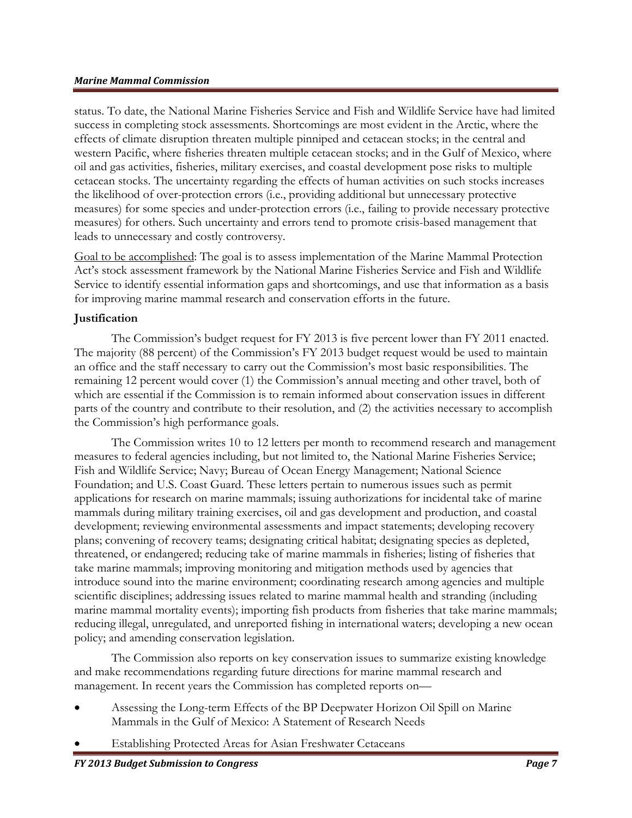status. To date, the National Marine Fisheries Service and Fish and Wildlife Service have had limited success in completing stock assessments. Shortcomings are most evident in the Arctic, where the effects of climate disruption threaten multiple pinniped and cetacean stocks; in the central and western Pacific, where fisheries threaten multiple cetacean stocks; and in the Gulf of Mexico, where oil and gas activities, fisheries, military exercises, and coastal development pose risks to multiple cetacean stocks. The uncertainty regarding the effects of human activities on such stocks increases the likelihood of over-protection errors (i.e., providing additional but unnecessary protective measures) for some species and under-protection errors (i.e., failing to provide necessary protective measures) for others. Such uncertainty and errors tend to promote crisis-based management that leads to unnecessary and costly controversy.

Goal to be accomplished: The goal is to assess implementation of the Marine Mammal Protection Act's stock assessment framework by the National Marine Fisheries Service and Fish and Wildlife Service to identify essential information gaps and shortcomings, and use that information as a basis for improving marine mammal research and conservation efforts in the future.

#### **Justification**

The Commission's budget request for FY 2013 is five percent lower than FY 2011 enacted. The majority (88 percent) of the Commission's FY 2013 budget request would be used to maintain an office and the staff necessary to carry out the Commission's most basic responsibilities. The remaining 12 percent would cover (1) the Commission's annual meeting and other travel, both of which are essential if the Commission is to remain informed about conservation issues in different parts of the country and contribute to their resolution, and (2) the activities necessary to accomplish the Commission's high performance goals.

The Commission writes 10 to 12 letters per month to recommend research and management measures to federal agencies including, but not limited to, the National Marine Fisheries Service; Fish and Wildlife Service; Navy; Bureau of Ocean Energy Management; National Science Foundation; and U.S. Coast Guard. These letters pertain to numerous issues such as permit applications for research on marine mammals; issuing authorizations for incidental take of marine mammals during military training exercises, oil and gas development and production, and coastal development; reviewing environmental assessments and impact statements; developing recovery plans; convening of recovery teams; designating critical habitat; designating species as depleted, threatened, or endangered; reducing take of marine mammals in fisheries; listing of fisheries that take marine mammals; improving monitoring and mitigation methods used by agencies that introduce sound into the marine environment; coordinating research among agencies and multiple scientific disciplines; addressing issues related to marine mammal health and stranding (including marine mammal mortality events); importing fish products from fisheries that take marine mammals; reducing illegal, unregulated, and unreported fishing in international waters; developing a new ocean policy; and amending conservation legislation.

The Commission also reports on key conservation issues to summarize existing knowledge and make recommendations regarding future directions for marine mammal research and management. In recent years the Commission has completed reports on—

- Assessing the Long-term Effects of the BP Deepwater Horizon Oil Spill on Marine Mammals in the Gulf of Mexico: A Statement of Research Needs
- Establishing Protected Areas for Asian Freshwater Cetaceans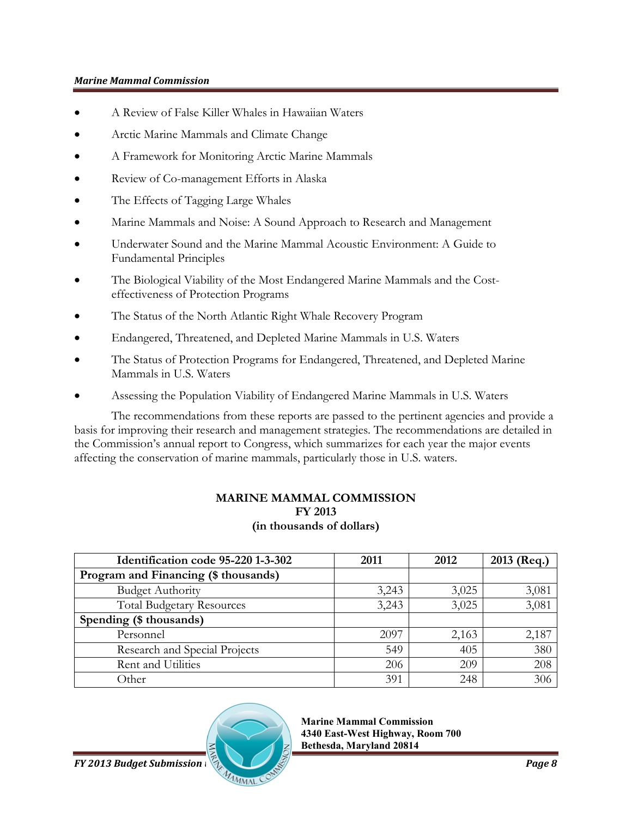- A Review of False Killer Whales in Hawaiian Waters
- Arctic Marine Mammals and Climate Change
- A Framework for Monitoring Arctic Marine Mammals
- Review of Co-management Efforts in Alaska
- The Effects of Tagging Large Whales
- Marine Mammals and Noise: A Sound Approach to Research and Management
- Underwater Sound and the Marine Mammal Acoustic Environment: A Guide to Fundamental Principles
- The Biological Viability of the Most Endangered Marine Mammals and the Costeffectiveness of Protection Programs
- The Status of the North Atlantic Right Whale Recovery Program
- Endangered, Threatened, and Depleted Marine Mammals in U.S. Waters
- The Status of Protection Programs for Endangered, Threatened, and Depleted Marine Mammals in U.S. Waters
- Assessing the Population Viability of Endangered Marine Mammals in U.S. Waters

The recommendations from these reports are passed to the pertinent agencies and provide a basis for improving their research and management strategies. The recommendations are detailed in the Commission's annual report to Congress, which summarizes for each year the major events affecting the conservation of marine mammals, particularly those in U.S. waters.

#### **MARINE MAMMAL COMMISSION FY 2013 (in thousands of dollars)**

| Identification code 95-220 1-3-302   | 2011  | 2012  | 2013 (Req.) |
|--------------------------------------|-------|-------|-------------|
| Program and Financing (\$ thousands) |       |       |             |
| <b>Budget Authority</b>              | 3,243 | 3,025 | 3,081       |
| <b>Total Budgetary Resources</b>     | 3,243 | 3,025 | 3,081       |
| Spending (\$ thousands)              |       |       |             |
| Personnel                            | 2097  | 2,163 | 2,187       |
| Research and Special Projects        | 549   | 405   | 380         |
| Rent and Utilities                   | 206   | 209   | 208         |
| Other                                | 391   | 248   | 306         |



**Marine Mammal Commission 4340 East-West Highway, Room 700 Bethesda, Maryland 20814**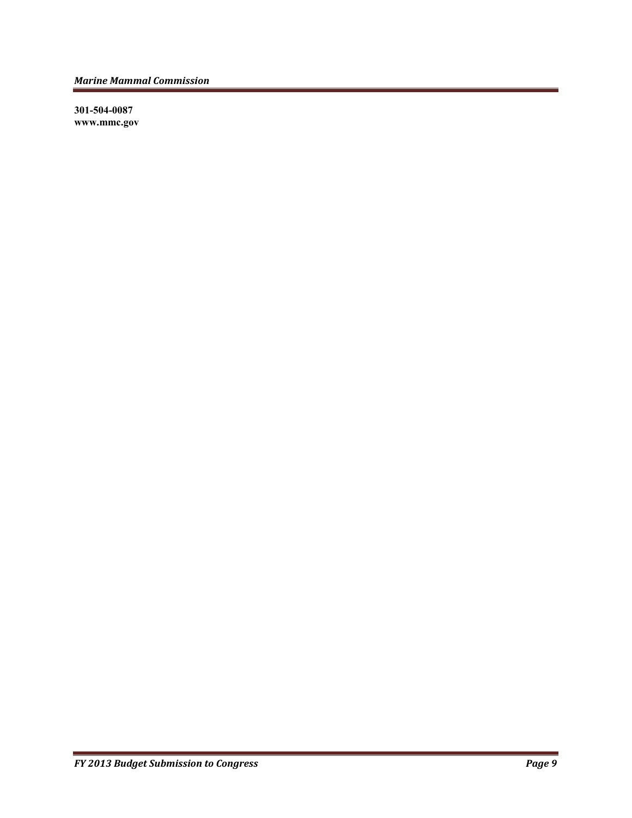**301-504-0087 www.mmc.gov**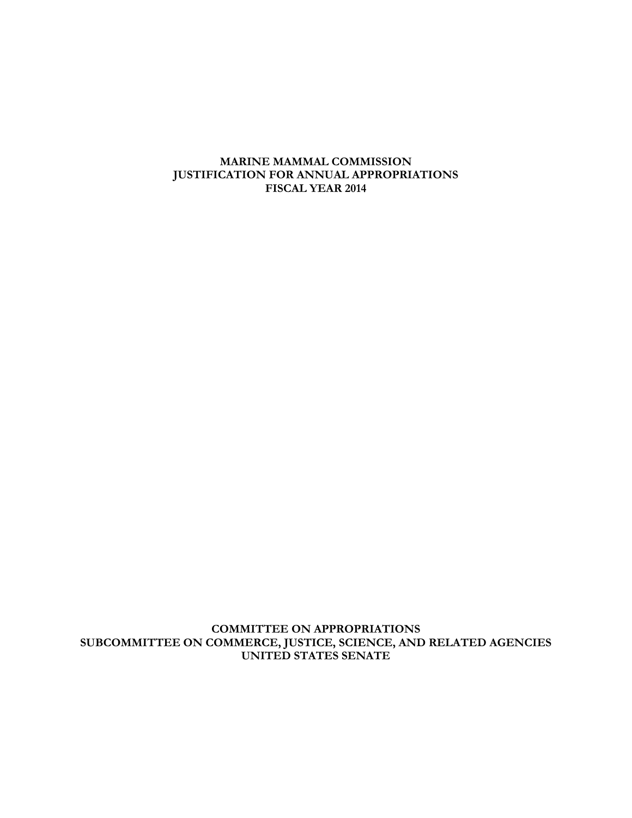**COMMITTEE ON APPROPRIATIONS SUBCOMMITTEE ON COMMERCE, JUSTICE, SCIENCE, AND RELATED AGENCIES UNITED STATES SENATE**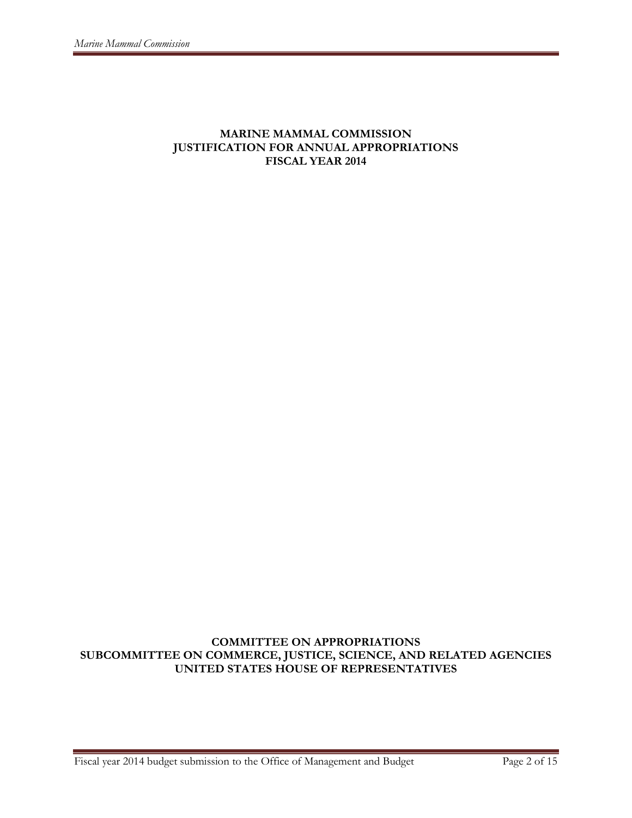### **COMMITTEE ON APPROPRIATIONS SUBCOMMITTEE ON COMMERCE, JUSTICE, SCIENCE, AND RELATED AGENCIES UNITED STATES HOUSE OF REPRESENTATIVES**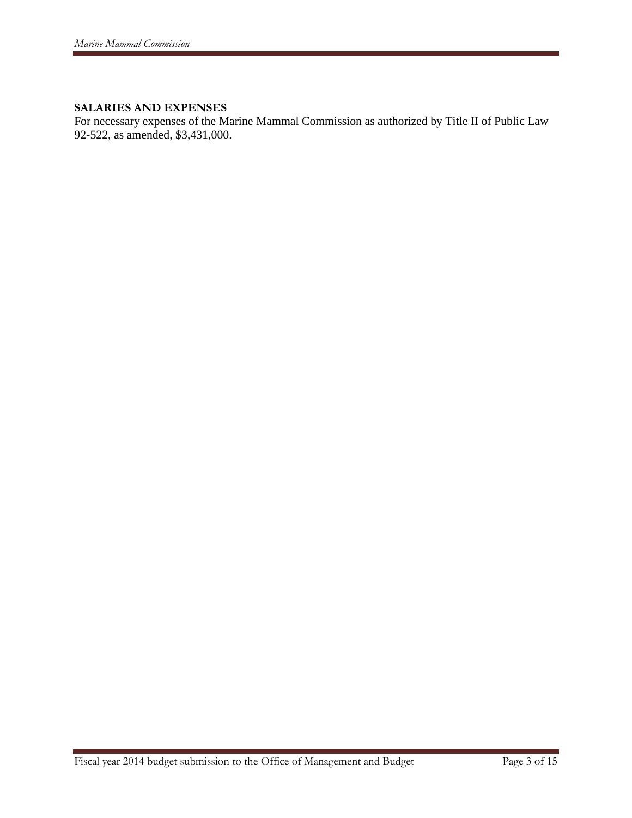### **SALARIES AND EXPENSES**

For necessary expenses of the Marine Mammal Commission as authorized by Title II of Public Law 92-522, as amended, \$3,431,000.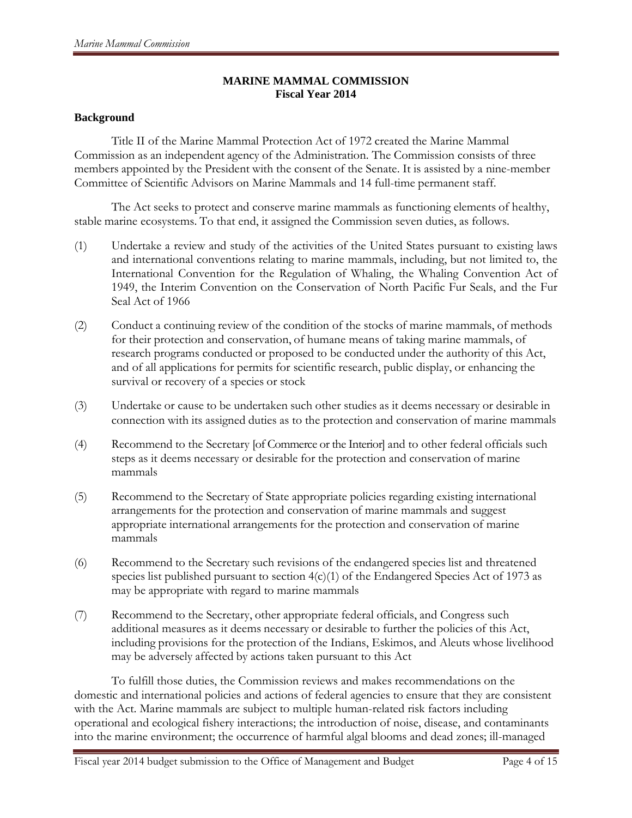#### **MARINE MAMMAL COMMISSION Fiscal Year 2014**

#### **Background**

Title II of the Marine Mammal Protection Act of 1972 created the Marine Mammal Commission as an independent agency of the Administration. The Commission consists of three members appointed by the President with the consent of the Senate. It is assisted by a nine-member Committee of Scientific Advisors on Marine Mammals and 14 full-time permanent staff.

The Act seeks to protect and conserve marine mammals as functioning elements of healthy, stable marine ecosystems. To that end, it assigned the Commission seven duties, as follows.

- (1) Undertake a review and study of the activities of the United States pursuant to existing laws and international conventions relating to marine mammals, including, but not limited to, the International Convention for the Regulation of Whaling, the Whaling Convention Act of 1949, the Interim Convention on the Conservation of North Pacific Fur Seals, and the Fur Seal Act of 1966
- (2) Conduct a continuing review of the condition of the stocks of marine mammals, of methods for their protection and conservation, of humane means of taking marine mammals, of research programs conducted or proposed to be conducted under the authority of this Act, and of all applications for permits for scientific research, public display, or enhancing the survival or recovery of a species or stock
- (3) Undertake or cause to be undertaken such other studies as it deems necessary or desirable in connection with its assigned duties as to the protection and conservation of marine mammals
- (4) Recommend to the Secretary [of Commerce or the Interior] and to other federal officials such steps as it deems necessary or desirable for the protection and conservation of marine mammals
- (5) Recommend to the Secretary of State appropriate policies regarding existing international arrangements for the protection and conservation of marine mammals and suggest appropriate international arrangements for the protection and conservation of marine mammals
- (6) Recommend to the Secretary such revisions of the endangered species list and threatened species list published pursuant to section  $4(c)(1)$  of the Endangered Species Act of 1973 as may be appropriate with regard to marine mammals
- (7) Recommend to the Secretary, other appropriate federal officials, and Congress such additional measures as it deems necessary or desirable to further the policies of this Act, including provisions for the protection of the Indians, Eskimos, and Aleuts whose livelihood may be adversely affected by actions taken pursuant to this Act

To fulfill those duties, the Commission reviews and makes recommendations on the domestic and international policies and actions of federal agencies to ensure that they are consistent with the Act. Marine mammals are subject to multiple human-related risk factors including operational and ecological fishery interactions; the introduction of noise, disease, and contaminants into the marine environment; the occurrence of harmful algal blooms and dead zones; ill-managed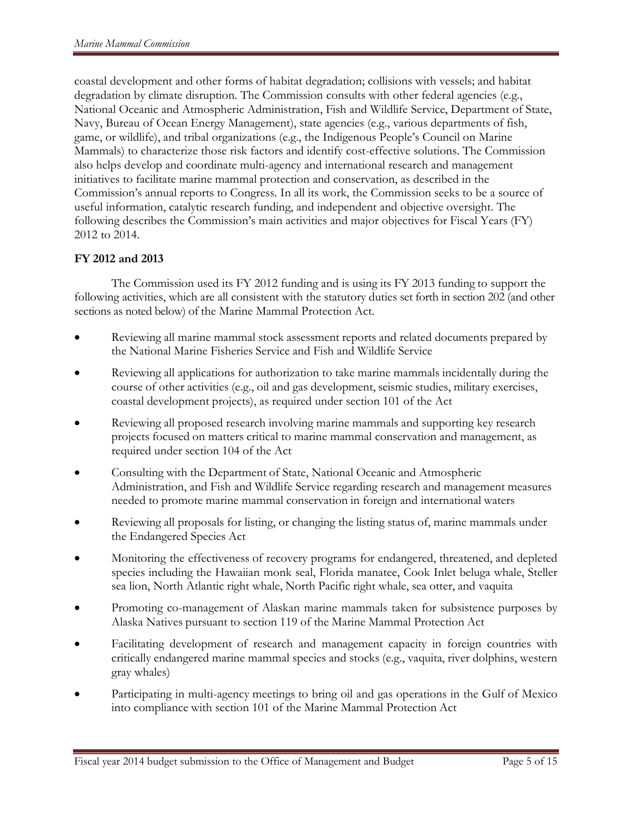coastal development and other forms of habitat degradation; collisions with vessels; and habitat degradation by climate disruption. The Commission consults with other federal agencies (e.g., National Oceanic and Atmospheric Administration, Fish and Wildlife Service, Department of State, Navy, Bureau of Ocean Energy Management), state agencies (e.g., various departments of fish, game, or wildlife), and tribal organizations (e.g., the Indigenous People's Council on Marine Mammals) to characterize those risk factors and identify cost-effective solutions. The Commission also helps develop and coordinate multi-agency and international research and management initiatives to facilitate marine mammal protection and conservation, as described in the Commission's annual reports to Congress. In all its work, the Commission seeks to be a source of useful information, catalytic research funding, and independent and objective oversight. The following describes the Commission's main activities and major objectives for Fiscal Years (FY) 2012 to 2014.

# **FY 2012 and 2013**

The Commission used its FY 2012 funding and is using its FY 2013 funding to support the following activities, which are all consistent with the statutory duties set forth in section 202 (and other sections as noted below) of the Marine Mammal Protection Act.

- Reviewing all marine mammal stock assessment reports and related documents prepared by the National Marine Fisheries Service and Fish and Wildlife Service
- Reviewing all applications for authorization to take marine mammals incidentally during the course of other activities (e.g., oil and gas development, seismic studies, military exercises, coastal development projects), as required under section 101 of the Act
- Reviewing all proposed research involving marine mammals and supporting key research projects focused on matters critical to marine mammal conservation and management, as required under section 104 of the Act
- Consulting with the Department of State, National Oceanic and Atmospheric Administration, and Fish and Wildlife Service regarding research and management measures needed to promote marine mammal conservation in foreign and international waters
- Reviewing all proposals for listing, or changing the listing status of, marine mammals under the Endangered Species Act
- Monitoring the effectiveness of recovery programs for endangered, threatened, and depleted species including the Hawaiian monk seal, Florida manatee, Cook Inlet beluga whale, Steller sea lion, North Atlantic right whale, North Pacific right whale, sea otter, and vaquita
- Promoting co-management of Alaskan marine mammals taken for subsistence purposes by Alaska Natives pursuant to section 119 of the Marine Mammal Protection Act
- Facilitating development of research and management capacity in foreign countries with critically endangered marine mammal species and stocks (e.g., vaquita, river dolphins, western gray whales)
- Participating in multi-agency meetings to bring oil and gas operations in the Gulf of Mexico into compliance with section 101 of the Marine Mammal Protection Act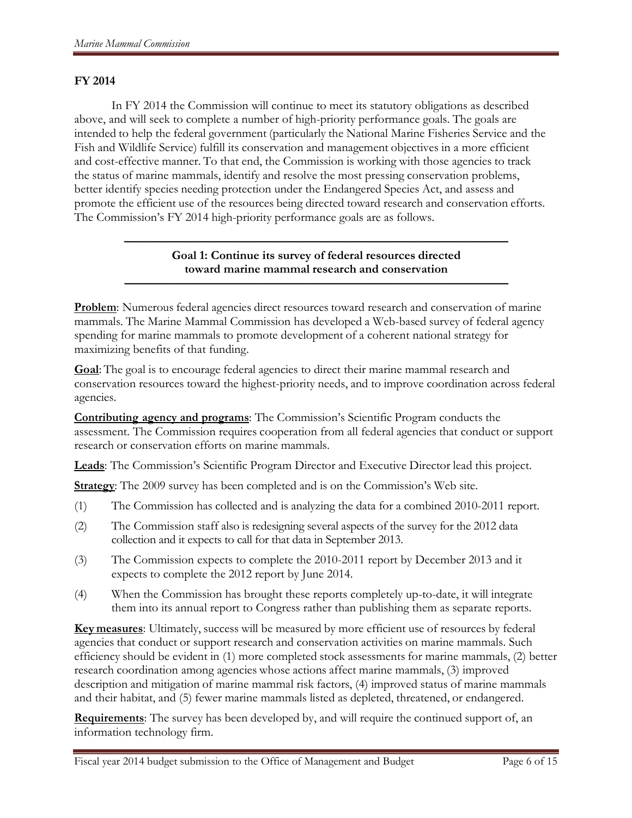#### **FY 2014**

In FY 2014 the Commission will continue to meet its statutory obligations as described above, and will seek to complete a number of high-priority performance goals. The goals are intended to help the federal government (particularly the National Marine Fisheries Service and the Fish and Wildlife Service) fulfill its conservation and management objectives in a more efficient and cost-effective manner. To that end, the Commission is working with those agencies to track the status of marine mammals, identify and resolve the most pressing conservation problems, better identify species needing protection under the Endangered Species Act, and assess and promote the efficient use of the resources being directed toward research and conservation efforts. The Commission's FY 2014 high-priority performance goals are as follows.

# **Goal 1: Continue its survey of federal resources directed toward marine mammal research and conservation**

**———————————————————————————————**

**———————————————————————————————**

**Problem**: Numerous federal agencies direct resources toward research and conservation of marine mammals. The Marine Mammal Commission has developed a Web-based survey of federal agency spending for marine mammals to promote development of a coherent national strategy for maximizing benefits of that funding.

**Goal**: The goal is to encourage federal agencies to direct their marine mammal research and conservation resources toward the highest-priority needs, and to improve coordination across federal agencies.

**Contributing agency and programs**: The Commission's Scientific Program conducts the assessment. The Commission requires cooperation from all federal agencies that conduct or support research or conservation efforts on marine mammals.

**Leads**: The Commission's Scientific Program Director and Executive Director lead this project.

**Strategy**: The 2009 survey has been completed and is on the Commission's Web site.

- (1) The Commission has collected and is analyzing the data for a combined 2010-2011 report.
- (2) The Commission staff also is redesigning several aspects of the survey for the 2012 data collection and it expects to call for that data in September 2013.
- (3) The Commission expects to complete the 2010-2011 report by December 2013 and it expects to complete the 2012 report by June 2014.
- (4) When the Commission has brought these reports completely up-to-date, it will integrate them into its annual report to Congress rather than publishing them as separate reports.

**Key measures**: Ultimately, success will be measured by more efficient use of resources by federal agencies that conduct or support research and conservation activities on marine mammals. Such efficiency should be evident in (1) more completed stock assessments for marine mammals, (2) better research coordination among agencies whose actions affect marine mammals, (3) improved description and mitigation of marine mammal risk factors, (4) improved status of marine mammals and their habitat, and (5) fewer marine mammals listed as depleted, threatened, or endangered.

**Requirements**: The survey has been developed by, and will require the continued support of, an information technology firm.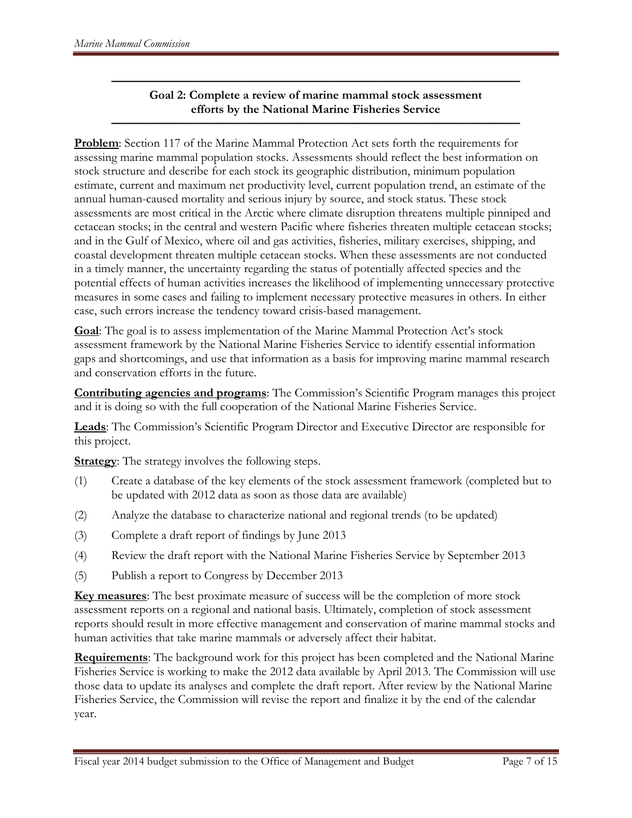#### **————————————————————————————————— Goal 2: Complete a review of marine mammal stock assessment efforts by the National Marine Fisheries Service**

**—————————————————————————————————**

**Problem**: Section 117 of the Marine Mammal Protection Act sets forth the requirements for assessing marine mammal population stocks. Assessments should reflect the best information on stock structure and describe for each stock its geographic distribution, minimum population estimate, current and maximum net productivity level, current population trend, an estimate of the annual human-caused mortality and serious injury by source, and stock status. These stock assessments are most critical in the Arctic where climate disruption threatens multiple pinniped and cetacean stocks; in the central and western Pacific where fisheries threaten multiple cetacean stocks; and in the Gulf of Mexico, where oil and gas activities, fisheries, military exercises, shipping, and coastal development threaten multiple cetacean stocks. When these assessments are not conducted in a timely manner, the uncertainty regarding the status of potentially affected species and the potential effects of human activities increases the likelihood of implementing unnecessary protective measures in some cases and failing to implement necessary protective measures in others. In either case, such errors increase the tendency toward crisis-based management.

**Goal**: The goal is to assess implementation of the Marine Mammal Protection Act's stock assessment framework by the National Marine Fisheries Service to identify essential information gaps and shortcomings, and use that information as a basis for improving marine mammal research and conservation efforts in the future.

**Contributing agencies and programs**: The Commission's Scientific Program manages this project and it is doing so with the full cooperation of the National Marine Fisheries Service.

**Leads**: The Commission's Scientific Program Director and Executive Director are responsible for this project.

**Strategy:** The strategy involves the following steps.

- (1) Create a database of the key elements of the stock assessment framework (completed but to be updated with 2012 data as soon as those data are available)
- (2) Analyze the database to characterize national and regional trends (to be updated)
- (3) Complete a draft report of findings by June 2013
- (4) Review the draft report with the National Marine Fisheries Service by September 2013
- (5) Publish a report to Congress by December 2013

**Key measures**: The best proximate measure of success will be the completion of more stock assessment reports on a regional and national basis. Ultimately, completion of stock assessment reports should result in more effective management and conservation of marine mammal stocks and human activities that take marine mammals or adversely affect their habitat.

**Requirements**: The background work for this project has been completed and the National Marine Fisheries Service is working to make the 2012 data available by April 2013. The Commission will use those data to update its analyses and complete the draft report. After review by the National Marine Fisheries Service, the Commission will revise the report and finalize it by the end of the calendar year.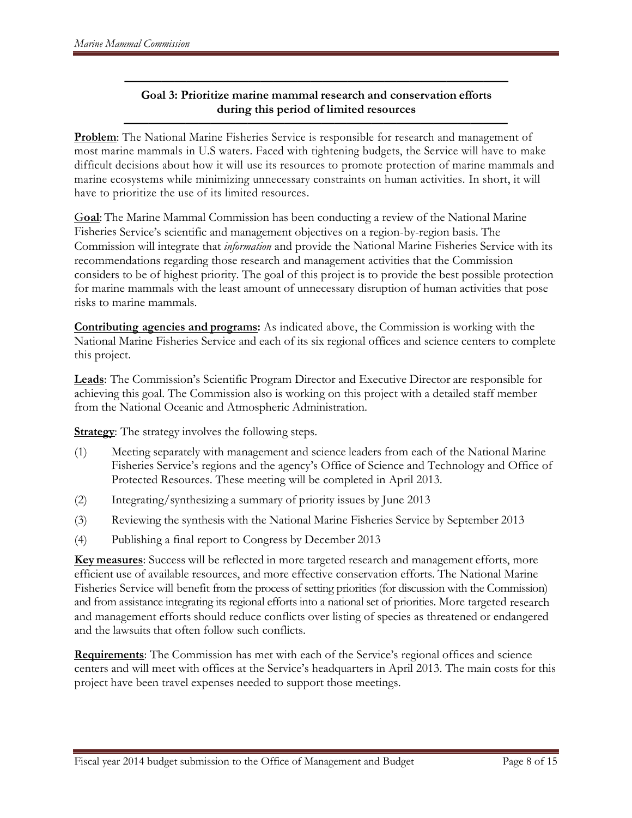### **——————————————————————————————— Goal 3: Prioritize marine mammal research and conservation efforts during this period of limited resources**

**———————————————————————————————**

**Problem**: The National Marine Fisheries Service is responsible for research and management of most marine mammals in U.S waters. Faced with tightening budgets, the Service will have to make difficult decisions about how it will use its resources to promote protection of marine mammals and marine ecosystems while minimizing unnecessary constraints on human activities. In short, it will have to prioritize the use of its limited resources.

G**oal**: The Marine Mammal Commission has been conducting a review of the National Marine Fisheries Service's scientific and management objectives on a region-by-region basis. The Commission will integrate that *information* and provide the National Marine Fisheries Service with its recommendations regarding those research and management activities that the Commission considers to be of highest priority. The goal of this project is to provide the best possible protection for marine mammals with the least amount of unnecessary disruption of human activities that pose risks to marine mammals.

**Contributing agencies and programs:** As indicated above, the Commission is working with the National Marine Fisheries Service and each of its six regional offices and science centers to complete this project.

**Leads**: The Commission's Scientific Program Director and Executive Director are responsible for achieving this goal. The Commission also is working on this project with a detailed staff member from the National Oceanic and Atmospheric Administration.

**Strategy:** The strategy involves the following steps.

- (1) Meeting separately with management and science leaders from each of the National Marine Fisheries Service's regions and the agency's Office of Science and Technology and Office of Protected Resources. These meeting will be completed in April 2013.
- (2) Integrating/synthesizing a summary of priority issues by June 2013
- (3) Reviewing the synthesis with the National Marine Fisheries Service by September 2013
- (4) Publishing a final report to Congress by December 2013

**Key measures**: Success will be reflected in more targeted research and management efforts, more efficient use of available resources, and more effective conservation efforts. The National Marine Fisheries Service will benefit from the process of setting priorities (for discussion with the Commission) and from assistance integrating its regional efforts into a national set of priorities. More targeted research and management efforts should reduce conflicts over listing of species as threatened or endangered and the lawsuits that often follow such conflicts.

**Requirements**: The Commission has met with each of the Service's regional offices and science centers and will meet with offices at the Service's headquarters in April 2013. The main costs for this project have been travel expenses needed to support those meetings.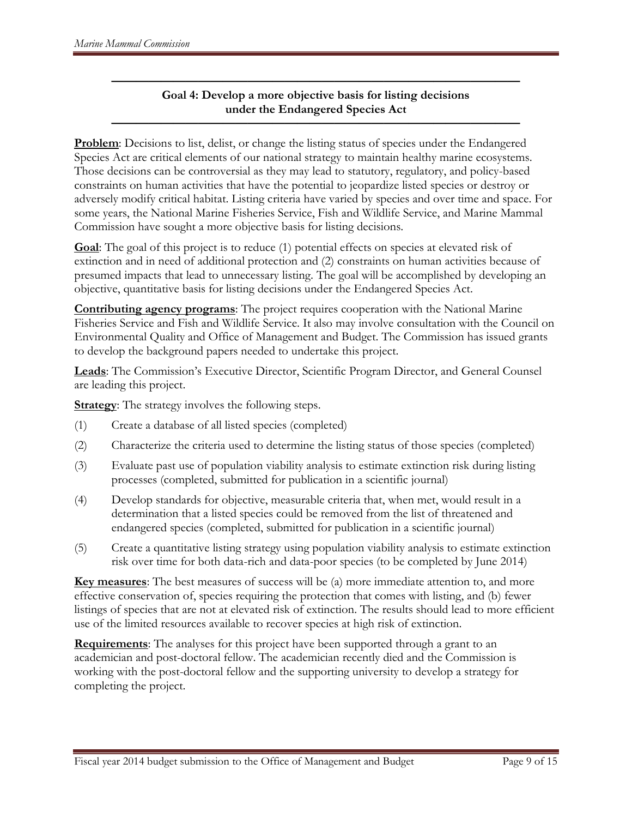### **————————————————————————————————— Goal 4: Develop a more objective basis for listing decisions under the Endangered Species Act**

**—————————————————————————————————**

**Problem:** Decisions to list, delist, or change the listing status of species under the Endangered Species Act are critical elements of our national strategy to maintain healthy marine ecosystems. Those decisions can be controversial as they may lead to statutory, regulatory, and policy-based constraints on human activities that have the potential to jeopardize listed species or destroy or adversely modify critical habitat. Listing criteria have varied by species and over time and space. For some years, the National Marine Fisheries Service, Fish and Wildlife Service, and Marine Mammal Commission have sought a more objective basis for listing decisions.

**Goal**: The goal of this project is to reduce (1) potential effects on species at elevated risk of extinction and in need of additional protection and (2) constraints on human activities because of presumed impacts that lead to unnecessary listing. The goal will be accomplished by developing an objective, quantitative basis for listing decisions under the Endangered Species Act.

**Contributing agency programs**: The project requires cooperation with the National Marine Fisheries Service and Fish and Wildlife Service. It also may involve consultation with the Council on Environmental Quality and Office of Management and Budget. The Commission has issued grants to develop the background papers needed to undertake this project.

**Leads**: The Commission's Executive Director, Scientific Program Director, and General Counsel are leading this project.

**Strategy:** The strategy involves the following steps.

- (1) Create a database of all listed species (completed)
- (2) Characterize the criteria used to determine the listing status of those species (completed)
- (3) Evaluate past use of population viability analysis to estimate extinction risk during listing processes (completed, submitted for publication in a scientific journal)
- (4) Develop standards for objective, measurable criteria that, when met, would result in a determination that a listed species could be removed from the list of threatened and endangered species (completed, submitted for publication in a scientific journal)
- (5) Create a quantitative listing strategy using population viability analysis to estimate extinction risk over time for both data-rich and data-poor species (to be completed by June 2014)

**Key measures**: The best measures of success will be (a) more immediate attention to, and more effective conservation of, species requiring the protection that comes with listing, and (b) fewer listings of species that are not at elevated risk of extinction. The results should lead to more efficient use of the limited resources available to recover species at high risk of extinction.

**Requirements**: The analyses for this project have been supported through a grant to an academician and post-doctoral fellow. The academician recently died and the Commission is working with the post-doctoral fellow and the supporting university to develop a strategy for completing the project.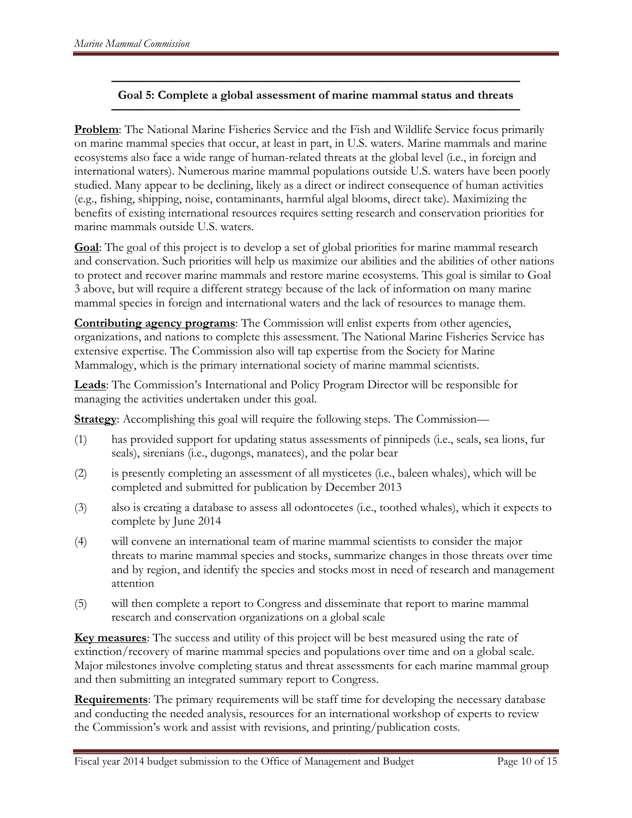#### **————————————————————————————————— Goal 5: Complete a global assessment of marine mammal status and threats —————————————————————————————————**

**Problem**: The National Marine Fisheries Service and the Fish and Wildlife Service focus primarily on marine mammal species that occur, at least in part, in U.S. waters. Marine mammals and marine ecosystems also face a wide range of human-related threats at the global level (i.e., in foreign and international waters). Numerous marine mammal populations outside U.S. waters have been poorly studied. Many appear to be declining, likely as a direct or indirect consequence of human activities (e.g., fishing, shipping, noise, contaminants, harmful algal blooms, direct take). Maximizing the benefits of existing international resources requires setting research and conservation priorities for marine mammals outside U.S. waters.

**Goal**: The goal of this project is to develop a set of global priorities for marine mammal research and conservation. Such priorities will help us maximize our abilities and the abilities of other nations to protect and recover marine mammals and restore marine ecosystems. This goal is similar to Goal 3 above, but will require a different strategy because of the lack of information on many marine mammal species in foreign and international waters and the lack of resources to manage them.

**Contributing agency programs**: The Commission will enlist experts from other agencies, organizations, and nations to complete this assessment. The National Marine Fisheries Service has extensive expertise. The Commission also will tap expertise from the Society for Marine Mammalogy, which is the primary international society of marine mammal scientists.

**Leads**: The Commission's International and Policy Program Director will be responsible for managing the activities undertaken under this goal.

**Strategy**: Accomplishing this goal will require the following steps. The Commission—

- (1) has provided support for updating status assessments of pinnipeds (i.e., seals, sea lions, fur seals), sirenians (i.e., dugongs, manatees), and the polar bear
- (2) is presently completing an assessment of all mysticetes (i.e., baleen whales), which will be completed and submitted for publication by December 2013
- (3) also is creating a database to assess all odontocetes (i.e., toothed whales), which it expects to complete by June 2014
- (4) will convene an international team of marine mammal scientists to consider the major threats to marine mammal species and stocks, summarize changes in those threats over time and by region, and identify the species and stocks most in need of research and management attention
- (5) will then complete a report to Congress and disseminate that report to marine mammal research and conservation organizations on a global scale

**Key measures**: The success and utility of this project will be best measured using the rate of extinction/recovery of marine mammal species and populations over time and on a global scale. Major milestones involve completing status and threat assessments for each marine mammal group and then submitting an integrated summary report to Congress.

**Requirements**: The primary requirements will be staff time for developing the necessary database and conducting the needed analysis, resources for an international workshop of experts to review the Commission's work and assist with revisions, and printing/publication costs.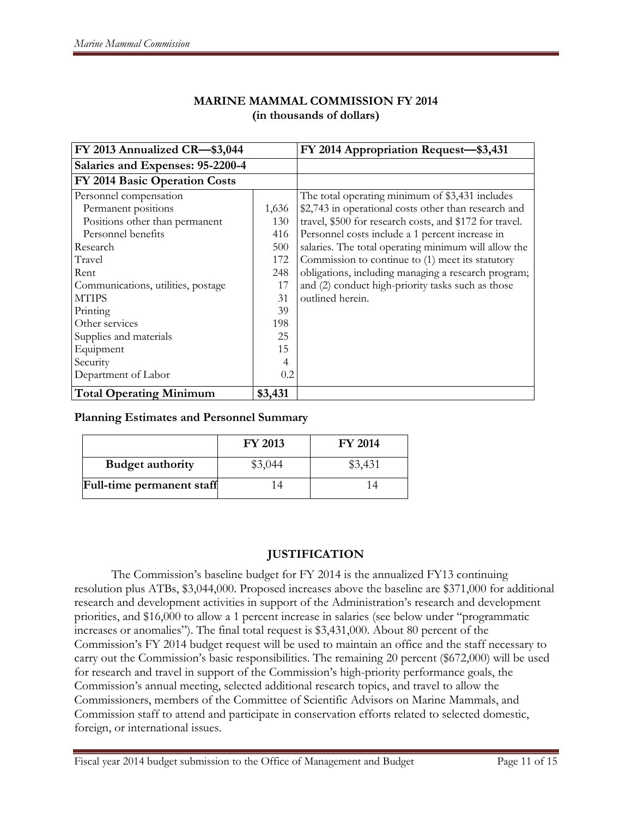| FY 2013 Annualized CR-\$3,044      |         | FY 2014 Appropriation Request-\$3,431                   |
|------------------------------------|---------|---------------------------------------------------------|
| Salaries and Expenses: 95-2200-4   |         |                                                         |
| FY 2014 Basic Operation Costs      |         |                                                         |
| Personnel compensation             |         | The total operating minimum of \$3,431 includes         |
| Permanent positions                | 1,636   | \$2,743 in operational costs other than research and    |
| Positions other than permanent     | 130     | travel, \$500 for research costs, and \$172 for travel. |
| Personnel benefits                 | 416     | Personnel costs include a 1 percent increase in         |
| Research                           | 500     | salaries. The total operating minimum will allow the    |
| Travel                             | 172     | Commission to continue to (1) meet its statutory        |
| Rent                               | 248     | obligations, including managing a research program;     |
| Communications, utilities, postage | 17      | and (2) conduct high-priority tasks such as those       |
| <b>MTIPS</b>                       | 31      | outlined herein.                                        |
| Printing                           | 39      |                                                         |
| Other services                     | 198     |                                                         |
| Supplies and materials             | 25      |                                                         |
| Equipment                          | 15      |                                                         |
| Security                           | 4       |                                                         |
| Department of Labor                | 0.2     |                                                         |
| <b>Total Operating Minimum</b>     | \$3,431 |                                                         |

## **MARINE MAMMAL COMMISSION FY 2014 (in thousands of dollars)**

### **Planning Estimates and Personnel Summary**

|                           | <b>FY 2013</b> | <b>FY 2014</b> |
|---------------------------|----------------|----------------|
| <b>Budget authority</b>   | \$3.044        | \$3,431        |
| Full-time permanent staff | $\Delta$       |                |

# **JUSTIFICATION**

The Commission's baseline budget for FY 2014 is the annualized FY13 continuing resolution plus ATBs, \$3,044,000. Proposed increases above the baseline are \$371,000 for additional research and development activities in support of the Administration's research and development priorities, and \$16,000 to allow a 1 percent increase in salaries (see below under "programmatic increases or anomalies"). The final total request is \$3,431,000. About 80 percent of the Commission's FY 2014 budget request will be used to maintain an office and the staff necessary to carry out the Commission's basic responsibilities. The remaining 20 percent (\$672,000) will be used for research and travel in support of the Commission's high-priority performance goals, the Commission's annual meeting, selected additional research topics, and travel to allow the Commissioners, members of the Committee of Scientific Advisors on Marine Mammals, and Commission staff to attend and participate in conservation efforts related to selected domestic, foreign, or international issues.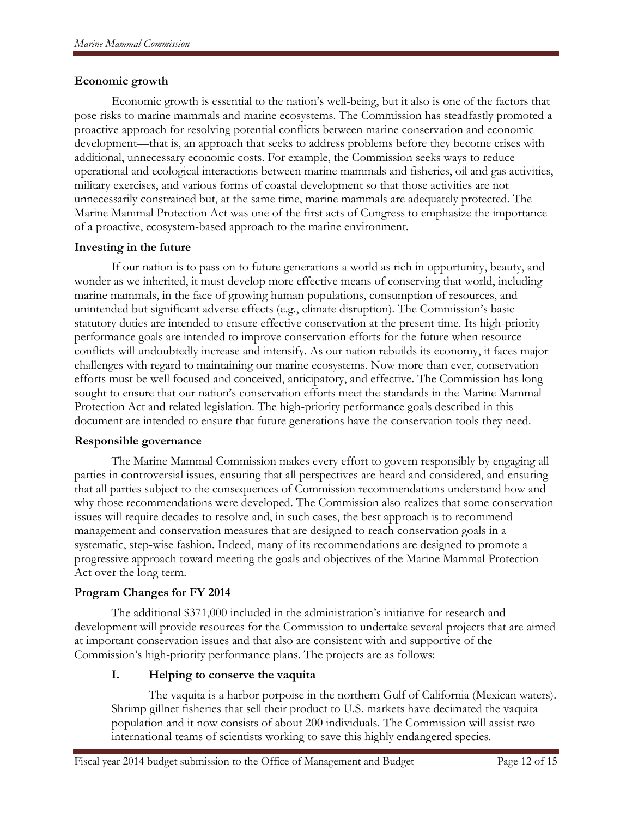### **Economic growth**

Economic growth is essential to the nation's well-being, but it also is one of the factors that pose risks to marine mammals and marine ecosystems. The Commission has steadfastly promoted a proactive approach for resolving potential conflicts between marine conservation and economic development—that is, an approach that seeks to address problems before they become crises with additional, unnecessary economic costs. For example, the Commission seeks ways to reduce operational and ecological interactions between marine mammals and fisheries, oil and gas activities, military exercises, and various forms of coastal development so that those activities are not unnecessarily constrained but, at the same time, marine mammals are adequately protected. The Marine Mammal Protection Act was one of the first acts of Congress to emphasize the importance of a proactive, ecosystem-based approach to the marine environment.

# **Investing in the future**

If our nation is to pass on to future generations a world as rich in opportunity, beauty, and wonder as we inherited, it must develop more effective means of conserving that world, including marine mammals, in the face of growing human populations, consumption of resources, and unintended but significant adverse effects (e.g., climate disruption). The Commission's basic statutory duties are intended to ensure effective conservation at the present time. Its high-priority performance goals are intended to improve conservation efforts for the future when resource conflicts will undoubtedly increase and intensify. As our nation rebuilds its economy, it faces major challenges with regard to maintaining our marine ecosystems. Now more than ever, conservation efforts must be well focused and conceived, anticipatory, and effective. The Commission has long sought to ensure that our nation's conservation efforts meet the standards in the Marine Mammal Protection Act and related legislation. The high-priority performance goals described in this document are intended to ensure that future generations have the conservation tools they need.

### **Responsible governance**

The Marine Mammal Commission makes every effort to govern responsibly by engaging all parties in controversial issues, ensuring that all perspectives are heard and considered, and ensuring that all parties subject to the consequences of Commission recommendations understand how and why those recommendations were developed. The Commission also realizes that some conservation issues will require decades to resolve and, in such cases, the best approach is to recommend management and conservation measures that are designed to reach conservation goals in a systematic, step-wise fashion. Indeed, many of its recommendations are designed to promote a progressive approach toward meeting the goals and objectives of the Marine Mammal Protection Act over the long term.

### **Program Changes for FY 2014**

The additional \$371,000 included in the administration's initiative for research and development will provide resources for the Commission to undertake several projects that are aimed at important conservation issues and that also are consistent with and supportive of the Commission's high-priority performance plans. The projects are as follows:

# **I. Helping to conserve the vaquita**

The vaquita is a harbor porpoise in the northern Gulf of California (Mexican waters). Shrimp gillnet fisheries that sell their product to U.S. markets have decimated the vaquita population and it now consists of about 200 individuals. The Commission will assist two international teams of scientists working to save this highly endangered species.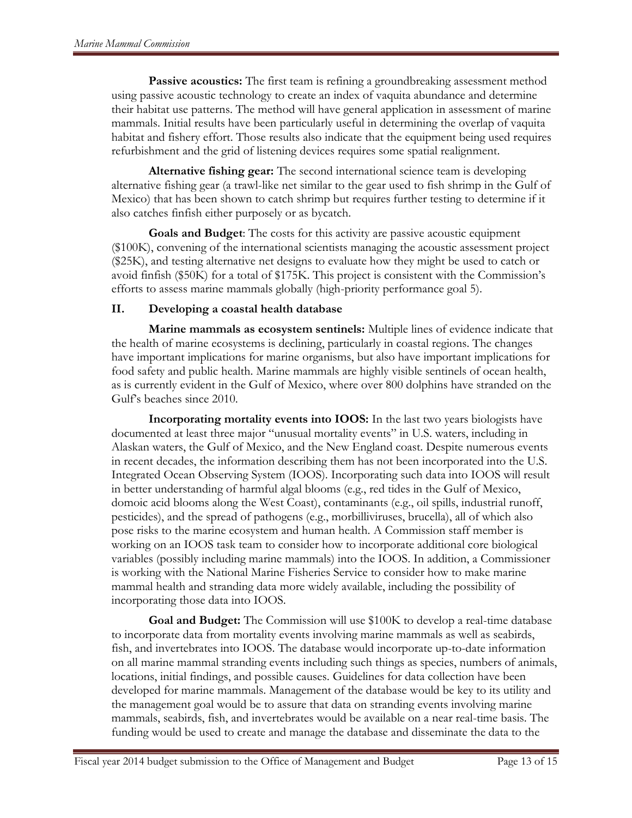**Passive acoustics:** The first team is refining a groundbreaking assessment method using passive acoustic technology to create an index of vaquita abundance and determine their habitat use patterns. The method will have general application in assessment of marine mammals. Initial results have been particularly useful in determining the overlap of vaquita habitat and fishery effort. Those results also indicate that the equipment being used requires refurbishment and the grid of listening devices requires some spatial realignment.

**Alternative fishing gear:** The second international science team is developing alternative fishing gear (a trawl-like net similar to the gear used to fish shrimp in the Gulf of Mexico) that has been shown to catch shrimp but requires further testing to determine if it also catches finfish either purposely or as bycatch.

**Goals and Budget**: The costs for this activity are passive acoustic equipment (\$100K), convening of the international scientists managing the acoustic assessment project (\$25K), and testing alternative net designs to evaluate how they might be used to catch or avoid finfish (\$50K) for a total of \$175K. This project is consistent with the Commission's efforts to assess marine mammals globally (high-priority performance goal 5).

# **II. Developing a coastal health database**

**Marine mammals as ecosystem sentinels:** Multiple lines of evidence indicate that the health of marine ecosystems is declining, particularly in coastal regions. The changes have important implications for marine organisms, but also have important implications for food safety and public health. Marine mammals are highly visible sentinels of ocean health, as is currently evident in the Gulf of Mexico, where over 800 dolphins have stranded on the Gulf's beaches since 2010.

**Incorporating mortality events into IOOS:** In the last two years biologists have documented at least three major "unusual mortality events" in U.S. waters, including in Alaskan waters, the Gulf of Mexico, and the New England coast. Despite numerous events in recent decades, the information describing them has not been incorporated into the U.S. Integrated Ocean Observing System (IOOS). Incorporating such data into IOOS will result in better understanding of harmful algal blooms (e.g., red tides in the Gulf of Mexico, domoic acid blooms along the West Coast), contaminants (e.g., oil spills, industrial runoff, pesticides), and the spread of pathogens (e.g., morbilliviruses, brucella), all of which also pose risks to the marine ecosystem and human health. A Commission staff member is working on an IOOS task team to consider how to incorporate additional core biological variables (possibly including marine mammals) into the IOOS. In addition, a Commissioner is working with the National Marine Fisheries Service to consider how to make marine mammal health and stranding data more widely available, including the possibility of incorporating those data into IOOS.

**Goal and Budget:** The Commission will use \$100K to develop a real-time database to incorporate data from mortality events involving marine mammals as well as seabirds, fish, and invertebrates into IOOS. The database would incorporate up-to-date information on all marine mammal stranding events including such things as species, numbers of animals, locations, initial findings, and possible causes. Guidelines for data collection have been developed for marine mammals. Management of the database would be key to its utility and the management goal would be to assure that data on stranding events involving marine mammals, seabirds, fish, and invertebrates would be available on a near real-time basis. The funding would be used to create and manage the database and disseminate the data to the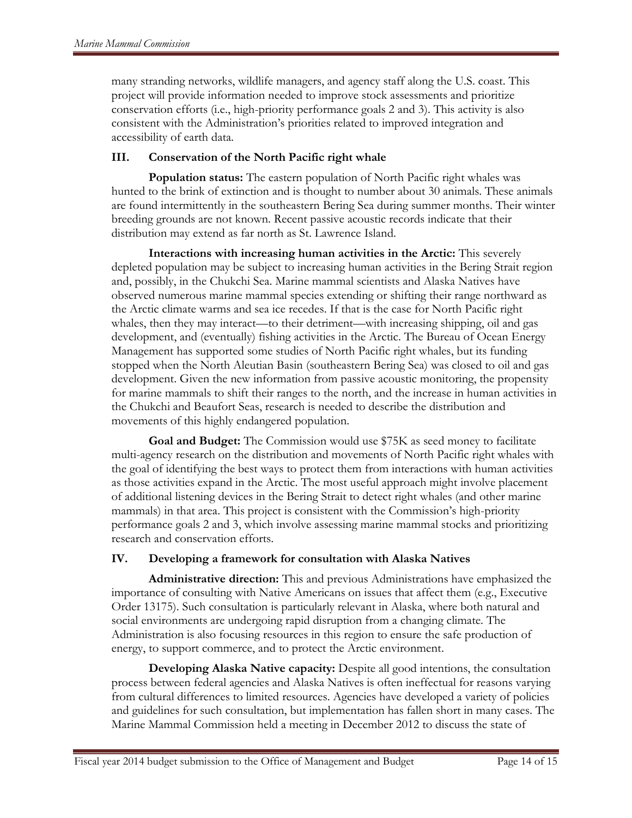many stranding networks, wildlife managers, and agency staff along the U.S. coast. This project will provide information needed to improve stock assessments and prioritize conservation efforts (i.e., high-priority performance goals 2 and 3). This activity is also consistent with the Administration's priorities related to improved integration and accessibility of earth data.

# **III. Conservation of the North Pacific right whale**

**Population status:** The eastern population of North Pacific right whales was hunted to the brink of extinction and is thought to number about 30 animals. These animals are found intermittently in the southeastern Bering Sea during summer months. Their winter breeding grounds are not known. Recent passive acoustic records indicate that their distribution may extend as far north as St. Lawrence Island.

**Interactions with increasing human activities in the Arctic:** This severely depleted population may be subject to increasing human activities in the Bering Strait region and, possibly, in the Chukchi Sea. Marine mammal scientists and Alaska Natives have observed numerous marine mammal species extending or shifting their range northward as the Arctic climate warms and sea ice recedes. If that is the case for North Pacific right whales, then they may interact—to their detriment—with increasing shipping, oil and gas development, and (eventually) fishing activities in the Arctic. The Bureau of Ocean Energy Management has supported some studies of North Pacific right whales, but its funding stopped when the North Aleutian Basin (southeastern Bering Sea) was closed to oil and gas development. Given the new information from passive acoustic monitoring, the propensity for marine mammals to shift their ranges to the north, and the increase in human activities in the Chukchi and Beaufort Seas, research is needed to describe the distribution and movements of this highly endangered population.

**Goal and Budget:** The Commission would use \$75K as seed money to facilitate multi-agency research on the distribution and movements of North Pacific right whales with the goal of identifying the best ways to protect them from interactions with human activities as those activities expand in the Arctic. The most useful approach might involve placement of additional listening devices in the Bering Strait to detect right whales (and other marine mammals) in that area. This project is consistent with the Commission's high-priority performance goals 2 and 3, which involve assessing marine mammal stocks and prioritizing research and conservation efforts.

# **IV. Developing a framework for consultation with Alaska Natives**

**Administrative direction:** This and previous Administrations have emphasized the importance of consulting with Native Americans on issues that affect them (e.g., Executive Order 13175). Such consultation is particularly relevant in Alaska, where both natural and social environments are undergoing rapid disruption from a changing climate. The Administration is also focusing resources in this region to ensure the safe production of energy, to support commerce, and to protect the Arctic environment.

**Developing Alaska Native capacity:** Despite all good intentions, the consultation process between federal agencies and Alaska Natives is often ineffectual for reasons varying from cultural differences to limited resources. Agencies have developed a variety of policies and guidelines for such consultation, but implementation has fallen short in many cases. The Marine Mammal Commission held a meeting in December 2012 to discuss the state of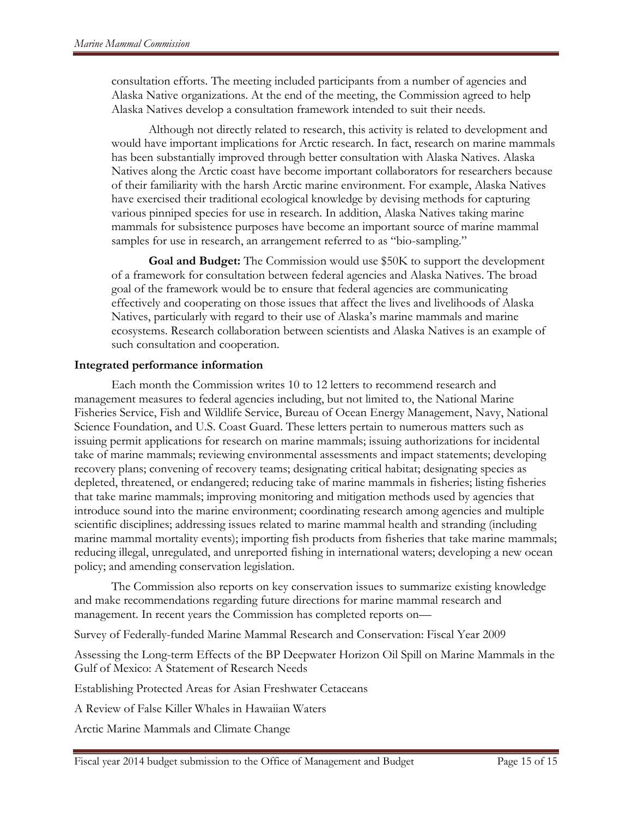consultation efforts. The meeting included participants from a number of agencies and Alaska Native organizations. At the end of the meeting, the Commission agreed to help Alaska Natives develop a consultation framework intended to suit their needs.

Although not directly related to research, this activity is related to development and would have important implications for Arctic research. In fact, research on marine mammals has been substantially improved through better consultation with Alaska Natives. Alaska Natives along the Arctic coast have become important collaborators for researchers because of their familiarity with the harsh Arctic marine environment. For example, Alaska Natives have exercised their traditional ecological knowledge by devising methods for capturing various pinniped species for use in research. In addition, Alaska Natives taking marine mammals for subsistence purposes have become an important source of marine mammal samples for use in research, an arrangement referred to as "bio-sampling."

**Goal and Budget:** The Commission would use \$50K to support the development of a framework for consultation between federal agencies and Alaska Natives. The broad goal of the framework would be to ensure that federal agencies are communicating effectively and cooperating on those issues that affect the lives and livelihoods of Alaska Natives, particularly with regard to their use of Alaska's marine mammals and marine ecosystems. Research collaboration between scientists and Alaska Natives is an example of such consultation and cooperation.

#### **Integrated performance information**

Each month the Commission writes 10 to 12 letters to recommend research and management measures to federal agencies including, but not limited to, the National Marine Fisheries Service, Fish and Wildlife Service, Bureau of Ocean Energy Management, Navy, National Science Foundation, and U.S. Coast Guard. These letters pertain to numerous matters such as issuing permit applications for research on marine mammals; issuing authorizations for incidental take of marine mammals; reviewing environmental assessments and impact statements; developing recovery plans; convening of recovery teams; designating critical habitat; designating species as depleted, threatened, or endangered; reducing take of marine mammals in fisheries; listing fisheries that take marine mammals; improving monitoring and mitigation methods used by agencies that introduce sound into the marine environment; coordinating research among agencies and multiple scientific disciplines; addressing issues related to marine mammal health and stranding (including marine mammal mortality events); importing fish products from fisheries that take marine mammals; reducing illegal, unregulated, and unreported fishing in international waters; developing a new ocean policy; and amending conservation legislation.

The Commission also reports on key conservation issues to summarize existing knowledge and make recommendations regarding future directions for marine mammal research and management. In recent years the Commission has completed reports on—

Survey of Federally-funded Marine Mammal Research and Conservation: Fiscal Year 2009

Assessing the Long-term Effects of the BP Deepwater Horizon Oil Spill on Marine Mammals in the Gulf of Mexico: A Statement of Research Needs

Establishing Protected Areas for Asian Freshwater Cetaceans

A Review of False Killer Whales in Hawaiian Waters

Arctic Marine Mammals and Climate Change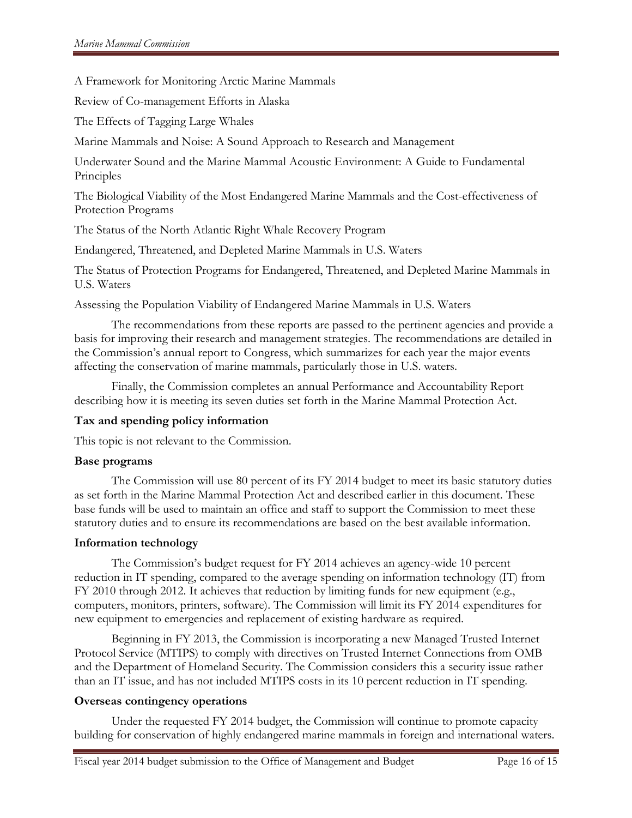A Framework for Monitoring Arctic Marine Mammals

Review of Co-management Efforts in Alaska

The Effects of Tagging Large Whales

Marine Mammals and Noise: A Sound Approach to Research and Management

Underwater Sound and the Marine Mammal Acoustic Environment: A Guide to Fundamental Principles

The Biological Viability of the Most Endangered Marine Mammals and the Cost-effectiveness of Protection Programs

The Status of the North Atlantic Right Whale Recovery Program

Endangered, Threatened, and Depleted Marine Mammals in U.S. Waters

The Status of Protection Programs for Endangered, Threatened, and Depleted Marine Mammals in U.S. Waters

Assessing the Population Viability of Endangered Marine Mammals in U.S. Waters

The recommendations from these reports are passed to the pertinent agencies and provide a basis for improving their research and management strategies. The recommendations are detailed in the Commission's annual report to Congress, which summarizes for each year the major events affecting the conservation of marine mammals, particularly those in U.S. waters.

Finally, the Commission completes an annual Performance and Accountability Report describing how it is meeting its seven duties set forth in the Marine Mammal Protection Act.

### **Tax and spending policy information**

This topic is not relevant to the Commission.

### **Base programs**

The Commission will use 80 percent of its FY 2014 budget to meet its basic statutory duties as set forth in the Marine Mammal Protection Act and described earlier in this document. These base funds will be used to maintain an office and staff to support the Commission to meet these statutory duties and to ensure its recommendations are based on the best available information.

### **Information technology**

The Commission's budget request for FY 2014 achieves an agency-wide 10 percent reduction in IT spending, compared to the average spending on information technology (IT) from FY 2010 through 2012. It achieves that reduction by limiting funds for new equipment (e.g., computers, monitors, printers, software). The Commission will limit its FY 2014 expenditures for new equipment to emergencies and replacement of existing hardware as required.

Beginning in FY 2013, the Commission is incorporating a new Managed Trusted Internet Protocol Service (MTIPS) to comply with directives on Trusted Internet Connections from OMB and the Department of Homeland Security. The Commission considers this a security issue rather than an IT issue, and has not included MTIPS costs in its 10 percent reduction in IT spending.

### **Overseas contingency operations**

Under the requested FY 2014 budget, the Commission will continue to promote capacity building for conservation of highly endangered marine mammals in foreign and international waters.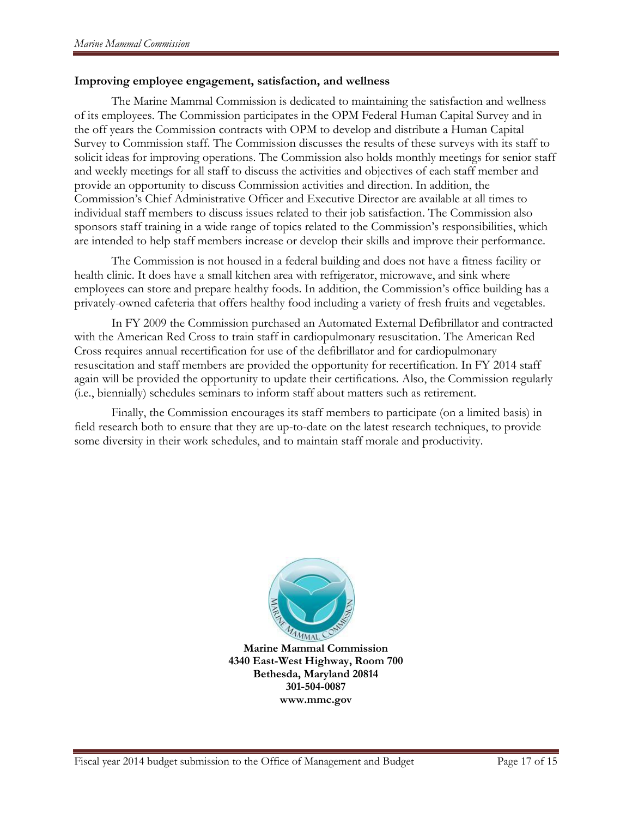#### **Improving employee engagement, satisfaction, and wellness**

The Marine Mammal Commission is dedicated to maintaining the satisfaction and wellness of its employees. The Commission participates in the OPM Federal Human Capital Survey and in the off years the Commission contracts with OPM to develop and distribute a Human Capital Survey to Commission staff. The Commission discusses the results of these surveys with its staff to solicit ideas for improving operations. The Commission also holds monthly meetings for senior staff and weekly meetings for all staff to discuss the activities and objectives of each staff member and provide an opportunity to discuss Commission activities and direction. In addition, the Commission's Chief Administrative Officer and Executive Director are available at all times to individual staff members to discuss issues related to their job satisfaction. The Commission also sponsors staff training in a wide range of topics related to the Commission's responsibilities, which are intended to help staff members increase or develop their skills and improve their performance.

The Commission is not housed in a federal building and does not have a fitness facility or health clinic. It does have a small kitchen area with refrigerator, microwave, and sink where employees can store and prepare healthy foods. In addition, the Commission's office building has a privately-owned cafeteria that offers healthy food including a variety of fresh fruits and vegetables.

In FY 2009 the Commission purchased an Automated External Defibrillator and contracted with the American Red Cross to train staff in cardiopulmonary resuscitation. The American Red Cross requires annual recertification for use of the defibrillator and for cardiopulmonary resuscitation and staff members are provided the opportunity for recertification. In FY 2014 staff again will be provided the opportunity to update their certifications. Also, the Commission regularly (i.e., biennially) schedules seminars to inform staff about matters such as retirement.

Finally, the Commission encourages its staff members to participate (on a limited basis) in field research both to ensure that they are up-to-date on the latest research techniques, to provide some diversity in their work schedules, and to maintain staff morale and productivity.



**Marine Mammal Commission 4340 East-West Highway, Room 700 Bethesda, Maryland 20814 301-504-0087 www.mmc.gov**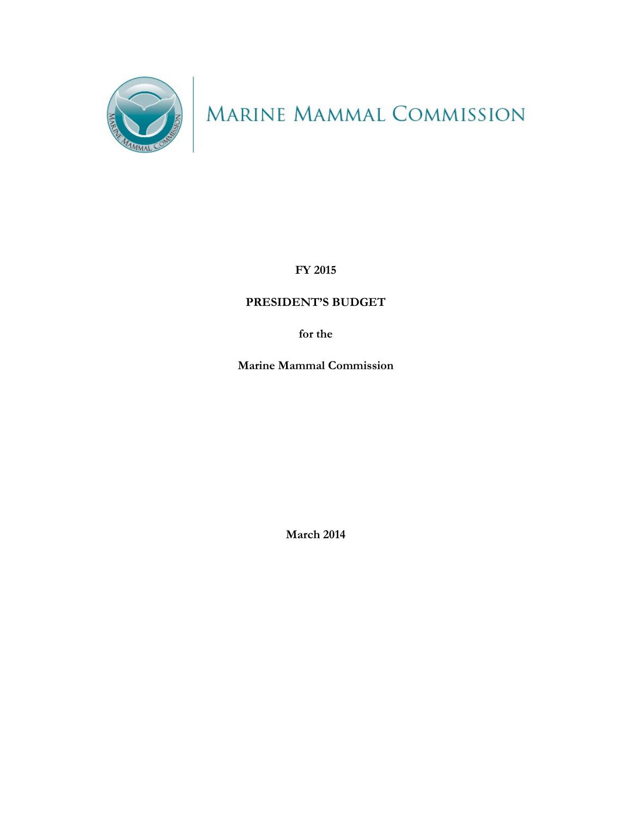

MARINE MAMMAL COMMISSION

**FY 2015**

# **PRESIDENT'S BUDGET**

**for the**

**Marine Mammal Commission**

**March 2014**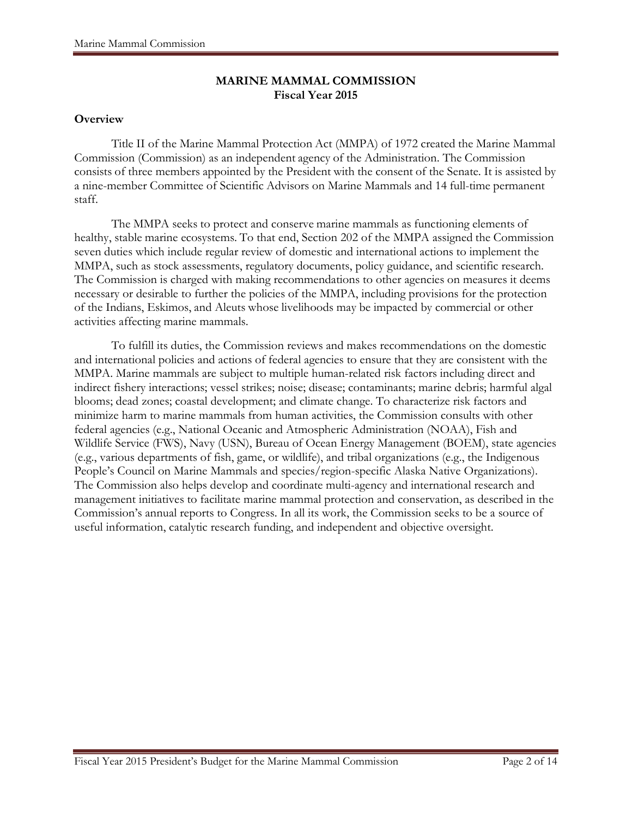# **MARINE MAMMAL COMMISSION Fiscal Year 2015**

### **Overview**

Title II of the Marine Mammal Protection Act (MMPA) of 1972 created the Marine Mammal Commission (Commission) as an independent agency of the Administration. The Commission consists of three members appointed by the President with the consent of the Senate. It is assisted by a nine-member Committee of Scientific Advisors on Marine Mammals and 14 full-time permanent staff.

The MMPA seeks to protect and conserve marine mammals as functioning elements of healthy, stable marine ecosystems. To that end, Section 202 of the MMPA assigned the Commission seven duties which include regular review of domestic and international actions to implement the MMPA, such as stock assessments, regulatory documents, policy guidance, and scientific research. The Commission is charged with making recommendations to other agencies on measures it deems necessary or desirable to further the policies of the MMPA, including provisions for the protection of the Indians, Eskimos, and Aleuts whose livelihoods may be impacted by commercial or other activities affecting marine mammals.

To fulfill its duties, the Commission reviews and makes recommendations on the domestic and international policies and actions of federal agencies to ensure that they are consistent with the MMPA. Marine mammals are subject to multiple human-related risk factors including direct and indirect fishery interactions; vessel strikes; noise; disease; contaminants; marine debris; harmful algal blooms; dead zones; coastal development; and climate change. To characterize risk factors and minimize harm to marine mammals from human activities, the Commission consults with other federal agencies (e.g., National Oceanic and Atmospheric Administration (NOAA), Fish and Wildlife Service (FWS), Navy (USN), Bureau of Ocean Energy Management (BOEM), state agencies (e.g., various departments of fish, game, or wildlife), and tribal organizations (e.g., the Indigenous People's Council on Marine Mammals and species/region-specific Alaska Native Organizations). The Commission also helps develop and coordinate multi-agency and international research and management initiatives to facilitate marine mammal protection and conservation, as described in the Commission's annual reports to Congress. In all its work, the Commission seeks to be a source of useful information, catalytic research funding, and independent and objective oversight.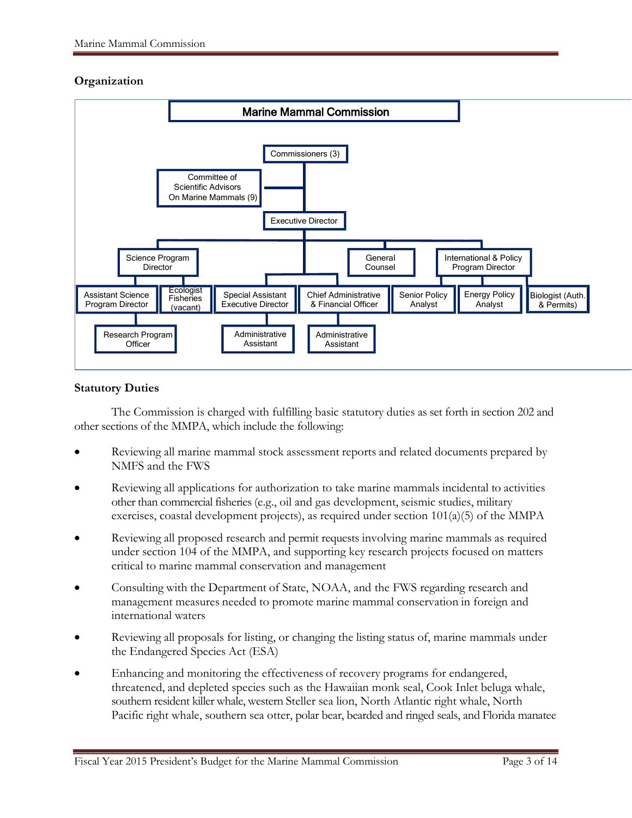# **Organization**



### **Statutory Duties**

The Commission is charged with fulfilling basic statutory duties as set forth in section 202 and other sections of the MMPA, which include the following:

- Reviewing all marine mammal stock assessment reports and related documents prepared by NMFS and the FWS
- Reviewing all applications for authorization to take marine mammals incidental to activities other than commercial fisheries (e.g., oil and gas development, seismic studies, military exercises, coastal development projects), as required under section 101(a)(5) of the MMPA
- Reviewing all proposed research and permit requests involving marine mammals as required under section 104 of the MMPA, and supporting key research projects focused on matters critical to marine mammal conservation and management
- Consulting with the Department of State, NOAA, and the FWS regarding research and management measures needed to promote marine mammal conservation in foreign and international waters
- Reviewing all proposals for listing, or changing the listing status of, marine mammals under the Endangered Species Act (ESA)
- Enhancing and monitoring the effectiveness of recovery programs for endangered, threatened, and depleted species such as the Hawaiian monk seal, Cook Inlet beluga whale, southern resident killer whale, western Steller sea lion, North Atlantic right whale, North Pacific right whale, southern sea otter, polar bear, bearded and ringed seals, and Florida manatee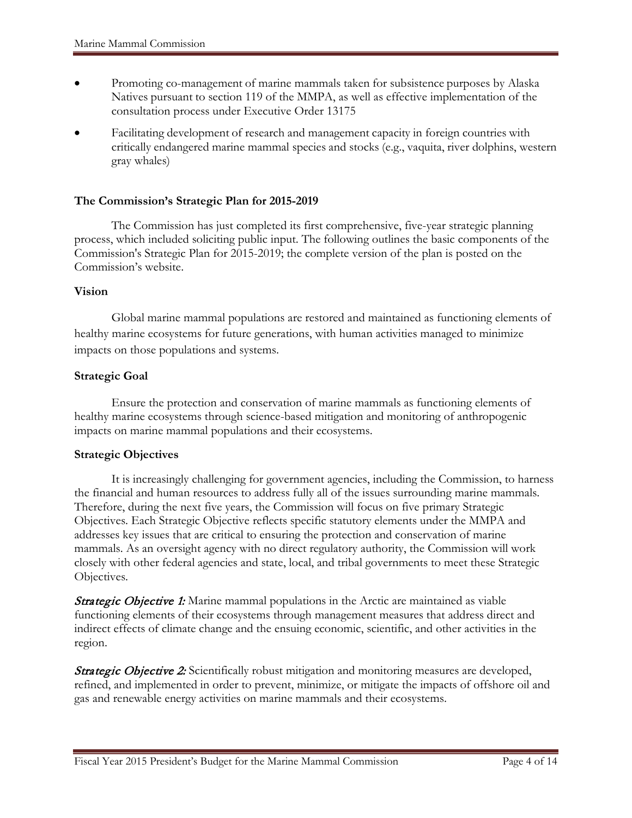- Promoting co-management of marine mammals taken for subsistence purposes by Alaska Natives pursuant to section 119 of the MMPA, as well as effective implementation of the consultation process under Executive Order 13175
- Facilitating development of research and management capacity in foreign countries with critically endangered marine mammal species and stocks (e.g., vaquita, river dolphins, western gray whales)

#### **The Commission's Strategic Plan for 2015-2019**

The Commission has just completed its first comprehensive, five-year strategic planning process, which included soliciting public input. The following outlines the basic components of the Commission's Strategic Plan for 2015-2019; the complete version of the plan is posted on the Commission's website.

#### **Vision**

Global marine mammal populations are restored and maintained as functioning elements of healthy marine ecosystems for future generations, with human activities managed to minimize impacts on those populations and systems.

#### **Strategic Goal**

Ensure the protection and conservation of marine mammals as functioning elements of healthy marine ecosystems through science-based mitigation and monitoring of anthropogenic impacts on marine mammal populations and their ecosystems.

#### **Strategic Objectives**

It is increasingly challenging for government agencies, including the Commission, to harness the financial and human resources to address fully all of the issues surrounding marine mammals. Therefore, during the next five years, the Commission will focus on five primary Strategic Objectives. Each Strategic Objective reflects specific statutory elements under the MMPA and addresses key issues that are critical to ensuring the protection and conservation of marine mammals. As an oversight agency with no direct regulatory authority, the Commission will work closely with other federal agencies and state, local, and tribal governments to meet these Strategic Objectives.

**Strategic Objective 1:** Marine mammal populations in the Arctic are maintained as viable functioning elements of their ecosystems through management measures that address direct and indirect effects of climate change and the ensuing economic, scientific, and other activities in the region.

**Strategic Objective 2:** Scientifically robust mitigation and monitoring measures are developed, refined, and implemented in order to prevent, minimize, or mitigate the impacts of offshore oil and gas and renewable energy activities on marine mammals and their ecosystems.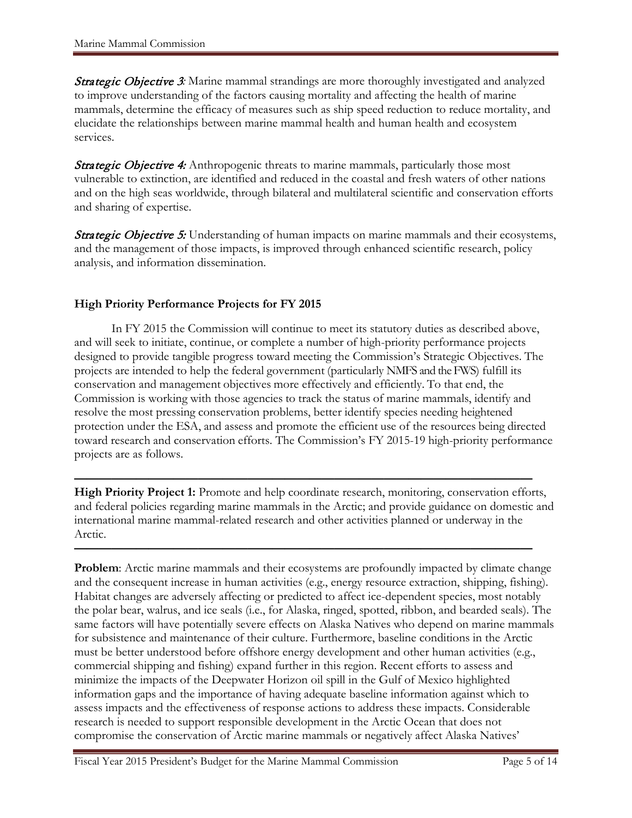**Strategic Objective 3:** Marine mammal strandings are more thoroughly investigated and analyzed to improve understanding of the factors causing mortality and affecting the health of marine mammals, determine the efficacy of measures such as ship speed reduction to reduce mortality, and elucidate the relationships between marine mammal health and human health and ecosystem services.

**Strategic Objective 4:** Anthropogenic threats to marine mammals, particularly those most vulnerable to extinction, are identified and reduced in the coastal and fresh waters of other nations and on the high seas worldwide, through bilateral and multilateral scientific and conservation efforts and sharing of expertise.

**Strategic Objective 5:** Understanding of human impacts on marine mammals and their ecosystems, and the management of those impacts, is improved through enhanced scientific research, policy analysis, and information dissemination.

# **High Priority Performance Projects for FY 2015**

In FY 2015 the Commission will continue to meet its statutory duties as described above, and will seek to initiate, continue, or complete a number of high-priority performance projects designed to provide tangible progress toward meeting the Commission's Strategic Objectives. The projects are intended to help the federal government (particularly NMFS and the FWS) fulfill its conservation and management objectives more effectively and efficiently. To that end, the Commission is working with those agencies to track the status of marine mammals, identify and resolve the most pressing conservation problems, better identify species needing heightened protection under the ESA, and assess and promote the efficient use of the resources being directed toward research and conservation efforts. The Commission's FY 2015-19 high-priority performance projects are as follows.

**————————————————————————————————————— High Priority Project 1:** Promote and help coordinate research, monitoring, conservation efforts, and federal policies regarding marine mammals in the Arctic; and provide guidance on domestic and international marine mammal-related research and other activities planned or underway in the Arctic.

**—————————————————————————————————————**

**Problem:** Arctic marine mammals and their ecosystems are profoundly impacted by climate change and the consequent increase in human activities (e.g., energy resource extraction, shipping, fishing). Habitat changes are adversely affecting or predicted to affect ice-dependent species, most notably the polar bear, walrus, and ice seals (i.e., for Alaska, ringed, spotted, ribbon, and bearded seals). The same factors will have potentially severe effects on Alaska Natives who depend on marine mammals for subsistence and maintenance of their culture. Furthermore, baseline conditions in the Arctic must be better understood before offshore energy development and other human activities (e.g., commercial shipping and fishing) expand further in this region. Recent efforts to assess and minimize the impacts of the Deepwater Horizon oil spill in the Gulf of Mexico highlighted information gaps and the importance of having adequate baseline information against which to assess impacts and the effectiveness of response actions to address these impacts. Considerable research is needed to support responsible development in the Arctic Ocean that does not compromise the conservation of Arctic marine mammals or negatively affect Alaska Natives'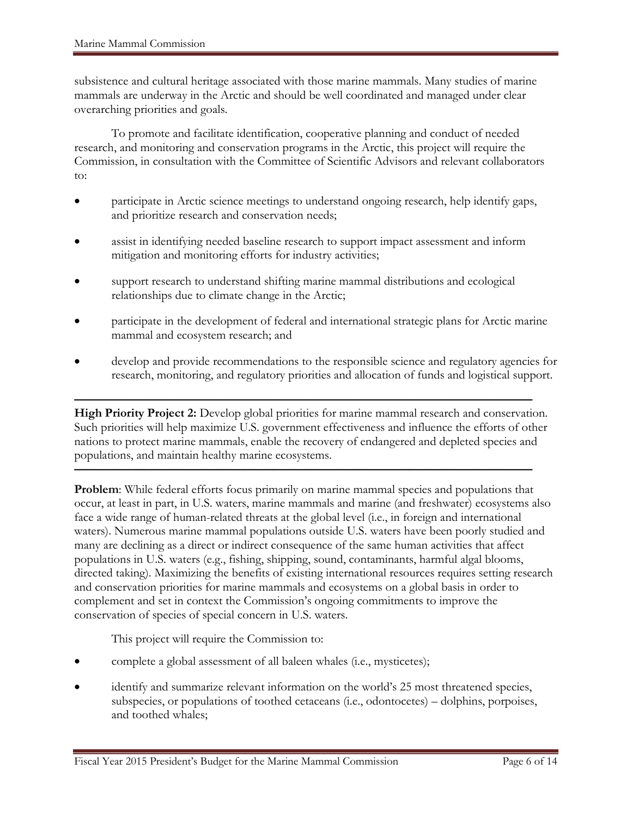subsistence and cultural heritage associated with those marine mammals. Many studies of marine mammals are underway in the Arctic and should be well coordinated and managed under clear overarching priorities and goals.

To promote and facilitate identification, cooperative planning and conduct of needed research, and monitoring and conservation programs in the Arctic, this project will require the Commission, in consultation with the Committee of Scientific Advisors and relevant collaborators to:

- participate in Arctic science meetings to understand ongoing research, help identify gaps, and prioritize research and conservation needs;
- assist in identifying needed baseline research to support impact assessment and inform mitigation and monitoring efforts for industry activities;
- support research to understand shifting marine mammal distributions and ecological relationships due to climate change in the Arctic;
- participate in the development of federal and international strategic plans for Arctic marine mammal and ecosystem research; and
- develop and provide recommendations to the responsible science and regulatory agencies for research, monitoring, and regulatory priorities and allocation of funds and logistical support.

**————————————————————————————————————— High Priority Project 2:** Develop global priorities for marine mammal research and conservation. Such priorities will help maximize U.S. government effectiveness and influence the efforts of other nations to protect marine mammals, enable the recovery of endangered and depleted species and populations, and maintain healthy marine ecosystems.

**—————————————————————————————————————**

**Problem:** While federal efforts focus primarily on marine mammal species and populations that occur, at least in part, in U.S. waters, marine mammals and marine (and freshwater) ecosystems also face a wide range of human-related threats at the global level (i.e., in foreign and international waters). Numerous marine mammal populations outside U.S. waters have been poorly studied and many are declining as a direct or indirect consequence of the same human activities that affect populations in U.S. waters (e.g., fishing, shipping, sound, contaminants, harmful algal blooms, directed taking). Maximizing the benefits of existing international resources requires setting research and conservation priorities for marine mammals and ecosystems on a global basis in order to complement and set in context the Commission's ongoing commitments to improve the conservation of species of special concern in U.S. waters.

This project will require the Commission to:

- complete a global assessment of all baleen whales (i.e., mysticetes);
- identify and summarize relevant information on the world's 25 most threatened species, subspecies, or populations of toothed cetaceans (i.e., odontocetes) – dolphins, porpoises, and toothed whales;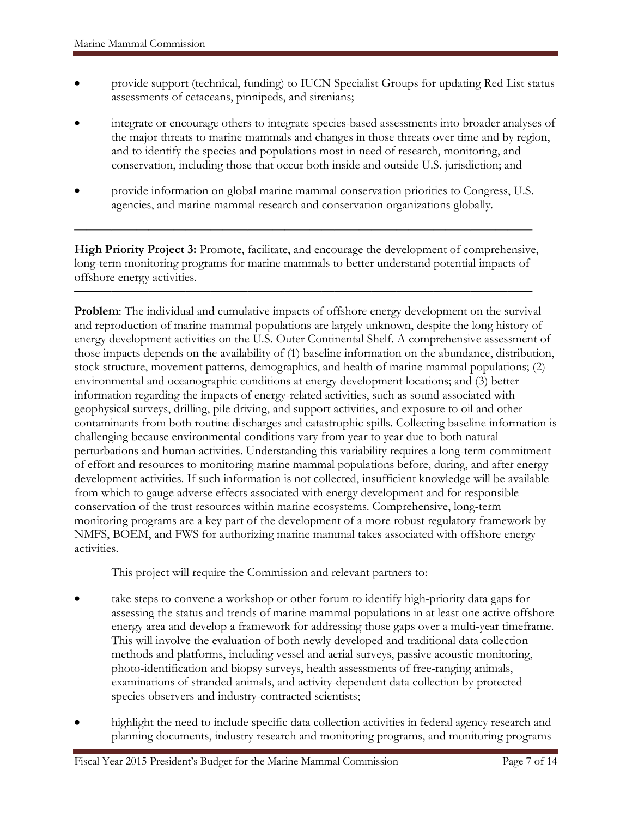- provide support (technical, funding) to IUCN Specialist Groups for updating Red List status assessments of cetaceans, pinnipeds, and sirenians;
- integrate or encourage others to integrate species-based assessments into broader analyses of the major threats to marine mammals and changes in those threats over time and by region, and to identify the species and populations most in need of research, monitoring, and conservation, including those that occur both inside and outside U.S. jurisdiction; and
- provide information on global marine mammal conservation priorities to Congress, U.S. agencies, and marine mammal research and conservation organizations globally.

**—————————————————————————————————————**

**High Priority Project 3:** Promote, facilitate, and encourage the development of comprehensive, long-term monitoring programs for marine mammals to better understand potential impacts of offshore energy activities.

**—————————————————————————————————————**

**Problem:** The individual and cumulative impacts of offshore energy development on the survival and reproduction of marine mammal populations are largely unknown, despite the long history of energy development activities on the U.S. Outer Continental Shelf. A comprehensive assessment of those impacts depends on the availability of (1) baseline information on the abundance, distribution, stock structure, movement patterns, demographics, and health of marine mammal populations; (2) environmental and oceanographic conditions at energy development locations; and (3) better information regarding the impacts of energy-related activities, such as sound associated with geophysical surveys, drilling, pile driving, and support activities, and exposure to oil and other contaminants from both routine discharges and catastrophic spills. Collecting baseline information is challenging because environmental conditions vary from year to year due to both natural perturbations and human activities. Understanding this variability requires a long-term commitment of effort and resources to monitoring marine mammal populations before, during, and after energy development activities. If such information is not collected, insufficient knowledge will be available from which to gauge adverse effects associated with energy development and for responsible conservation of the trust resources within marine ecosystems. Comprehensive, long-term monitoring programs are a key part of the development of a more robust regulatory framework by NMFS, BOEM, and FWS for authorizing marine mammal takes associated with offshore energy activities.

This project will require the Commission and relevant partners to:

- take steps to convene a workshop or other forum to identify high-priority data gaps for assessing the status and trends of marine mammal populations in at least one active offshore energy area and develop a framework for addressing those gaps over a multi-year timeframe. This will involve the evaluation of both newly developed and traditional data collection methods and platforms, including vessel and aerial surveys, passive acoustic monitoring, photo-identification and biopsy surveys, health assessments of free-ranging animals, examinations of stranded animals, and activity-dependent data collection by protected species observers and industry-contracted scientists;
- highlight the need to include specific data collection activities in federal agency research and planning documents, industry research and monitoring programs, and monitoring programs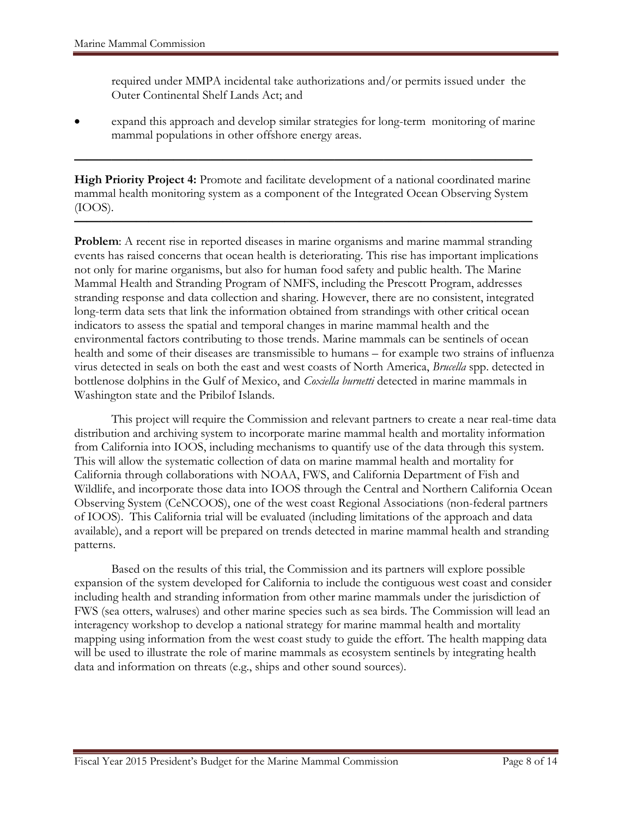required under MMPA incidental take authorizations and/or permits issued under the Outer Continental Shelf Lands Act; and

• expand this approach and develop similar strategies for long-term monitoring of marine mammal populations in other offshore energy areas.

**High Priority Project 4:** Promote and facilitate development of a national coordinated marine mammal health monitoring system as a component of the Integrated Ocean Observing System (IOOS).

**—————————————————————————————————————**

**—————————————————————————————————————**

**Problem:** A recent rise in reported diseases in marine organisms and marine mammal stranding events has raised concerns that ocean health is deteriorating. This rise has important implications not only for marine organisms, but also for human food safety and public health. The Marine Mammal Health and Stranding Program of NMFS, including the Prescott Program, addresses stranding response and data collection and sharing. However, there are no consistent, integrated long-term data sets that link the information obtained from strandings with other critical ocean indicators to assess the spatial and temporal changes in marine mammal health and the environmental factors contributing to those trends. Marine mammals can be sentinels of ocean health and some of their diseases are transmissible to humans – for example two strains of influenza virus detected in seals on both the east and west coasts of North America, *Brucella* spp. detected in bottlenose dolphins in the Gulf of Mexico, and *Coxiella burnetti* detected in marine mammals in Washington state and the Pribilof Islands.

This project will require the Commission and relevant partners to create a near real-time data distribution and archiving system to incorporate marine mammal health and mortality information from California into IOOS, including mechanisms to quantify use of the data through this system. This will allow the systematic collection of data on marine mammal health and mortality for California through collaborations with NOAA, FWS, and California Department of Fish and Wildlife, and incorporate those data into IOOS through the Central and Northern California Ocean Observing System (CeNCOOS), one of the west coast Regional Associations (non-federal partners of IOOS). This California trial will be evaluated (including limitations of the approach and data available), and a report will be prepared on trends detected in marine mammal health and stranding patterns.

Based on the results of this trial, the Commission and its partners will explore possible expansion of the system developed for California to include the contiguous west coast and consider including health and stranding information from other marine mammals under the jurisdiction of FWS (sea otters, walruses) and other marine species such as sea birds. The Commission will lead an interagency workshop to develop a national strategy for marine mammal health and mortality mapping using information from the west coast study to guide the effort. The health mapping data will be used to illustrate the role of marine mammals as ecosystem sentinels by integrating health data and information on threats (e.g., ships and other sound sources).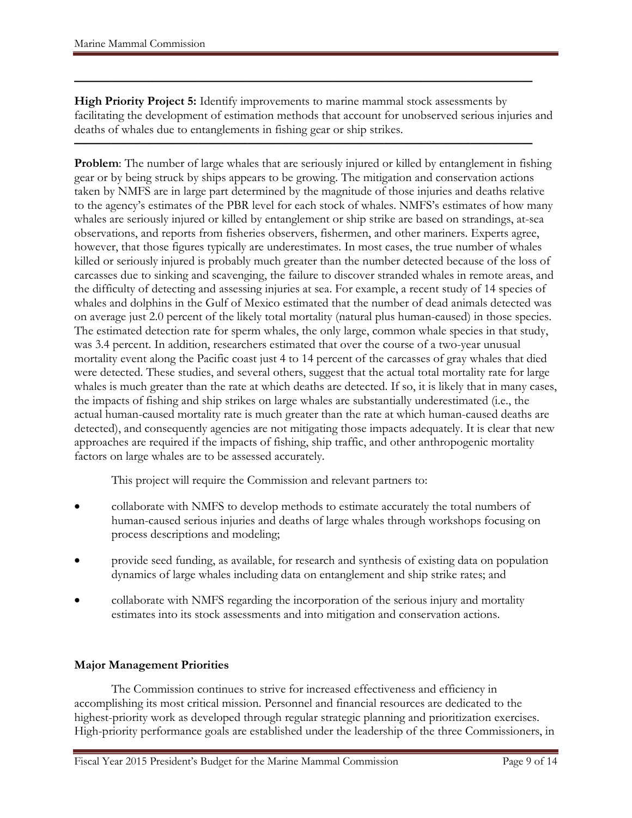**High Priority Project 5:** Identify improvements to marine mammal stock assessments by facilitating the development of estimation methods that account for unobserved serious injuries and deaths of whales due to entanglements in fishing gear or ship strikes.

**—————————————————————————————————————**

**—————————————————————————————————————**

**Problem:** The number of large whales that are seriously injured or killed by entanglement in fishing gear or by being struck by ships appears to be growing. The mitigation and conservation actions taken by NMFS are in large part determined by the magnitude of those injuries and deaths relative to the agency's estimates of the PBR level for each stock of whales. NMFS's estimates of how many whales are seriously injured or killed by entanglement or ship strike are based on strandings, at-sea observations, and reports from fisheries observers, fishermen, and other mariners. Experts agree, however, that those figures typically are underestimates. In most cases, the true number of whales killed or seriously injured is probably much greater than the number detected because of the loss of carcasses due to sinking and scavenging, the failure to discover stranded whales in remote areas, and the difficulty of detecting and assessing injuries at sea. For example, a recent study of 14 species of whales and dolphins in the Gulf of Mexico estimated that the number of dead animals detected was on average just 2.0 percent of the likely total mortality (natural plus human-caused) in those species. The estimated detection rate for sperm whales, the only large, common whale species in that study, was 3.4 percent. In addition, researchers estimated that over the course of a two-year unusual mortality event along the Pacific coast just 4 to 14 percent of the carcasses of gray whales that died were detected. These studies, and several others, suggest that the actual total mortality rate for large whales is much greater than the rate at which deaths are detected. If so, it is likely that in many cases, the impacts of fishing and ship strikes on large whales are substantially underestimated (i.e., the actual human-caused mortality rate is much greater than the rate at which human-caused deaths are detected), and consequently agencies are not mitigating those impacts adequately. It is clear that new approaches are required if the impacts of fishing, ship traffic, and other anthropogenic mortality factors on large whales are to be assessed accurately.

This project will require the Commission and relevant partners to:

- collaborate with NMFS to develop methods to estimate accurately the total numbers of human-caused serious injuries and deaths of large whales through workshops focusing on process descriptions and modeling;
- provide seed funding, as available, for research and synthesis of existing data on population dynamics of large whales including data on entanglement and ship strike rates; and
- collaborate with NMFS regarding the incorporation of the serious injury and mortality estimates into its stock assessments and into mitigation and conservation actions.

# **Major Management Priorities**

The Commission continues to strive for increased effectiveness and efficiency in accomplishing its most critical mission. Personnel and financial resources are dedicated to the highest-priority work as developed through regular strategic planning and prioritization exercises. High-priority performance goals are established under the leadership of the three Commissioners, in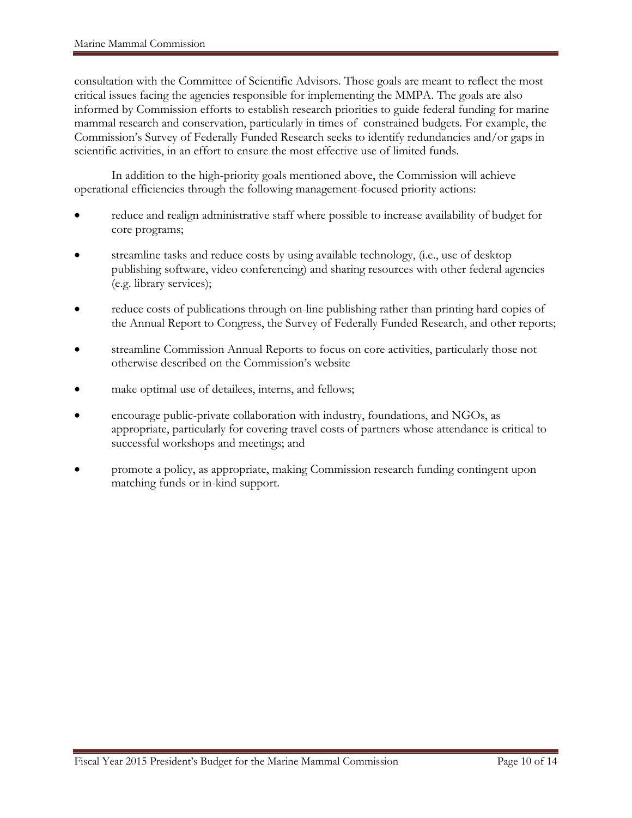consultation with the Committee of Scientific Advisors. Those goals are meant to reflect the most critical issues facing the agencies responsible for implementing the MMPA. The goals are also informed by Commission efforts to establish research priorities to guide federal funding for marine mammal research and conservation, particularly in times of constrained budgets. For example, the Commission's Survey of Federally Funded Research seeks to identify redundancies and/or gaps in scientific activities, in an effort to ensure the most effective use of limited funds.

In addition to the high-priority goals mentioned above, the Commission will achieve operational efficiencies through the following management-focused priority actions:

- reduce and realign administrative staff where possible to increase availability of budget for core programs;
- streamline tasks and reduce costs by using available technology, (i.e., use of desktop publishing software, video conferencing) and sharing resources with other federal agencies (e.g. library services);
- reduce costs of publications through on-line publishing rather than printing hard copies of the Annual Report to Congress, the Survey of Federally Funded Research, and other reports;
- streamline Commission Annual Reports to focus on core activities, particularly those not otherwise described on the Commission's website
- make optimal use of detailees, interns, and fellows;
- encourage public-private collaboration with industry, foundations, and NGOs, as appropriate, particularly for covering travel costs of partners whose attendance is critical to successful workshops and meetings; and
- promote a policy, as appropriate, making Commission research funding contingent upon matching funds or in-kind support.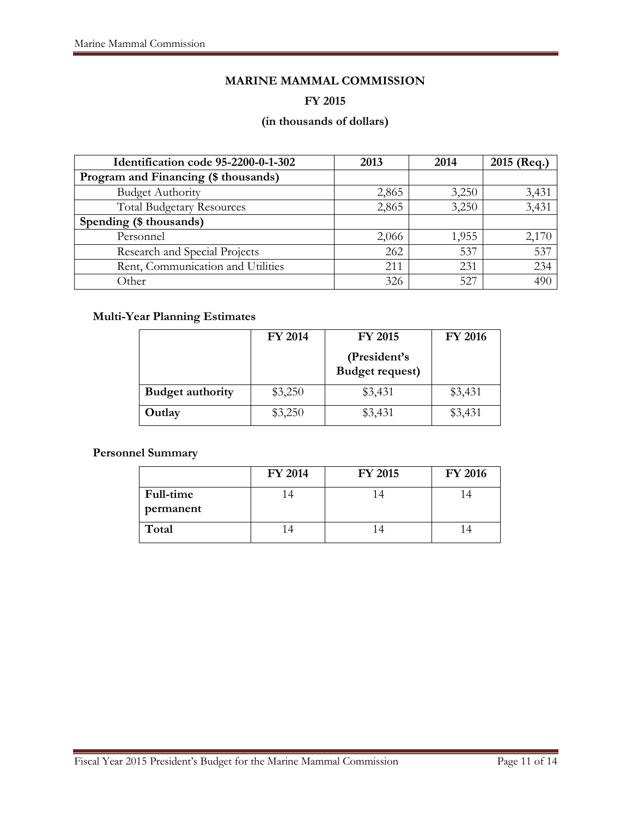# **MARINE MAMMAL COMMISSION**

#### **FY 2015**

# **(in thousands of dollars)**

| Identification code 95-2200-0-1-302  | 2013  | 2014  | 2015 (Req.) |
|--------------------------------------|-------|-------|-------------|
| Program and Financing (\$ thousands) |       |       |             |
| <b>Budget Authority</b>              | 2,865 | 3,250 | 3,431       |
| <b>Total Budgetary Resources</b>     | 2,865 | 3,250 | 3,431       |
| Spending (\$ thousands)              |       |       |             |
| Personnel                            | 2,066 | 1,955 | 2,170       |
| Research and Special Projects        | 262   | 537   | 537         |
| Rent, Communication and Utilities    | 211   | 231   | 234         |
| Other                                | 326   | 527   | 490         |

# **Multi-Year Planning Estimates**

|                         | <b>FY 2014</b> | <b>FY 2015</b>                         | <b>FY 2016</b> |
|-------------------------|----------------|----------------------------------------|----------------|
|                         |                | (President's<br><b>Budget request)</b> |                |
| <b>Budget authority</b> | \$3,250        | \$3,431                                | \$3,431        |
| Outlay                  | \$3,250        | \$3,431                                | \$3,431        |

# **Personnel Summary**

|                        | FY 2014 | <b>FY 2015</b> | <b>FY 2016</b> |
|------------------------|---------|----------------|----------------|
| Full-time<br>permanent |         |                |                |
| Total                  |         |                |                |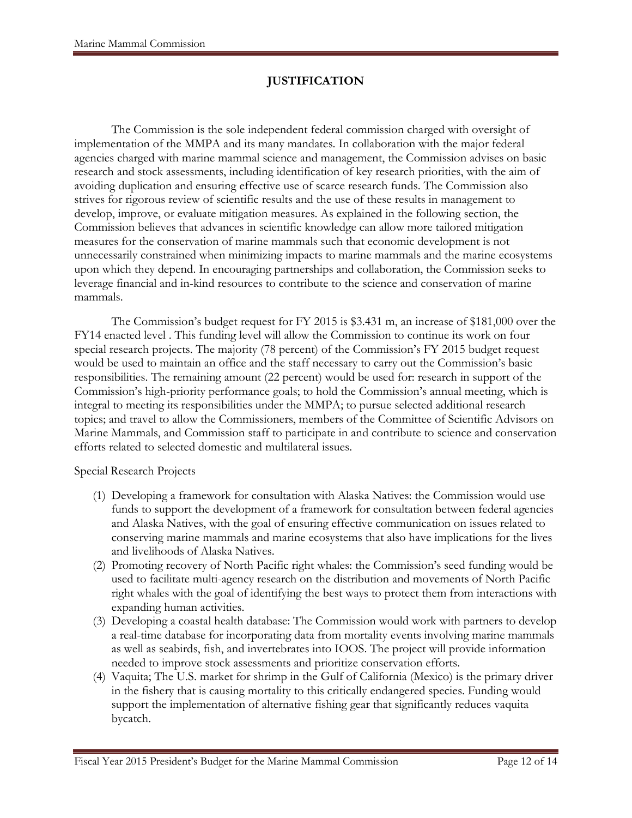# **JUSTIFICATION**

The Commission is the sole independent federal commission charged with oversight of implementation of the MMPA and its many mandates. In collaboration with the major federal agencies charged with marine mammal science and management, the Commission advises on basic research and stock assessments, including identification of key research priorities, with the aim of avoiding duplication and ensuring effective use of scarce research funds. The Commission also strives for rigorous review of scientific results and the use of these results in management to develop, improve, or evaluate mitigation measures. As explained in the following section, the Commission believes that advances in scientific knowledge can allow more tailored mitigation measures for the conservation of marine mammals such that economic development is not unnecessarily constrained when minimizing impacts to marine mammals and the marine ecosystems upon which they depend. In encouraging partnerships and collaboration, the Commission seeks to leverage financial and in-kind resources to contribute to the science and conservation of marine mammals.

The Commission's budget request for FY 2015 is \$3.431 m, an increase of \$181,000 over the FY14 enacted level . This funding level will allow the Commission to continue its work on four special research projects. The majority (78 percent) of the Commission's FY 2015 budget request would be used to maintain an office and the staff necessary to carry out the Commission's basic responsibilities. The remaining amount (22 percent) would be used for: research in support of the Commission's high-priority performance goals; to hold the Commission's annual meeting, which is integral to meeting its responsibilities under the MMPA; to pursue selected additional research topics; and travel to allow the Commissioners, members of the Committee of Scientific Advisors on Marine Mammals, and Commission staff to participate in and contribute to science and conservation efforts related to selected domestic and multilateral issues.

Special Research Projects

- (1) Developing a framework for consultation with Alaska Natives: the Commission would use funds to support the development of a framework for consultation between federal agencies and Alaska Natives, with the goal of ensuring effective communication on issues related to conserving marine mammals and marine ecosystems that also have implications for the lives and livelihoods of Alaska Natives.
- (2) Promoting recovery of North Pacific right whales: the Commission's seed funding would be used to facilitate multi-agency research on the distribution and movements of North Pacific right whales with the goal of identifying the best ways to protect them from interactions with expanding human activities.
- (3) Developing a coastal health database: The Commission would work with partners to develop a real-time database for incorporating data from mortality events involving marine mammals as well as seabirds, fish, and invertebrates into IOOS. The project will provide information needed to improve stock assessments and prioritize conservation efforts.
- (4) Vaquita; The U.S. market for shrimp in the Gulf of California (Mexico) is the primary driver in the fishery that is causing mortality to this critically endangered species. Funding would support the implementation of alternative fishing gear that significantly reduces vaquita bycatch.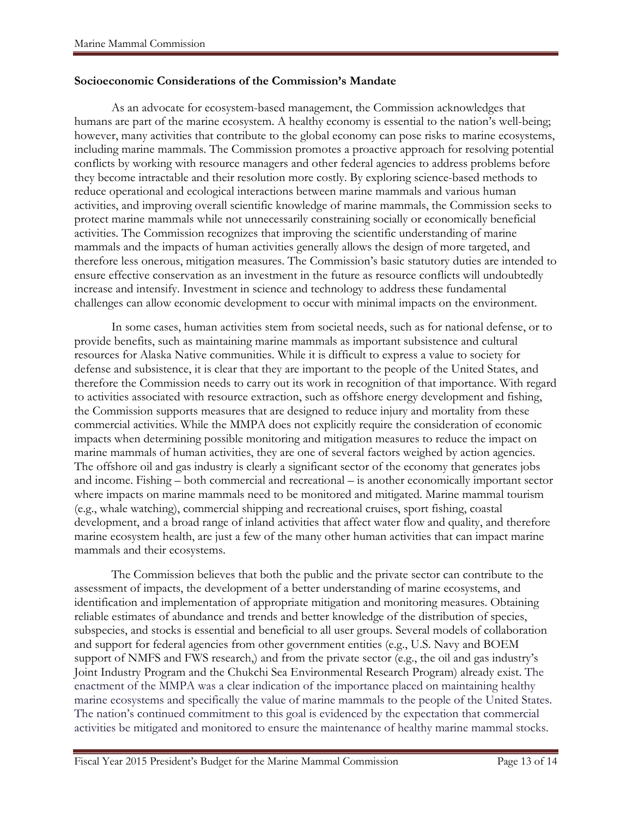#### **Socioeconomic Considerations of the Commission's Mandate**

As an advocate for ecosystem-based management, the Commission acknowledges that humans are part of the marine ecosystem. A healthy economy is essential to the nation's well-being; however, many activities that contribute to the global economy can pose risks to marine ecosystems, including marine mammals. The Commission promotes a proactive approach for resolving potential conflicts by working with resource managers and other federal agencies to address problems before they become intractable and their resolution more costly. By exploring science-based methods to reduce operational and ecological interactions between marine mammals and various human activities, and improving overall scientific knowledge of marine mammals, the Commission seeks to protect marine mammals while not unnecessarily constraining socially or economically beneficial activities. The Commission recognizes that improving the scientific understanding of marine mammals and the impacts of human activities generally allows the design of more targeted, and therefore less onerous, mitigation measures. The Commission's basic statutory duties are intended to ensure effective conservation as an investment in the future as resource conflicts will undoubtedly increase and intensify. Investment in science and technology to address these fundamental challenges can allow economic development to occur with minimal impacts on the environment.

In some cases, human activities stem from societal needs, such as for national defense, or to provide benefits, such as maintaining marine mammals as important subsistence and cultural resources for Alaska Native communities. While it is difficult to express a value to society for defense and subsistence, it is clear that they are important to the people of the United States, and therefore the Commission needs to carry out its work in recognition of that importance. With regard to activities associated with resource extraction, such as offshore energy development and fishing, the Commission supports measures that are designed to reduce injury and mortality from these commercial activities. While the MMPA does not explicitly require the consideration of economic impacts when determining possible monitoring and mitigation measures to reduce the impact on marine mammals of human activities, they are one of several factors weighed by action agencies. The offshore oil and gas industry is clearly a significant sector of the economy that generates jobs and income. Fishing – both commercial and recreational – is another economically important sector where impacts on marine mammals need to be monitored and mitigated. Marine mammal tourism (e.g., whale watching), commercial shipping and recreational cruises, sport fishing, coastal development, and a broad range of inland activities that affect water flow and quality, and therefore marine ecosystem health, are just a few of the many other human activities that can impact marine mammals and their ecosystems.

The Commission believes that both the public and the private sector can contribute to the assessment of impacts, the development of a better understanding of marine ecosystems, and identification and implementation of appropriate mitigation and monitoring measures. Obtaining reliable estimates of abundance and trends and better knowledge of the distribution of species, subspecies, and stocks is essential and beneficial to all user groups. Several models of collaboration and support for federal agencies from other government entities (e.g., U.S. Navy and BOEM support of NMFS and FWS research,) and from the private sector (e.g., the oil and gas industry's Joint Industry Program and the Chukchi Sea Environmental Research Program) already exist. The enactment of the MMPA was a clear indication of the importance placed on maintaining healthy marine ecosystems and specifically the value of marine mammals to the people of the United States. The nation's continued commitment to this goal is evidenced by the expectation that commercial activities be mitigated and monitored to ensure the maintenance of healthy marine mammal stocks.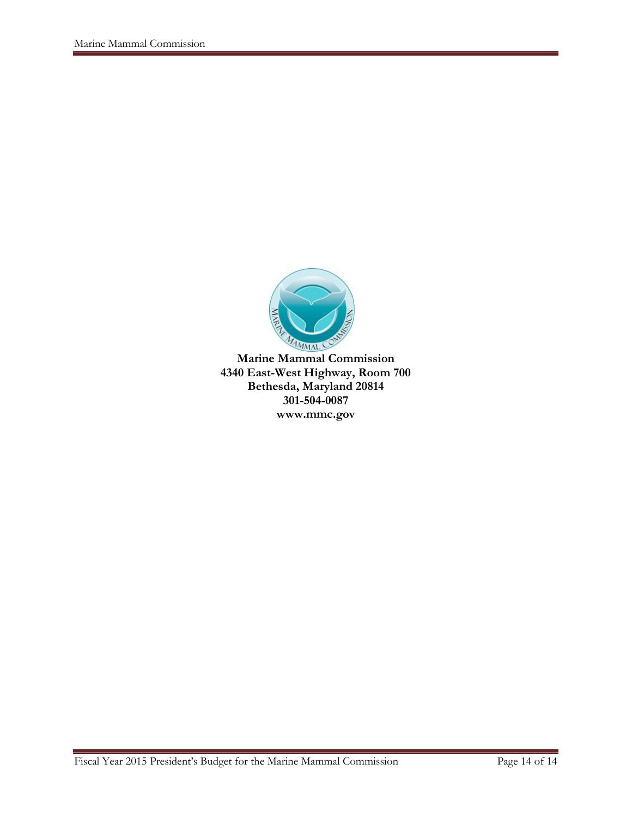

**Marine Mammal Commission 4340 East-West Highway, Room 700 Bethesda, Maryland 20814 301-504-0087 www.mmc.gov**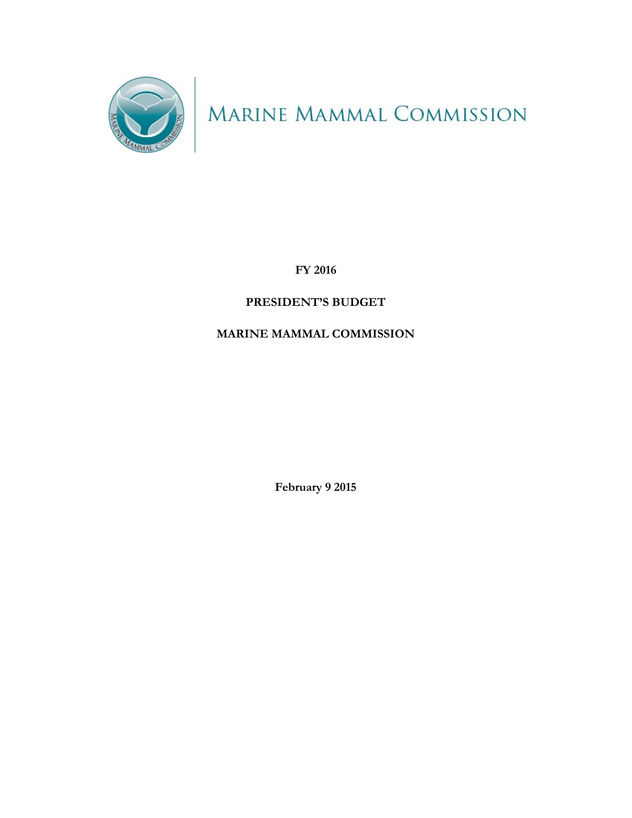

MARINE MAMMAL COMMISSION

**FY 2016**

# **PRESIDENT'S BUDGET**

# **MARINE MAMMAL COMMISSION**

**February 9 2015**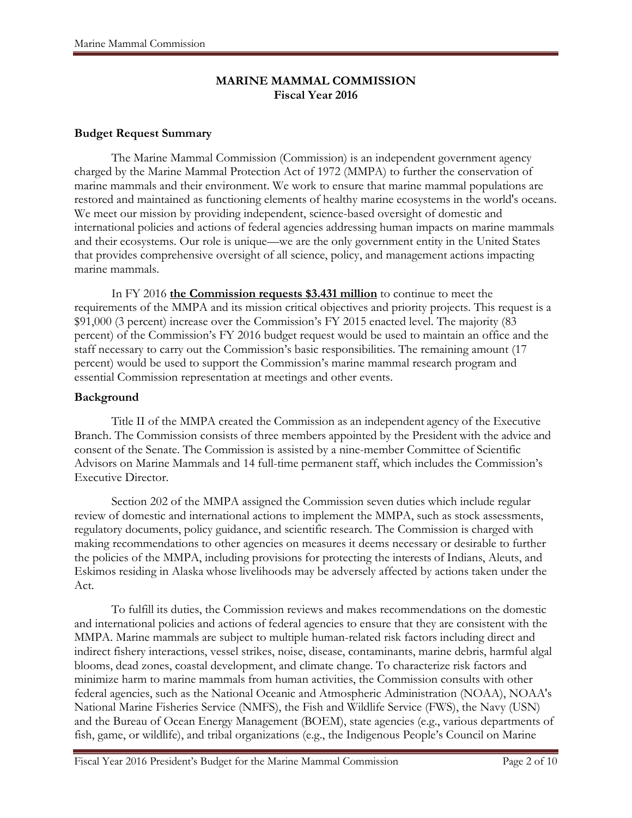# **MARINE MAMMAL COMMISSION Fiscal Year 2016**

## **Budget Request Summary**

The Marine Mammal Commission (Commission) is an independent government agency charged by the Marine Mammal Protection Act of 1972 (MMPA) to further the conservation of marine mammals and their environment. We work to ensure that marine mammal populations are restored and maintained as functioning elements of healthy marine ecosystems in the world's oceans. We meet our mission by providing independent, science-based oversight of domestic and international policies and actions of federal agencies addressing human impacts on marine mammals and their ecosystems. Our role is unique—we are the only government entity in the United States that provides comprehensive oversight of all science, policy, and management actions impacting marine mammals.

In FY 2016 **the Commission requests \$3.431 million** to continue to meet the requirements of the MMPA and its mission critical objectives and priority projects. This request is a \$91,000 (3 percent) increase over the Commission's FY 2015 enacted level. The majority (83 percent) of the Commission's FY 2016 budget request would be used to maintain an office and the staff necessary to carry out the Commission's basic responsibilities. The remaining amount (17 percent) would be used to support the Commission's marine mammal research program and essential Commission representation at meetings and other events.

# **Background**

Title II of the MMPA created the Commission as an independent agency of the Executive Branch. The Commission consists of three members appointed by the President with the advice and consent of the Senate. The Commission is assisted by a nine-member Committee of Scientific Advisors on Marine Mammals and 14 full-time permanent staff, which includes the Commission's Executive Director.

Section 202 of the MMPA assigned the Commission seven duties which include regular review of domestic and international actions to implement the MMPA, such as stock assessments, regulatory documents, policy guidance, and scientific research. The Commission is charged with making recommendations to other agencies on measures it deems necessary or desirable to further the policies of the MMPA, including provisions for protecting the interests of Indians, Aleuts, and Eskimos residing in Alaska whose livelihoods may be adversely affected by actions taken under the Act.

To fulfill its duties, the Commission reviews and makes recommendations on the domestic and international policies and actions of federal agencies to ensure that they are consistent with the MMPA. Marine mammals are subject to multiple human-related risk factors including direct and indirect fishery interactions, vessel strikes, noise, disease, contaminants, marine debris, harmful algal blooms, dead zones, coastal development, and climate change. To characterize risk factors and minimize harm to marine mammals from human activities, the Commission consults with other federal agencies, such as the National Oceanic and Atmospheric Administration (NOAA), NOAA's National Marine Fisheries Service (NMFS), the Fish and Wildlife Service (FWS), the Navy (USN) and the Bureau of Ocean Energy Management (BOEM), state agencies (e.g., various departments of fish, game, or wildlife), and tribal organizations (e.g., the Indigenous People's Council on Marine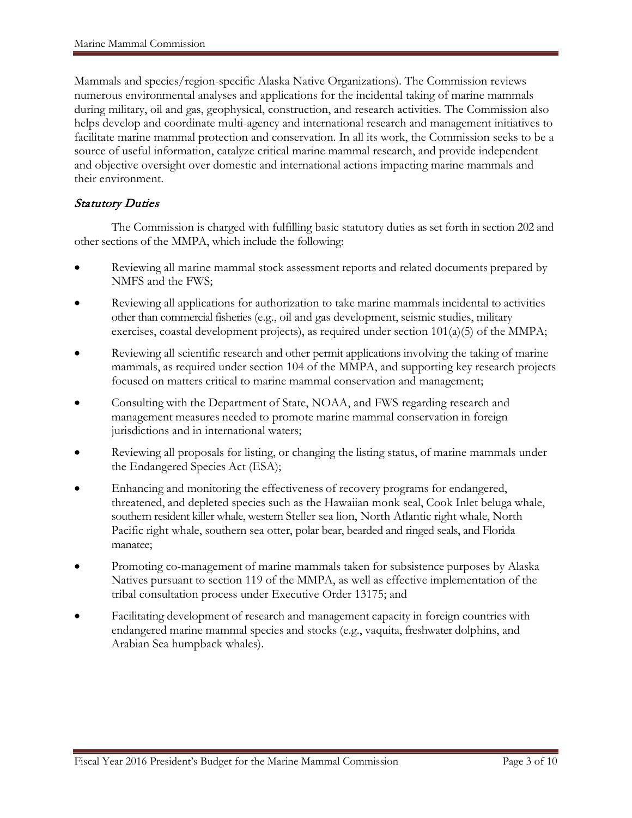Mammals and species/region-specific Alaska Native Organizations). The Commission reviews numerous environmental analyses and applications for the incidental taking of marine mammals during military, oil and gas, geophysical, construction, and research activities. The Commission also helps develop and coordinate multi-agency and international research and management initiatives to facilitate marine mammal protection and conservation. In all its work, the Commission seeks to be a source of useful information, catalyze critical marine mammal research, and provide independent and objective oversight over domestic and international actions impacting marine mammals and their environment.

# Statutory Duties

The Commission is charged with fulfilling basic statutory duties as set forth in section 202 and other sections of the MMPA, which include the following:

- Reviewing all marine mammal stock assessment reports and related documents prepared by NMFS and the FWS;
- Reviewing all applications for authorization to take marine mammals incidental to activities other than commercial fisheries (e.g., oil and gas development, seismic studies, military exercises, coastal development projects), as required under section 101(a)(5) of the MMPA;
- Reviewing all scientific research and other permit applications involving the taking of marine mammals, as required under section 104 of the MMPA, and supporting key research projects focused on matters critical to marine mammal conservation and management;
- Consulting with the Department of State, NOAA, and FWS regarding research and management measures needed to promote marine mammal conservation in foreign jurisdictions and in international waters;
- Reviewing all proposals for listing, or changing the listing status, of marine mammals under the Endangered Species Act (ESA);
- Enhancing and monitoring the effectiveness of recovery programs for endangered, threatened, and depleted species such as the Hawaiian monk seal, Cook Inlet beluga whale, southern resident killer whale, western Steller sea lion, North Atlantic right whale, North Pacific right whale, southern sea otter, polar bear, bearded and ringed seals, and Florida manatee;
- Promoting co-management of marine mammals taken for subsistence purposes by Alaska Natives pursuant to section 119 of the MMPA, as well as effective implementation of the tribal consultation process under Executive Order 13175; and
- Facilitating development of research and management capacity in foreign countries with endangered marine mammal species and stocks (e.g., vaquita, freshwater dolphins, and Arabian Sea humpback whales).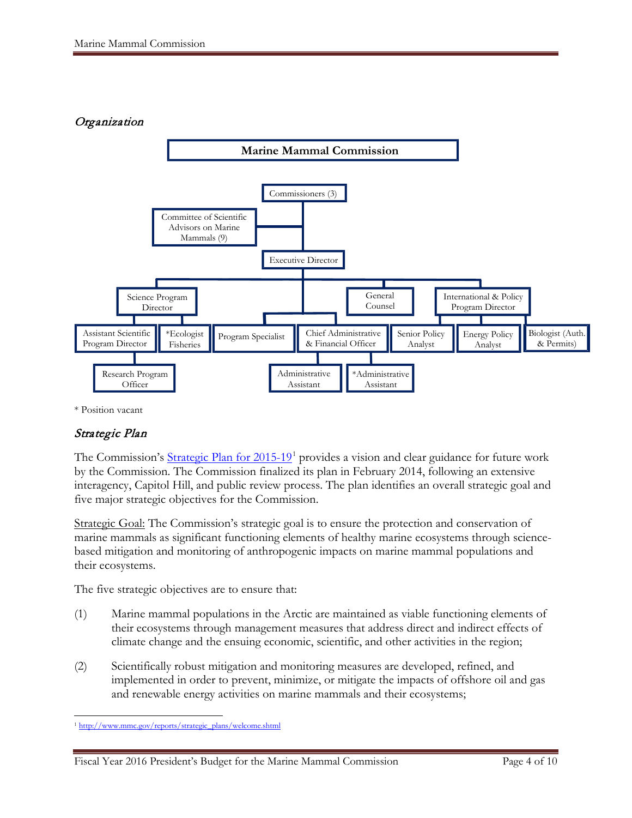# **Organization**



\* Position vacant

# Strategic Plan

The Commission's Strategic Plan for  $2015-19<sup>1</sup>$  $2015-19<sup>1</sup>$  $2015-19<sup>1</sup>$  provides a vision and clear guidance for future work by the Commission. The Commission finalized its plan in February 2014, following an extensive interagency, Capitol Hill, and public review process. The plan identifies an overall strategic goal and five major strategic objectives for the Commission.

Strategic Goal: The Commission's strategic goal is to ensure the protection and conservation of marine mammals as significant functioning elements of healthy marine ecosystems through sciencebased mitigation and monitoring of anthropogenic impacts on marine mammal populations and their ecosystems.

The five strategic objectives are to ensure that:

- (1) Marine mammal populations in the Arctic are maintained as viable functioning elements of their ecosystems through management measures that address direct and indirect effects of climate change and the ensuing economic, scientific, and other activities in the region;
- (2) Scientifically robust mitigation and monitoring measures are developed, refined, and implemented in order to prevent, minimize, or mitigate the impacts of offshore oil and gas and renewable energy activities on marine mammals and their ecosystems;

<span id="page-68-0"></span> $\overline{a}$ <sup>1</sup> [http://www.mmc.gov/reports/strategic\\_plans/welcome.shtml](http://www.mmc.gov/reports/strategic_plans/welcome.shtml)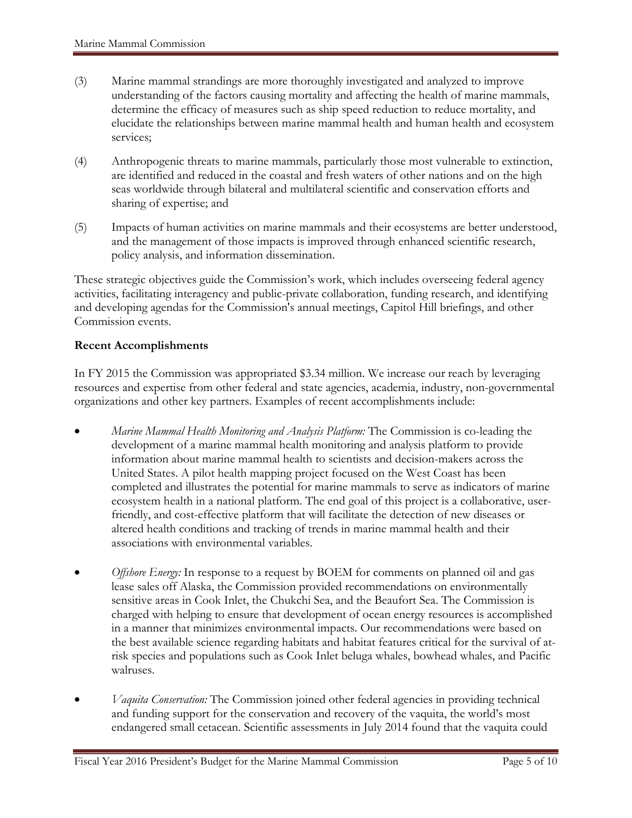- (3) Marine mammal strandings are more thoroughly investigated and analyzed to improve understanding of the factors causing mortality and affecting the health of marine mammals, determine the efficacy of measures such as ship speed reduction to reduce mortality, and elucidate the relationships between marine mammal health and human health and ecosystem services;
- (4) Anthropogenic threats to marine mammals, particularly those most vulnerable to extinction, are identified and reduced in the coastal and fresh waters of other nations and on the high seas worldwide through bilateral and multilateral scientific and conservation efforts and sharing of expertise; and
- (5) Impacts of human activities on marine mammals and their ecosystems are better understood, and the management of those impacts is improved through enhanced scientific research, policy analysis, and information dissemination.

These strategic objectives guide the Commission's work, which includes overseeing federal agency activities, facilitating interagency and public-private collaboration, funding research, and identifying and developing agendas for the Commission's annual meetings, Capitol Hill briefings, and other Commission events.

### **Recent Accomplishments**

In FY 2015 the Commission was appropriated \$3.34 million. We increase our reach by leveraging resources and expertise from other federal and state agencies, academia, industry, non-governmental organizations and other key partners. Examples of recent accomplishments include:

- *Marine Mammal Health Monitoring and Analysis Platform:* The Commission is co-leading the development of a marine mammal health monitoring and analysis platform to provide information about marine mammal health to scientists and decision-makers across the United States. A pilot health mapping project focused on the West Coast has been completed and illustrates the potential for marine mammals to serve as indicators of marine ecosystem health in a national platform. The end goal of this project is a collaborative, userfriendly, and cost-effective platform that will facilitate the detection of new diseases or altered health conditions and tracking of trends in marine mammal health and their associations with environmental variables.
- *Offshore Energy:* In response to a request by BOEM for comments on planned oil and gas lease sales off Alaska, the Commission provided recommendations on environmentally sensitive areas in Cook Inlet, the Chukchi Sea, and the Beaufort Sea. The Commission is charged with helping to ensure that development of ocean energy resources is accomplished in a manner that minimizes environmental impacts. Our recommendations were based on the best available science regarding habitats and habitat features critical for the survival of atrisk species and populations such as Cook Inlet beluga whales, bowhead whales, and Pacific walruses.
- *Vaquita Conservation:* The Commission joined other federal agencies in providing technical and funding support for the conservation and recovery of the vaquita, the world's most endangered small cetacean. Scientific assessments in July 2014 found that the vaquita could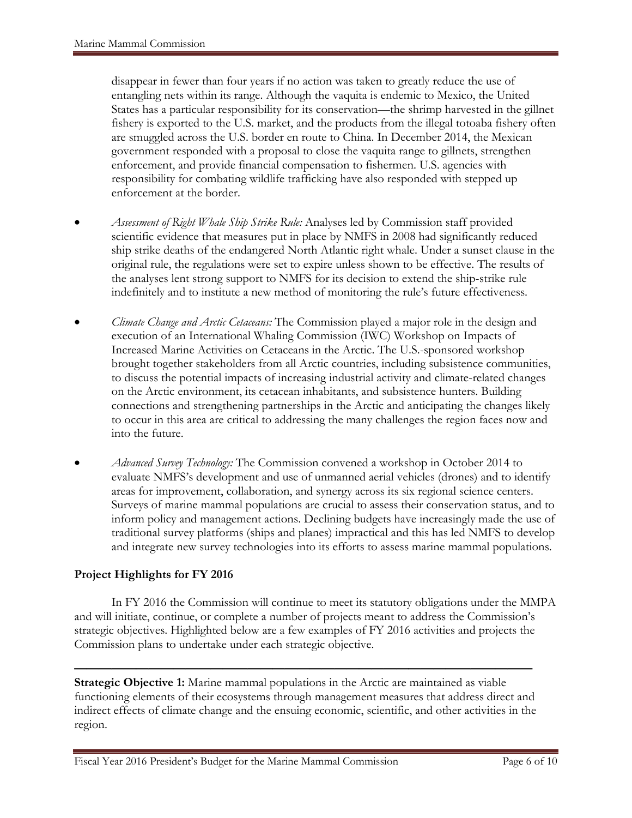disappear in fewer than four years if no action was taken to greatly reduce the use of entangling nets within its range. Although the vaquita is endemic to Mexico, the United States has a particular responsibility for its conservation—the shrimp harvested in the gillnet fishery is exported to the U.S. market, and the products from the illegal totoaba fishery often are smuggled across the U.S. border en route to China. In December 2014, the Mexican government responded with a proposal to close the vaquita range to gillnets, strengthen enforcement, and provide financial compensation to fishermen. U.S. agencies with responsibility for combating wildlife trafficking have also responded with stepped up enforcement at the border.

- *Assessment of Right Whale Ship Strike Rule:* Analyses led by Commission staff provided scientific evidence that measures put in place by NMFS in 2008 had significantly reduced ship strike deaths of the endangered North Atlantic right whale. Under a sunset clause in the original rule, the regulations were set to expire unless shown to be effective. The results of the analyses lent strong support to NMFS for its decision to extend the ship-strike rule indefinitely and to institute a new method of monitoring the rule's future effectiveness.
- *Climate Change and Arctic Cetaceans:* The Commission played a major role in the design and execution of an International Whaling Commission (IWC) Workshop on Impacts of Increased Marine Activities on Cetaceans in the Arctic. The U.S.-sponsored workshop brought together stakeholders from all Arctic countries, including subsistence communities, to discuss the potential impacts of increasing industrial activity and climate-related changes on the Arctic environment, its cetacean inhabitants, and subsistence hunters. Building connections and strengthening partnerships in the Arctic and anticipating the changes likely to occur in this area are critical to addressing the many challenges the region faces now and into the future.
- *Advanced Survey Technology:* The Commission convened a workshop in October 2014 to evaluate NMFS's development and use of unmanned aerial vehicles (drones) and to identify areas for improvement, collaboration, and synergy across its six regional science centers. Surveys of marine mammal populations are crucial to assess their conservation status, and to inform policy and management actions. Declining budgets have increasingly made the use of traditional survey platforms (ships and planes) impractical and this has led NMFS to develop and integrate new survey technologies into its efforts to assess marine mammal populations.

# **Project Highlights for FY 2016**

In FY 2016 the Commission will continue to meet its statutory obligations under the MMPA and will initiate, continue, or complete a number of projects meant to address the Commission's strategic objectives. Highlighted below are a few examples of FY 2016 activities and projects the Commission plans to undertake under each strategic objective.

**————————————————————————————————————— Strategic Objective 1:** Marine mammal populations in the Arctic are maintained as viable functioning elements of their ecosystems through management measures that address direct and indirect effects of climate change and the ensuing economic, scientific, and other activities in the region.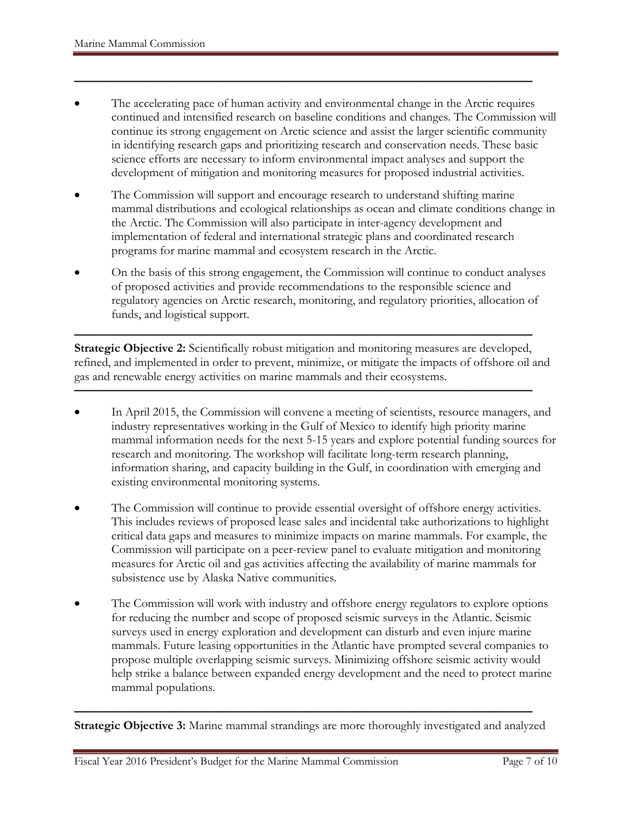• The accelerating pace of human activity and environmental change in the Arctic requires continued and intensified research on baseline conditions and changes. The Commission will continue its strong engagement on Arctic science and assist the larger scientific community in identifying research gaps and prioritizing research and conservation needs. These basic science efforts are necessary to inform environmental impact analyses and support the development of mitigation and monitoring measures for proposed industrial activities.

**—————————————————————————————————————**

- The Commission will support and encourage research to understand shifting marine mammal distributions and ecological relationships as ocean and climate conditions change in the Arctic. The Commission will also participate in inter-agency development and implementation of federal and international strategic plans and coordinated research programs for marine mammal and ecosystem research in the Arctic.
- On the basis of this strong engagement, the Commission will continue to conduct analyses of proposed activities and provide recommendations to the responsible science and regulatory agencies on Arctic research, monitoring, and regulatory priorities, allocation of funds, and logistical support.

**————————————————————————————————————— Strategic Objective 2:** Scientifically robust mitigation and monitoring measures are developed, refined, and implemented in order to prevent, minimize, or mitigate the impacts of offshore oil and gas and renewable energy activities on marine mammals and their ecosystems.

**—————————————————————————————————————**

- In April 2015, the Commission will convene a meeting of scientists, resource managers, and industry representatives working in the Gulf of Mexico to identify high priority marine mammal information needs for the next 5-15 years and explore potential funding sources for research and monitoring. The workshop will facilitate long-term research planning, information sharing, and capacity building in the Gulf, in coordination with emerging and existing environmental monitoring systems.
- The Commission will continue to provide essential oversight of offshore energy activities. This includes reviews of proposed lease sales and incidental take authorizations to highlight critical data gaps and measures to minimize impacts on marine mammals. For example, the Commission will participate on a peer-review panel to evaluate mitigation and monitoring measures for Arctic oil and gas activities affecting the availability of marine mammals for subsistence use by Alaska Native communities.
- The Commission will work with industry and offshore energy regulators to explore options for reducing the number and scope of proposed seismic surveys in the Atlantic. Seismic surveys used in energy exploration and development can disturb and even injure marine mammals. Future leasing opportunities in the Atlantic have prompted several companies to propose multiple overlapping seismic surveys. Minimizing offshore seismic activity would help strike a balance between expanded energy development and the need to protect marine mammal populations.

**Strategic Objective 3:** Marine mammal strandings are more thoroughly investigated and analyzed

**—————————————————————————————————————**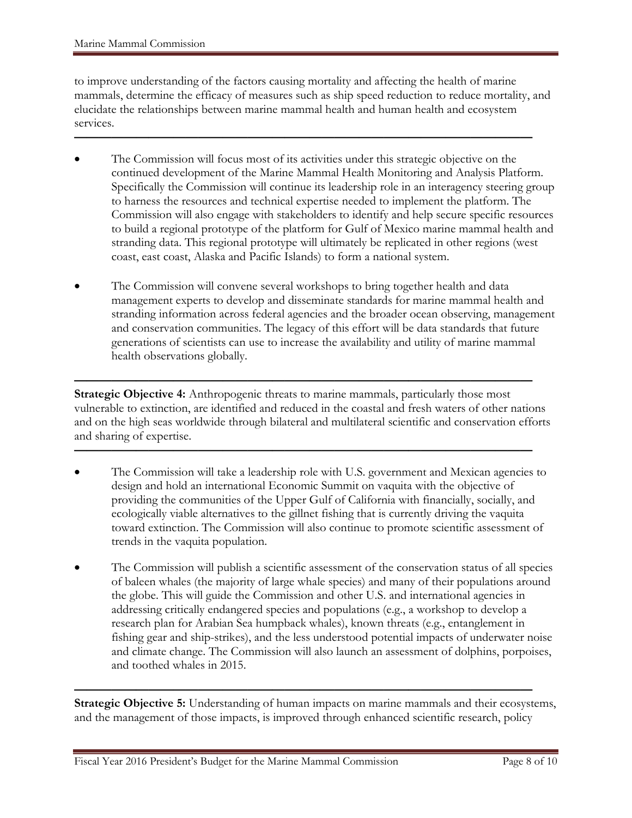to improve understanding of the factors causing mortality and affecting the health of marine mammals, determine the efficacy of measures such as ship speed reduction to reduce mortality, and elucidate the relationships between marine mammal health and human health and ecosystem services.

**—————————————————————————————————————**

- The Commission will focus most of its activities under this strategic objective on the continued development of the Marine Mammal Health Monitoring and Analysis Platform. Specifically the Commission will continue its leadership role in an interagency steering group to harness the resources and technical expertise needed to implement the platform. The Commission will also engage with stakeholders to identify and help secure specific resources to build a regional prototype of the platform for Gulf of Mexico marine mammal health and stranding data. This regional prototype will ultimately be replicated in other regions (west coast, east coast, Alaska and Pacific Islands) to form a national system.
- The Commission will convene several workshops to bring together health and data management experts to develop and disseminate standards for marine mammal health and stranding information across federal agencies and the broader ocean observing, management and conservation communities. The legacy of this effort will be data standards that future generations of scientists can use to increase the availability and utility of marine mammal health observations globally.

**————————————————————————————————————— Strategic Objective 4:** Anthropogenic threats to marine mammals, particularly those most vulnerable to extinction, are identified and reduced in the coastal and fresh waters of other nations and on the high seas worldwide through bilateral and multilateral scientific and conservation efforts and sharing of expertise.

**—————————————————————————————————————**

- The Commission will take a leadership role with U.S. government and Mexican agencies to design and hold an international Economic Summit on vaquita with the objective of providing the communities of the Upper Gulf of California with financially, socially, and ecologically viable alternatives to the gillnet fishing that is currently driving the vaquita toward extinction. The Commission will also continue to promote scientific assessment of trends in the vaquita population.
- The Commission will publish a scientific assessment of the conservation status of all species of baleen whales (the majority of large whale species) and many of their populations around the globe. This will guide the Commission and other U.S. and international agencies in addressing critically endangered species and populations (e.g., a workshop to develop a research plan for Arabian Sea humpback whales), known threats (e.g., entanglement in fishing gear and ship-strikes), and the less understood potential impacts of underwater noise and climate change. The Commission will also launch an assessment of dolphins, porpoises, and toothed whales in 2015.

**Strategic Objective 5:** Understanding of human impacts on marine mammals and their ecosystems, and the management of those impacts, is improved through enhanced scientific research, policy

**—————————————————————————————————————**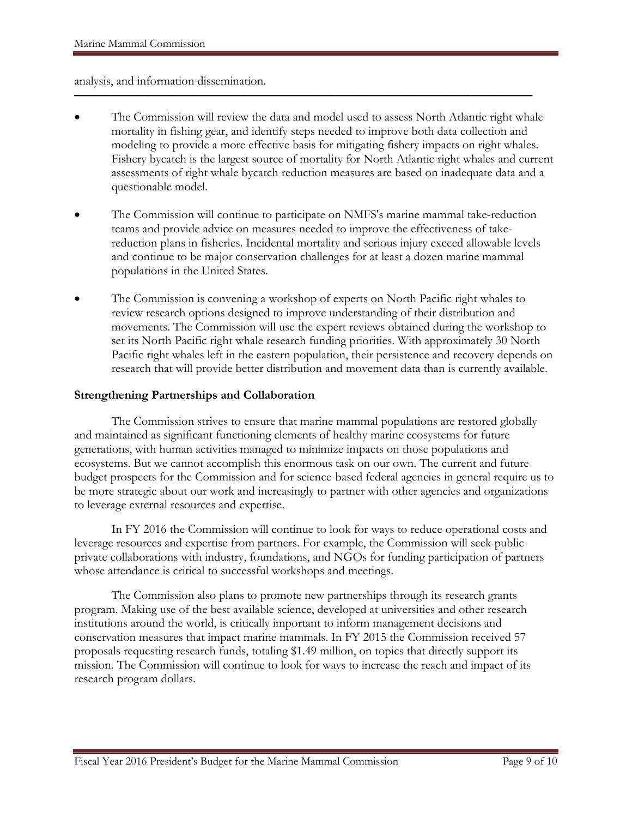analysis, and information dissemination.

• The Commission will review the data and model used to assess North Atlantic right whale mortality in fishing gear, and identify steps needed to improve both data collection and modeling to provide a more effective basis for mitigating fishery impacts on right whales. Fishery bycatch is the largest source of mortality for North Atlantic right whales and current assessments of right whale bycatch reduction measures are based on inadequate data and a questionable model.

**—————————————————————————————————————**

- The Commission will continue to participate on NMFS's marine mammal take-reduction teams and provide advice on measures needed to improve the effectiveness of takereduction plans in fisheries. Incidental mortality and serious injury exceed allowable levels and continue to be major conservation challenges for at least a dozen marine mammal populations in the United States.
- The Commission is convening a workshop of experts on North Pacific right whales to review research options designed to improve understanding of their distribution and movements. The Commission will use the expert reviews obtained during the workshop to set its North Pacific right whale research funding priorities. With approximately 30 North Pacific right whales left in the eastern population, their persistence and recovery depends on research that will provide better distribution and movement data than is currently available.

#### **Strengthening Partnerships and Collaboration**

The Commission strives to ensure that marine mammal populations are restored globally and maintained as significant functioning elements of healthy marine ecosystems for future generations, with human activities managed to minimize impacts on those populations and ecosystems. But we cannot accomplish this enormous task on our own. The current and future budget prospects for the Commission and for science-based federal agencies in general require us to be more strategic about our work and increasingly to partner with other agencies and organizations to leverage external resources and expertise.

In FY 2016 the Commission will continue to look for ways to reduce operational costs and leverage resources and expertise from partners. For example, the Commission will seek publicprivate collaborations with industry, foundations, and NGOs for funding participation of partners whose attendance is critical to successful workshops and meetings.

The Commission also plans to promote new partnerships through its research grants program. Making use of the best available science, developed at universities and other research institutions around the world, is critically important to inform management decisions and conservation measures that impact marine mammals. In FY 2015 the Commission received 57 proposals requesting research funds, totaling \$1.49 million, on topics that directly support its mission. The Commission will continue to look for ways to increase the reach and impact of its research program dollars.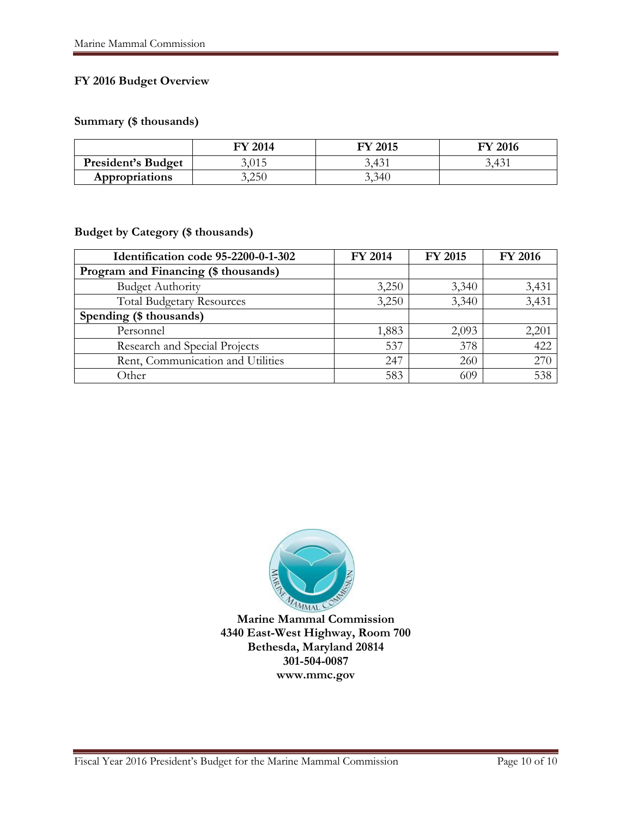## **FY 2016 Budget Overview**

#### **Summary (\$ thousands)**

|                           | <b>FY 2014</b> | <b>FY 2015</b> | <b>FY 2016</b> |
|---------------------------|----------------|----------------|----------------|
| <b>President's Budget</b> | 3,015          | 3,431          | 3,431          |
| <b>Appropriations</b>     | 3,250          | 3,340          |                |

#### **Budget by Category (\$ thousands)**

| Identification code 95-2200-0-1-302  | FY 2014 | <b>FY 2015</b> | <b>FY 2016</b> |
|--------------------------------------|---------|----------------|----------------|
| Program and Financing (\$ thousands) |         |                |                |
| <b>Budget Authority</b>              | 3,250   | 3,340          | 3,431          |
| <b>Total Budgetary Resources</b>     | 3,250   | 3,340          | 3,431          |
| Spending (\$ thousands)              |         |                |                |
| Personnel                            | 1,883   | 2,093          | 2,201          |
| Research and Special Projects        | 537     | 378            | 422            |
| Rent, Communication and Utilities    | 247     | 260            | 270            |
| Other                                | 583     | 609            | 538            |



**Marine Mammal Commission 4340 East-West Highway, Room 700 Bethesda, Maryland 20814 301-504-0087 www.mmc.gov**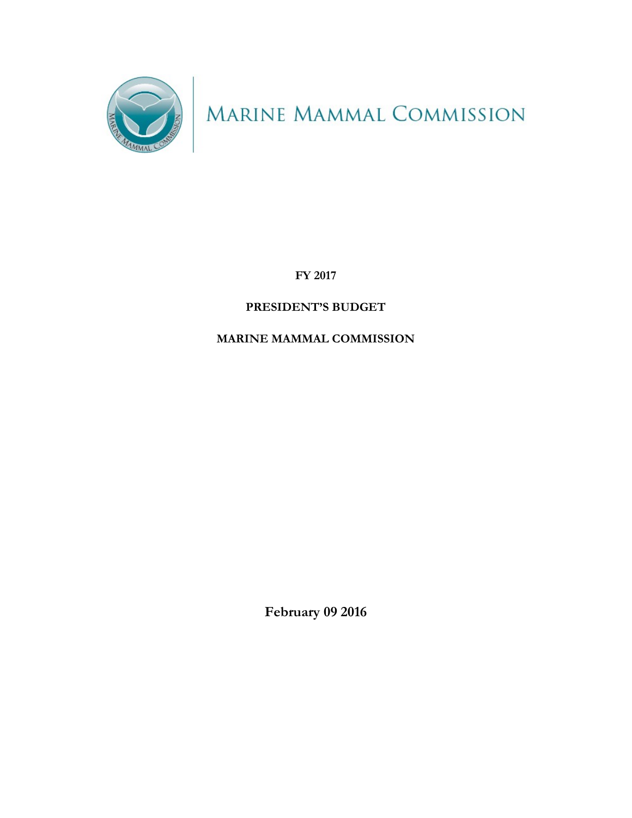

MARINE MAMMAL COMMISSION

**FY 2017**

# **PRESIDENT'S BUDGET**

## **MARINE MAMMAL COMMISSION**

**February 09 2016**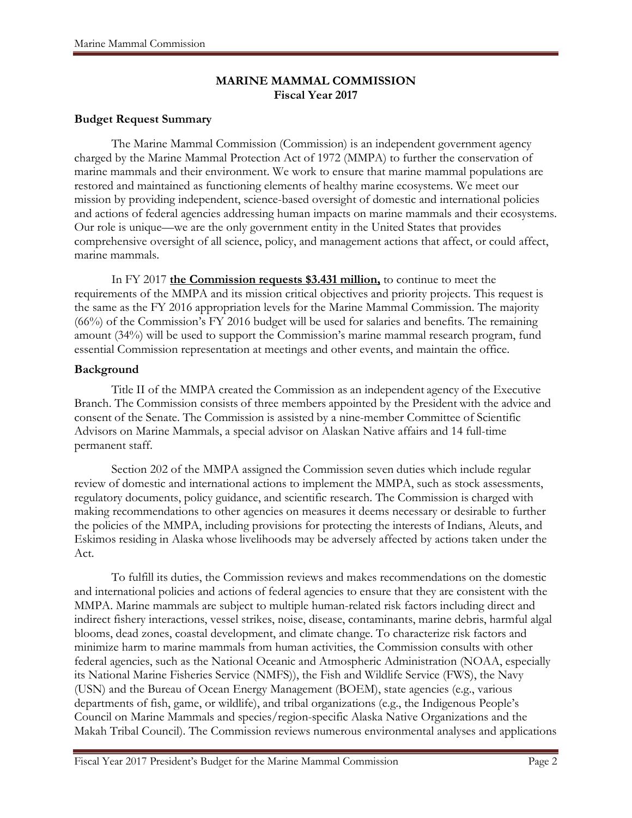#### **MARINE MAMMAL COMMISSION Fiscal Year 2017**

## **Budget Request Summary**

The Marine Mammal Commission (Commission) is an independent government agency charged by the Marine Mammal Protection Act of 1972 (MMPA) to further the conservation of marine mammals and their environment. We work to ensure that marine mammal populations are restored and maintained as functioning elements of healthy marine ecosystems. We meet our mission by providing independent, science-based oversight of domestic and international policies and actions of federal agencies addressing human impacts on marine mammals and their ecosystems. Our role is unique—we are the only government entity in the United States that provides comprehensive oversight of all science, policy, and management actions that affect, or could affect, marine mammals.

In FY 2017 **the Commission requests \$3.431 million,** to continue to meet the requirements of the MMPA and its mission critical objectives and priority projects. This request is the same as the FY 2016 appropriation levels for the Marine Mammal Commission. The majority (66%) of the Commission's FY 2016 budget will be used for salaries and benefits. The remaining amount (34%) will be used to support the Commission's marine mammal research program, fund essential Commission representation at meetings and other events, and maintain the office.

#### **Background**

Title II of the MMPA created the Commission as an independent agency of the Executive Branch. The Commission consists of three members appointed by the President with the advice and consent of the Senate. The Commission is assisted by a nine-member Committee of Scientific Advisors on Marine Mammals, a special advisor on Alaskan Native affairs and 14 full-time permanent staff.

Section 202 of the MMPA assigned the Commission seven duties which include regular review of domestic and international actions to implement the MMPA, such as stock assessments, regulatory documents, policy guidance, and scientific research. The Commission is charged with making recommendations to other agencies on measures it deems necessary or desirable to further the policies of the MMPA, including provisions for protecting the interests of Indians, Aleuts, and Eskimos residing in Alaska whose livelihoods may be adversely affected by actions taken under the Act.

To fulfill its duties, the Commission reviews and makes recommendations on the domestic and international policies and actions of federal agencies to ensure that they are consistent with the MMPA. Marine mammals are subject to multiple human-related risk factors including direct and indirect fishery interactions, vessel strikes, noise, disease, contaminants, marine debris, harmful algal blooms, dead zones, coastal development, and climate change. To characterize risk factors and minimize harm to marine mammals from human activities, the Commission consults with other federal agencies, such as the National Oceanic and Atmospheric Administration (NOAA, especially its National Marine Fisheries Service (NMFS)), the Fish and Wildlife Service (FWS), the Navy (USN) and the Bureau of Ocean Energy Management (BOEM), state agencies (e.g., various departments of fish, game, or wildlife), and tribal organizations (e.g., the Indigenous People's Council on Marine Mammals and species/region-specific Alaska Native Organizations and the Makah Tribal Council). The Commission reviews numerous environmental analyses and applications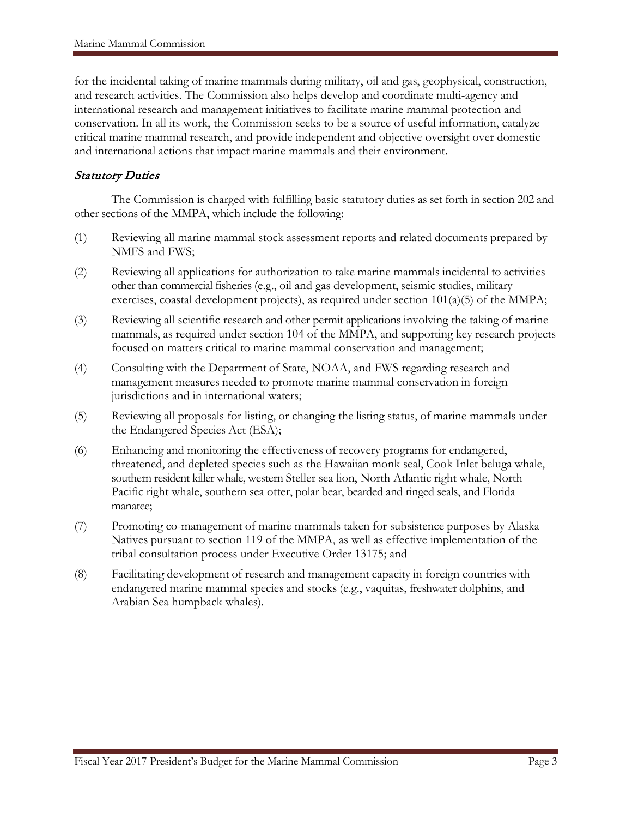for the incidental taking of marine mammals during military, oil and gas, geophysical, construction, and research activities. The Commission also helps develop and coordinate multi-agency and international research and management initiatives to facilitate marine mammal protection and conservation. In all its work, the Commission seeks to be a source of useful information, catalyze critical marine mammal research, and provide independent and objective oversight over domestic and international actions that impact marine mammals and their environment.

#### Statutory Duties

The Commission is charged with fulfilling basic statutory duties as set forth in section 202 and other sections of the MMPA, which include the following:

- (1) Reviewing all marine mammal stock assessment reports and related documents prepared by NMFS and FWS;
- (2) Reviewing all applications for authorization to take marine mammals incidental to activities other than commercial fisheries (e.g., oil and gas development, seismic studies, military exercises, coastal development projects), as required under section 101(a)(5) of the MMPA;
- (3) Reviewing all scientific research and other permit applications involving the taking of marine mammals, as required under section 104 of the MMPA, and supporting key research projects focused on matters critical to marine mammal conservation and management;
- (4) Consulting with the Department of State, NOAA, and FWS regarding research and management measures needed to promote marine mammal conservation in foreign jurisdictions and in international waters;
- (5) Reviewing all proposals for listing, or changing the listing status, of marine mammals under the Endangered Species Act (ESA);
- (6) Enhancing and monitoring the effectiveness of recovery programs for endangered, threatened, and depleted species such as the Hawaiian monk seal, Cook Inlet beluga whale, southern resident killer whale, western Steller sea lion, North Atlantic right whale, North Pacific right whale, southern sea otter, polar bear, bearded and ringed seals, and Florida manatee;
- (7) Promoting co-management of marine mammals taken for subsistence purposes by Alaska Natives pursuant to section 119 of the MMPA, as well as effective implementation of the tribal consultation process under Executive Order 13175; and
- (8) Facilitating development of research and management capacity in foreign countries with endangered marine mammal species and stocks (e.g., vaquitas, freshwater dolphins, and Arabian Sea humpback whales).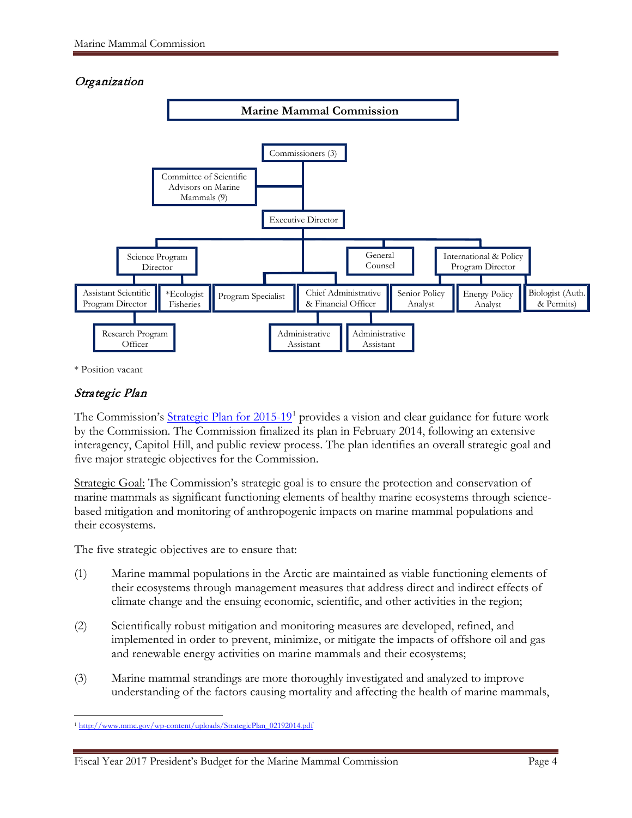#### **Organization**



\* Position vacant

#### Strategic Plan

The Commission's Strategic Plan for  $2015-19<sup>1</sup>$  $2015-19<sup>1</sup>$  $2015-19<sup>1</sup>$  provides a vision and clear guidance for future work by the Commission. The Commission finalized its plan in February 2014, following an extensive interagency, Capitol Hill, and public review process. The plan identifies an overall strategic goal and five major strategic objectives for the Commission.

Strategic Goal: The Commission's strategic goal is to ensure the protection and conservation of marine mammals as significant functioning elements of healthy marine ecosystems through sciencebased mitigation and monitoring of anthropogenic impacts on marine mammal populations and their ecosystems.

The five strategic objectives are to ensure that:

- (1) Marine mammal populations in the Arctic are maintained as viable functioning elements of their ecosystems through management measures that address direct and indirect effects of climate change and the ensuing economic, scientific, and other activities in the region;
- (2) Scientifically robust mitigation and monitoring measures are developed, refined, and implemented in order to prevent, minimize, or mitigate the impacts of offshore oil and gas and renewable energy activities on marine mammals and their ecosystems;
- (3) Marine mammal strandings are more thoroughly investigated and analyzed to improve understanding of the factors causing mortality and affecting the health of marine mammals,

<span id="page-78-0"></span> $\overline{a}$ <sup>1</sup> [http://www.mmc.gov/wp-content/uploads/StrategicPlan\\_02192014.pdf](http://www.mmc.gov/wp-content/uploads/StrategicPlan_02192014.pdf)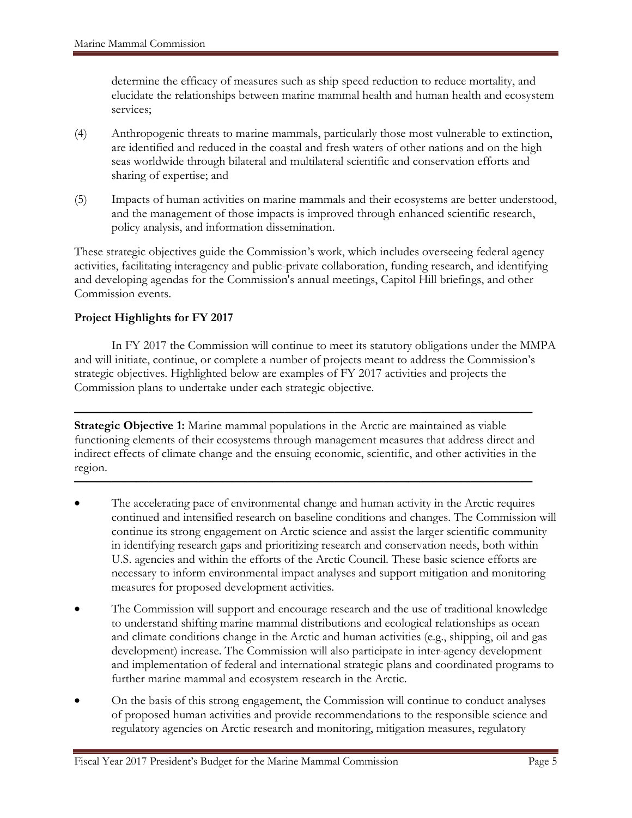determine the efficacy of measures such as ship speed reduction to reduce mortality, and elucidate the relationships between marine mammal health and human health and ecosystem services;

- (4) Anthropogenic threats to marine mammals, particularly those most vulnerable to extinction, are identified and reduced in the coastal and fresh waters of other nations and on the high seas worldwide through bilateral and multilateral scientific and conservation efforts and sharing of expertise; and
- (5) Impacts of human activities on marine mammals and their ecosystems are better understood, and the management of those impacts is improved through enhanced scientific research, policy analysis, and information dissemination.

These strategic objectives guide the Commission's work, which includes overseeing federal agency activities, facilitating interagency and public-private collaboration, funding research, and identifying and developing agendas for the Commission's annual meetings, Capitol Hill briefings, and other Commission events.

#### **Project Highlights for FY 2017**

In FY 2017 the Commission will continue to meet its statutory obligations under the MMPA and will initiate, continue, or complete a number of projects meant to address the Commission's strategic objectives. Highlighted below are examples of FY 2017 activities and projects the Commission plans to undertake under each strategic objective.

**————————————————————————————————————— Strategic Objective 1:** Marine mammal populations in the Arctic are maintained as viable functioning elements of their ecosystems through management measures that address direct and indirect effects of climate change and the ensuing economic, scientific, and other activities in the region.

**—————————————————————————————————————**

- The accelerating pace of environmental change and human activity in the Arctic requires continued and intensified research on baseline conditions and changes. The Commission will continue its strong engagement on Arctic science and assist the larger scientific community in identifying research gaps and prioritizing research and conservation needs, both within U.S. agencies and within the efforts of the Arctic Council. These basic science efforts are necessary to inform environmental impact analyses and support mitigation and monitoring measures for proposed development activities.
- The Commission will support and encourage research and the use of traditional knowledge to understand shifting marine mammal distributions and ecological relationships as ocean and climate conditions change in the Arctic and human activities (e.g., shipping, oil and gas development) increase. The Commission will also participate in inter-agency development and implementation of federal and international strategic plans and coordinated programs to further marine mammal and ecosystem research in the Arctic.
- On the basis of this strong engagement, the Commission will continue to conduct analyses of proposed human activities and provide recommendations to the responsible science and regulatory agencies on Arctic research and monitoring, mitigation measures, regulatory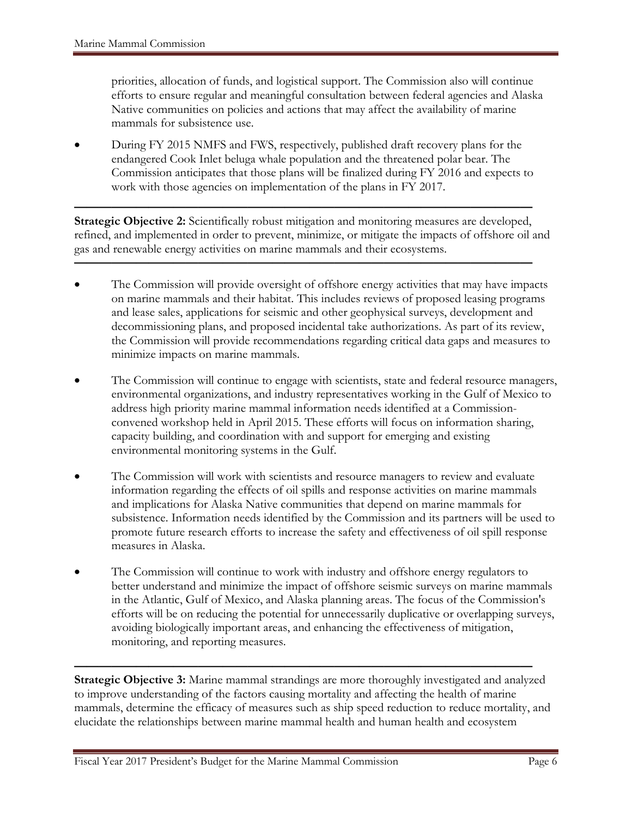priorities, allocation of funds, and logistical support. The Commission also will continue efforts to ensure regular and meaningful consultation between federal agencies and Alaska Native communities on policies and actions that may affect the availability of marine mammals for subsistence use.

• During FY 2015 NMFS and FWS, respectively, published draft recovery plans for the endangered Cook Inlet beluga whale population and the threatened polar bear. The Commission anticipates that those plans will be finalized during FY 2016 and expects to work with those agencies on implementation of the plans in FY 2017.

**————————————————————————————————————— Strategic Objective 2:** Scientifically robust mitigation and monitoring measures are developed, refined, and implemented in order to prevent, minimize, or mitigate the impacts of offshore oil and gas and renewable energy activities on marine mammals and their ecosystems.

**—————————————————————————————————————**

- The Commission will provide oversight of offshore energy activities that may have impacts on marine mammals and their habitat. This includes reviews of proposed leasing programs and lease sales, applications for seismic and other geophysical surveys, development and decommissioning plans, and proposed incidental take authorizations. As part of its review, the Commission will provide recommendations regarding critical data gaps and measures to minimize impacts on marine mammals.
- The Commission will continue to engage with scientists, state and federal resource managers, environmental organizations, and industry representatives working in the Gulf of Mexico to address high priority marine mammal information needs identified at a Commissionconvened workshop held in April 2015. These efforts will focus on information sharing, capacity building, and coordination with and support for emerging and existing environmental monitoring systems in the Gulf.
- The Commission will work with scientists and resource managers to review and evaluate information regarding the effects of oil spills and response activities on marine mammals and implications for Alaska Native communities that depend on marine mammals for subsistence. Information needs identified by the Commission and its partners will be used to promote future research efforts to increase the safety and effectiveness of oil spill response measures in Alaska.
- The Commission will continue to work with industry and offshore energy regulators to better understand and minimize the impact of offshore seismic surveys on marine mammals in the Atlantic, Gulf of Mexico, and Alaska planning areas. The focus of the Commission's efforts will be on reducing the potential for unnecessarily duplicative or overlapping surveys, avoiding biologically important areas, and enhancing the effectiveness of mitigation, monitoring, and reporting measures.

**————————————————————————————————————— Strategic Objective 3:** Marine mammal strandings are more thoroughly investigated and analyzed to improve understanding of the factors causing mortality and affecting the health of marine mammals, determine the efficacy of measures such as ship speed reduction to reduce mortality, and elucidate the relationships between marine mammal health and human health and ecosystem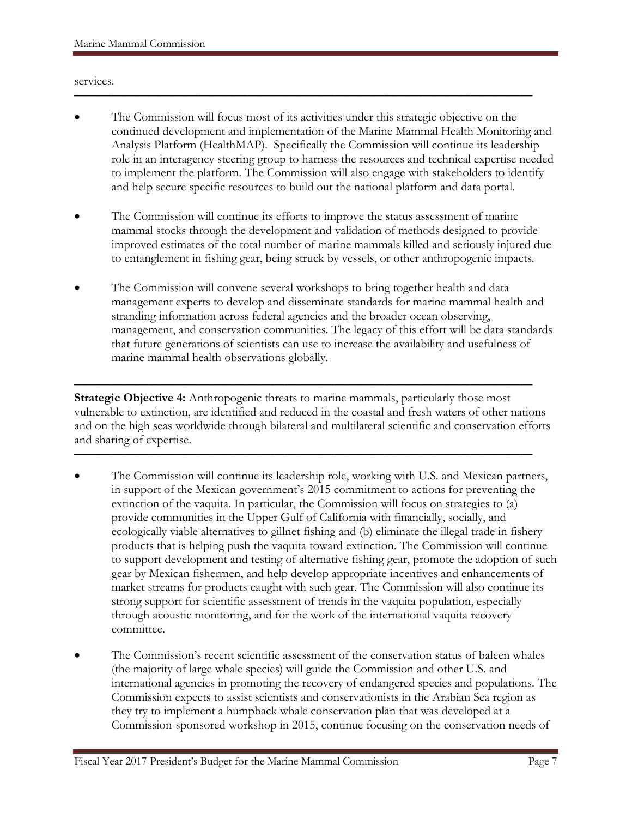#### services.

• The Commission will focus most of its activities under this strategic objective on the continued development and implementation of the Marine Mammal Health Monitoring and Analysis Platform (HealthMAP). Specifically the Commission will continue its leadership role in an interagency steering group to harness the resources and technical expertise needed to implement the platform. The Commission will also engage with stakeholders to identify and help secure specific resources to build out the national platform and data portal.

**—————————————————————————————————————**

- The Commission will continue its efforts to improve the status assessment of marine mammal stocks through the development and validation of methods designed to provide improved estimates of the total number of marine mammals killed and seriously injured due to entanglement in fishing gear, being struck by vessels, or other anthropogenic impacts.
- The Commission will convene several workshops to bring together health and data management experts to develop and disseminate standards for marine mammal health and stranding information across federal agencies and the broader ocean observing, management, and conservation communities. The legacy of this effort will be data standards that future generations of scientists can use to increase the availability and usefulness of marine mammal health observations globally.

**————————————————————————————————————— Strategic Objective 4:** Anthropogenic threats to marine mammals, particularly those most vulnerable to extinction, are identified and reduced in the coastal and fresh waters of other nations and on the high seas worldwide through bilateral and multilateral scientific and conservation efforts and sharing of expertise.

**—————————————————————————————————————**

- The Commission will continue its leadership role, working with U.S. and Mexican partners, in support of the Mexican government's 2015 commitment to actions for preventing the extinction of the vaquita. In particular, the Commission will focus on strategies to (a) provide communities in the Upper Gulf of California with financially, socially, and ecologically viable alternatives to gillnet fishing and (b) eliminate the illegal trade in fishery products that is helping push the vaquita toward extinction. The Commission will continue to support development and testing of alternative fishing gear, promote the adoption of such gear by Mexican fishermen, and help develop appropriate incentives and enhancements of market streams for products caught with such gear. The Commission will also continue its strong support for scientific assessment of trends in the vaquita population, especially through acoustic monitoring, and for the work of the international vaquita recovery committee.
- The Commission's recent scientific assessment of the conservation status of baleen whales (the majority of large whale species) will guide the Commission and other U.S. and international agencies in promoting the recovery of endangered species and populations. The Commission expects to assist scientists and conservationists in the Arabian Sea region as they try to implement a humpback whale conservation plan that was developed at a Commission-sponsored workshop in 2015, continue focusing on the conservation needs of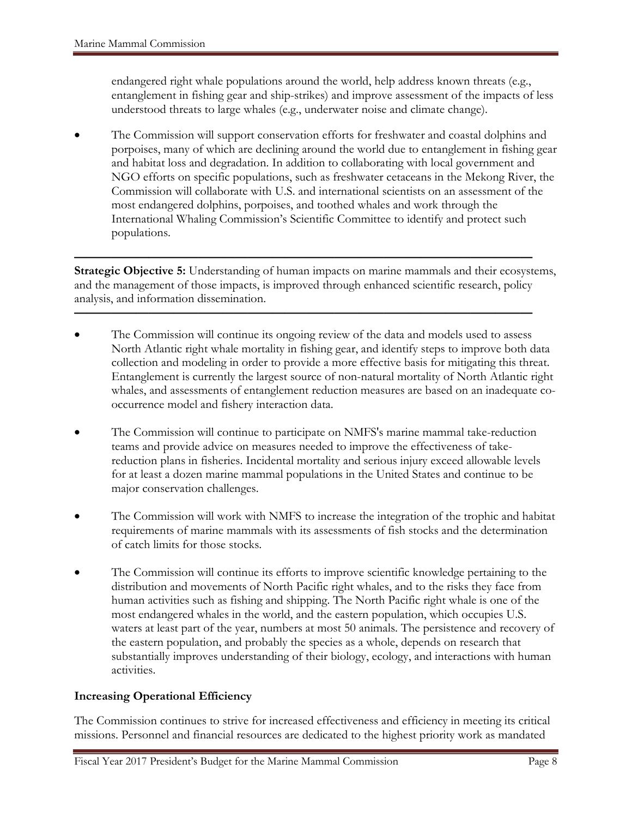endangered right whale populations around the world, help address known threats (e.g., entanglement in fishing gear and ship-strikes) and improve assessment of the impacts of less understood threats to large whales (e.g., underwater noise and climate change).

• The Commission will support conservation efforts for freshwater and coastal dolphins and porpoises, many of which are declining around the world due to entanglement in fishing gear and habitat loss and degradation. In addition to collaborating with local government and NGO efforts on specific populations, such as freshwater cetaceans in the Mekong River, the Commission will collaborate with U.S. and international scientists on an assessment of the most endangered dolphins, porpoises, and toothed whales and work through the International Whaling Commission's Scientific Committee to identify and protect such populations.

**Strategic Objective 5:** Understanding of human impacts on marine mammals and their ecosystems, and the management of those impacts, is improved through enhanced scientific research, policy analysis, and information dissemination.

**—————————————————————————————————————**

**—————————————————————————————————————**

- The Commission will continue its ongoing review of the data and models used to assess North Atlantic right whale mortality in fishing gear, and identify steps to improve both data collection and modeling in order to provide a more effective basis for mitigating this threat. Entanglement is currently the largest source of non-natural mortality of North Atlantic right whales, and assessments of entanglement reduction measures are based on an inadequate cooccurrence model and fishery interaction data.
- The Commission will continue to participate on NMFS's marine mammal take-reduction teams and provide advice on measures needed to improve the effectiveness of takereduction plans in fisheries. Incidental mortality and serious injury exceed allowable levels for at least a dozen marine mammal populations in the United States and continue to be major conservation challenges.
- The Commission will work with NMFS to increase the integration of the trophic and habitat requirements of marine mammals with its assessments of fish stocks and the determination of catch limits for those stocks.
- The Commission will continue its efforts to improve scientific knowledge pertaining to the distribution and movements of North Pacific right whales, and to the risks they face from human activities such as fishing and shipping. The North Pacific right whale is one of the most endangered whales in the world, and the eastern population, which occupies U.S. waters at least part of the year, numbers at most 50 animals. The persistence and recovery of the eastern population, and probably the species as a whole, depends on research that substantially improves understanding of their biology, ecology, and interactions with human activities.

#### **Increasing Operational Efficiency**

The Commission continues to strive for increased effectiveness and efficiency in meeting its critical missions. Personnel and financial resources are dedicated to the highest priority work as mandated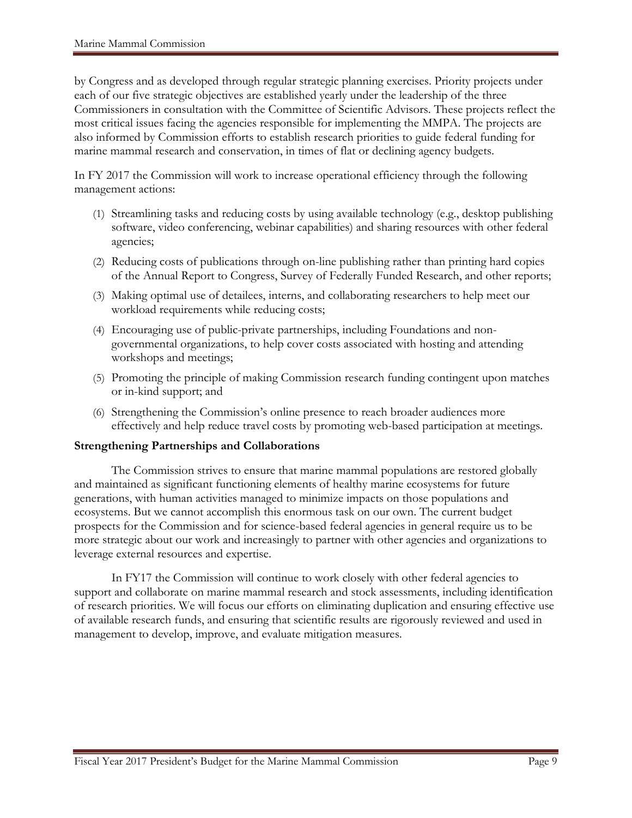by Congress and as developed through regular strategic planning exercises. Priority projects under each of our five strategic objectives are established yearly under the leadership of the three Commissioners in consultation with the Committee of Scientific Advisors. These projects reflect the most critical issues facing the agencies responsible for implementing the MMPA. The projects are also informed by Commission efforts to establish research priorities to guide federal funding for marine mammal research and conservation, in times of flat or declining agency budgets.

In FY 2017 the Commission will work to increase operational efficiency through the following management actions:

- (1) Streamlining tasks and reducing costs by using available technology (e.g., desktop publishing software, video conferencing, webinar capabilities) and sharing resources with other federal agencies;
- (2) Reducing costs of publications through on-line publishing rather than printing hard copies of the Annual Report to Congress, Survey of Federally Funded Research, and other reports;
- (3) Making optimal use of detailees, interns, and collaborating researchers to help meet our workload requirements while reducing costs;
- (4) Encouraging use of public-private partnerships, including Foundations and nongovernmental organizations, to help cover costs associated with hosting and attending workshops and meetings;
- (5) Promoting the principle of making Commission research funding contingent upon matches or in-kind support; and
- (6) Strengthening the Commission's online presence to reach broader audiences more effectively and help reduce travel costs by promoting web-based participation at meetings.

#### **Strengthening Partnerships and Collaborations**

The Commission strives to ensure that marine mammal populations are restored globally and maintained as significant functioning elements of healthy marine ecosystems for future generations, with human activities managed to minimize impacts on those populations and ecosystems. But we cannot accomplish this enormous task on our own. The current budget prospects for the Commission and for science-based federal agencies in general require us to be more strategic about our work and increasingly to partner with other agencies and organizations to leverage external resources and expertise.

In FY17 the Commission will continue to work closely with other federal agencies to support and collaborate on marine mammal research and stock assessments, including identification of research priorities. We will focus our efforts on eliminating duplication and ensuring effective use of available research funds, and ensuring that scientific results are rigorously reviewed and used in management to develop, improve, and evaluate mitigation measures.